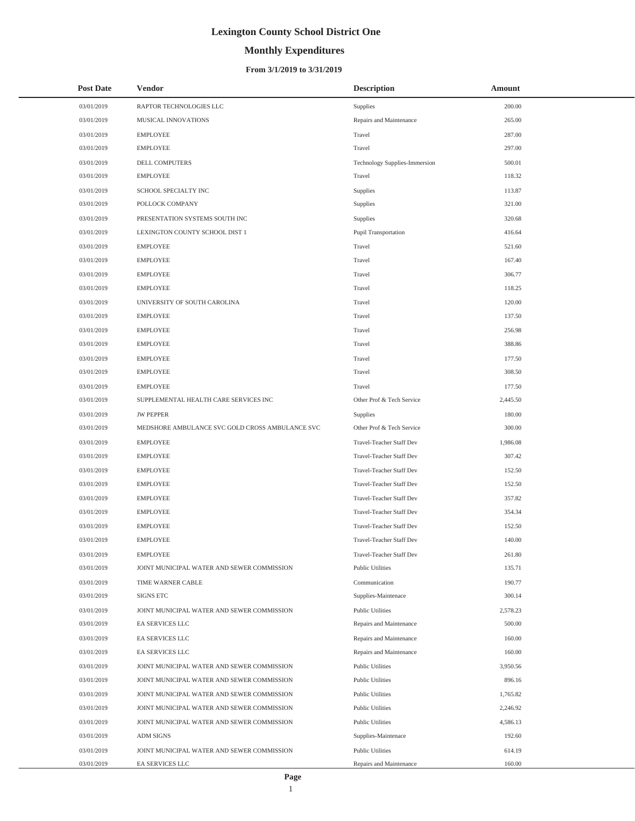# **Monthly Expenditures**

### **From 3/1/2019 to 3/31/2019**

| <b>Post Date</b> | <b>Vendor</b>                                   | <b>Description</b>              | Amount   |
|------------------|-------------------------------------------------|---------------------------------|----------|
| 03/01/2019       | RAPTOR TECHNOLOGIES LLC                         | Supplies                        | 200.00   |
| 03/01/2019       | MUSICAL INNOVATIONS                             | Repairs and Maintenance         | 265.00   |
| 03/01/2019       | <b>EMPLOYEE</b>                                 | Travel                          | 287.00   |
| 03/01/2019       | <b>EMPLOYEE</b>                                 | Travel                          | 297.00   |
| 03/01/2019       | DELL COMPUTERS                                  | Technology Supplies-Immersion   | 500.01   |
| 03/01/2019       | <b>EMPLOYEE</b>                                 | Travel                          | 118.32   |
| 03/01/2019       | SCHOOL SPECIALTY INC                            | Supplies                        | 113.87   |
| 03/01/2019       | POLLOCK COMPANY                                 | Supplies                        | 321.00   |
| 03/01/2019       | PRESENTATION SYSTEMS SOUTH INC                  | Supplies                        | 320.68   |
| 03/01/2019       | LEXINGTON COUNTY SCHOOL DIST 1                  | Pupil Transportation            | 416.64   |
| 03/01/2019       | <b>EMPLOYEE</b>                                 | Travel                          | 521.60   |
| 03/01/2019       | <b>EMPLOYEE</b>                                 | Travel                          | 167.40   |
| 03/01/2019       | <b>EMPLOYEE</b>                                 | Travel                          | 306.77   |
| 03/01/2019       | <b>EMPLOYEE</b>                                 | Travel                          | 118.25   |
| 03/01/2019       | UNIVERSITY OF SOUTH CAROLINA                    | Travel                          | 120.00   |
| 03/01/2019       | <b>EMPLOYEE</b>                                 | Travel                          | 137.50   |
| 03/01/2019       | <b>EMPLOYEE</b>                                 | Travel                          | 256.98   |
| 03/01/2019       | <b>EMPLOYEE</b>                                 | Travel                          | 388.86   |
| 03/01/2019       | <b>EMPLOYEE</b>                                 | Travel                          | 177.50   |
| 03/01/2019       | <b>EMPLOYEE</b>                                 | Travel                          | 308.50   |
| 03/01/2019       | <b>EMPLOYEE</b>                                 | Travel                          | 177.50   |
| 03/01/2019       | SUPPLEMENTAL HEALTH CARE SERVICES INC           | Other Prof & Tech Service       | 2,445.50 |
| 03/01/2019       | <b>JW PEPPER</b>                                | Supplies                        | 180.00   |
| 03/01/2019       | MEDSHORE AMBULANCE SVC GOLD CROSS AMBULANCE SVC | Other Prof & Tech Service       | 300.00   |
| 03/01/2019       | <b>EMPLOYEE</b>                                 | Travel-Teacher Staff Dev        | 1,986.08 |
| 03/01/2019       | <b>EMPLOYEE</b>                                 | Travel-Teacher Staff Dev        | 307.42   |
| 03/01/2019       | <b>EMPLOYEE</b>                                 | Travel-Teacher Staff Dev        | 152.50   |
| 03/01/2019       | <b>EMPLOYEE</b>                                 | Travel-Teacher Staff Dev        | 152.50   |
| 03/01/2019       | <b>EMPLOYEE</b>                                 | Travel-Teacher Staff Dev        | 357.82   |
| 03/01/2019       | <b>EMPLOYEE</b>                                 | <b>Travel-Teacher Staff Dev</b> | 354.34   |
| 03/01/2019       | <b>EMPLOYEE</b>                                 | Travel-Teacher Staff Dev        | 152.50   |
| 03/01/2019       | <b>EMPLOYEE</b>                                 | <b>Travel-Teacher Staff Dev</b> | 140.00   |
| 03/01/2019       | <b>EMPLOYEE</b>                                 | Travel-Teacher Staff Dev        | 261.80   |
| 03/01/2019       | JOINT MUNICIPAL WATER AND SEWER COMMISSION      | <b>Public Utilities</b>         | 135.71   |
| 03/01/2019       | TIME WARNER CABLE                               | Communication                   | 190.77   |
| 03/01/2019       | SIGNS ETC                                       | Supplies-Maintenace             | 300.14   |
| 03/01/2019       | JOINT MUNICIPAL WATER AND SEWER COMMISSION      | <b>Public Utilities</b>         | 2,578.23 |
| 03/01/2019       | EA SERVICES LLC                                 | Repairs and Maintenance         | 500.00   |
| 03/01/2019       | EA SERVICES LLC                                 | Repairs and Maintenance         | 160.00   |
| 03/01/2019       | EA SERVICES LLC                                 | Repairs and Maintenance         | 160.00   |
| 03/01/2019       | JOINT MUNICIPAL WATER AND SEWER COMMISSION      | <b>Public Utilities</b>         | 3,950.56 |
| 03/01/2019       | JOINT MUNICIPAL WATER AND SEWER COMMISSION      | <b>Public Utilities</b>         | 896.16   |
| 03/01/2019       | JOINT MUNICIPAL WATER AND SEWER COMMISSION      | <b>Public Utilities</b>         | 1,765.82 |
| 03/01/2019       | JOINT MUNICIPAL WATER AND SEWER COMMISSION      | <b>Public Utilities</b>         | 2,246.92 |
| 03/01/2019       | JOINT MUNICIPAL WATER AND SEWER COMMISSION      | <b>Public Utilities</b>         | 4,586.13 |
| 03/01/2019       | <b>ADM SIGNS</b>                                | Supplies-Maintenace             | 192.60   |
| 03/01/2019       | JOINT MUNICIPAL WATER AND SEWER COMMISSION      | <b>Public Utilities</b>         | 614.19   |
| 03/01/2019       | EA SERVICES LLC                                 | Repairs and Maintenance         | 160.00   |

L,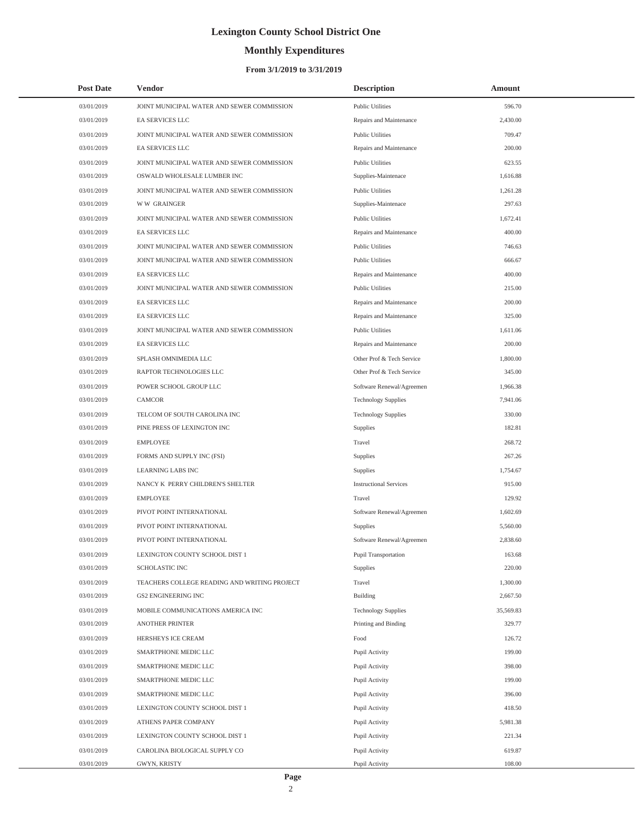# **Monthly Expenditures**

### **From 3/1/2019 to 3/31/2019**

| <b>Post Date</b> | <b>Vendor</b>                                | <b>Description</b>            | Amount    |
|------------------|----------------------------------------------|-------------------------------|-----------|
| 03/01/2019       | JOINT MUNICIPAL WATER AND SEWER COMMISSION   | <b>Public Utilities</b>       | 596.70    |
| 03/01/2019       | EA SERVICES LLC                              | Repairs and Maintenance       | 2,430.00  |
| 03/01/2019       | JOINT MUNICIPAL WATER AND SEWER COMMISSION   | <b>Public Utilities</b>       | 709.47    |
| 03/01/2019       | EA SERVICES LLC                              | Repairs and Maintenance       | 200.00    |
| 03/01/2019       | JOINT MUNICIPAL WATER AND SEWER COMMISSION   | <b>Public Utilities</b>       | 623.55    |
| 03/01/2019       | OSWALD WHOLESALE LUMBER INC                  | Supplies-Maintenace           | 1,616.88  |
| 03/01/2019       | JOINT MUNICIPAL WATER AND SEWER COMMISSION   | <b>Public Utilities</b>       | 1,261.28  |
| 03/01/2019       | <b>WW GRAINGER</b>                           | Supplies-Maintenace           | 297.63    |
| 03/01/2019       | JOINT MUNICIPAL WATER AND SEWER COMMISSION   | <b>Public Utilities</b>       | 1,672.41  |
| 03/01/2019       | EA SERVICES LLC                              | Repairs and Maintenance       | 400.00    |
| 03/01/2019       | JOINT MUNICIPAL WATER AND SEWER COMMISSION   | <b>Public Utilities</b>       | 746.63    |
| 03/01/2019       | JOINT MUNICIPAL WATER AND SEWER COMMISSION   | <b>Public Utilities</b>       | 666.67    |
| 03/01/2019       | EA SERVICES LLC                              | Repairs and Maintenance       | 400.00    |
| 03/01/2019       | JOINT MUNICIPAL WATER AND SEWER COMMISSION   | <b>Public Utilities</b>       | 215.00    |
| 03/01/2019       | EA SERVICES LLC                              | Repairs and Maintenance       | 200.00    |
| 03/01/2019       | <b>EA SERVICES LLC</b>                       | Repairs and Maintenance       | 325.00    |
| 03/01/2019       | JOINT MUNICIPAL WATER AND SEWER COMMISSION   | <b>Public Utilities</b>       | 1,611.06  |
| 03/01/2019       | EA SERVICES LLC                              | Repairs and Maintenance       | 200.00    |
| 03/01/2019       | SPLASH OMNIMEDIA LLC                         | Other Prof & Tech Service     | 1,800.00  |
| 03/01/2019       | RAPTOR TECHNOLOGIES LLC                      | Other Prof & Tech Service     | 345.00    |
| 03/01/2019       | POWER SCHOOL GROUP LLC                       | Software Renewal/Agreemen     | 1,966.38  |
| 03/01/2019       | CAMCOR                                       | <b>Technology Supplies</b>    | 7,941.06  |
| 03/01/2019       | TELCOM OF SOUTH CAROLINA INC                 | <b>Technology Supplies</b>    | 330.00    |
| 03/01/2019       | PINE PRESS OF LEXINGTON INC                  | Supplies                      | 182.81    |
| 03/01/2019       | <b>EMPLOYEE</b>                              | Travel                        | 268.72    |
| 03/01/2019       | FORMS AND SUPPLY INC (FSI)                   | Supplies                      | 267.26    |
| 03/01/2019       | <b>LEARNING LABS INC</b>                     | Supplies                      | 1,754.67  |
| 03/01/2019       | NANCY K PERRY CHILDREN'S SHELTER             | <b>Instructional Services</b> | 915.00    |
| 03/01/2019       | <b>EMPLOYEE</b>                              | Travel                        | 129.92    |
| 03/01/2019       | PIVOT POINT INTERNATIONAL                    | Software Renewal/Agreemen     | 1,602.69  |
| 03/01/2019       | PIVOT POINT INTERNATIONAL                    | Supplies                      | 5,560.00  |
| 03/01/2019       | PIVOT POINT INTERNATIONAL                    | Software Renewal/Agreemen     | 2,838.60  |
| 03/01/2019       | LEXINGTON COUNTY SCHOOL DIST 1               | Pupil Transportation          | 163.68    |
| 03/01/2019       | <b>SCHOLASTIC INC</b>                        | Supplies                      | 220.00    |
| 03/01/2019       | TEACHERS COLLEGE READING AND WRITING PROJECT | Travel                        | 1,300.00  |
| 03/01/2019       | GS2 ENGINEERING INC                          | Building                      | 2,667.50  |
| 03/01/2019       | MOBILE COMMUNICATIONS AMERICA INC            | <b>Technology Supplies</b>    | 35,569.83 |
| 03/01/2019       | ANOTHER PRINTER                              | Printing and Binding          | 329.77    |
| 03/01/2019       | HERSHEYS ICE CREAM                           | Food                          | 126.72    |
| 03/01/2019       | SMARTPHONE MEDIC LLC                         | Pupil Activity                | 199.00    |
| 03/01/2019       | SMARTPHONE MEDIC LLC                         | Pupil Activity                | 398.00    |
| 03/01/2019       | SMARTPHONE MEDIC LLC                         | Pupil Activity                | 199.00    |
| 03/01/2019       | SMARTPHONE MEDIC LLC                         | Pupil Activity                | 396.00    |
| 03/01/2019       | LEXINGTON COUNTY SCHOOL DIST 1               | Pupil Activity                | 418.50    |
| 03/01/2019       | ATHENS PAPER COMPANY                         | Pupil Activity                | 5,981.38  |
| 03/01/2019       | LEXINGTON COUNTY SCHOOL DIST 1               | Pupil Activity                | 221.34    |
| 03/01/2019       | CAROLINA BIOLOGICAL SUPPLY CO                | Pupil Activity                | 619.87    |
| 03/01/2019       | GWYN, KRISTY                                 | Pupil Activity                | 108.00    |

 $\overline{\phantom{a}}$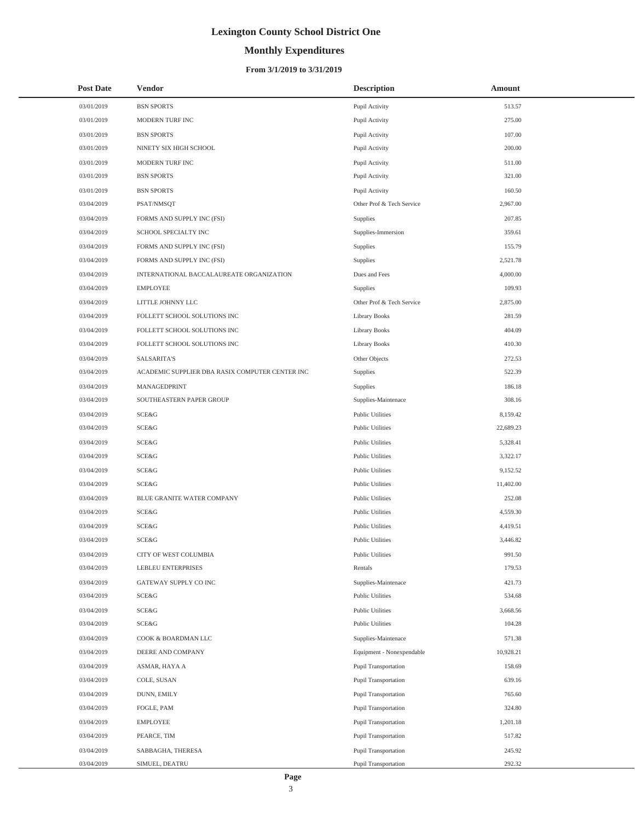# **Monthly Expenditures**

### **From 3/1/2019 to 3/31/2019**

| <b>Post Date</b> | Vendor                                          | <b>Description</b>        | Amount    |
|------------------|-------------------------------------------------|---------------------------|-----------|
| 03/01/2019       | <b>BSN SPORTS</b>                               | Pupil Activity            | 513.57    |
| 03/01/2019       | MODERN TURF INC                                 | Pupil Activity            | 275.00    |
| 03/01/2019       | <b>BSN SPORTS</b>                               | Pupil Activity            | 107.00    |
| 03/01/2019       | NINETY SIX HIGH SCHOOL                          | Pupil Activity            | 200.00    |
| 03/01/2019       | MODERN TURF INC                                 | Pupil Activity            | 511.00    |
| 03/01/2019       | <b>BSN SPORTS</b>                               | Pupil Activity            | 321.00    |
| 03/01/2019       | <b>BSN SPORTS</b>                               | Pupil Activity            | 160.50    |
| 03/04/2019       | PSAT/NMSQT                                      | Other Prof & Tech Service | 2,967.00  |
| 03/04/2019       | FORMS AND SUPPLY INC (FSI)                      | Supplies                  | 207.85    |
| 03/04/2019       | SCHOOL SPECIALTY INC                            | Supplies-Immersion        | 359.61    |
| 03/04/2019       | FORMS AND SUPPLY INC (FSI)                      | Supplies                  | 155.79    |
| 03/04/2019       | FORMS AND SUPPLY INC (FSI)                      | Supplies                  | 2,521.78  |
| 03/04/2019       | INTERNATIONAL BACCALAUREATE ORGANIZATION        | Dues and Fees             | 4,000.00  |
| 03/04/2019       | <b>EMPLOYEE</b>                                 | Supplies                  | 109.93    |
| 03/04/2019       | LITTLE JOHNNY LLC                               | Other Prof & Tech Service | 2,875.00  |
| 03/04/2019       | FOLLETT SCHOOL SOLUTIONS INC                    | Library Books             | 281.59    |
| 03/04/2019       | FOLLETT SCHOOL SOLUTIONS INC                    | Library Books             | 404.09    |
| 03/04/2019       | FOLLETT SCHOOL SOLUTIONS INC                    | <b>Library Books</b>      | 410.30    |
| 03/04/2019       | SALSARITA'S                                     | Other Objects             | 272.53    |
| 03/04/2019       | ACADEMIC SUPPLIER DBA RASIX COMPUTER CENTER INC | Supplies                  | 522.39    |
| 03/04/2019       | MANAGEDPRINT                                    | Supplies                  | 186.18    |
| 03/04/2019       | SOUTHEASTERN PAPER GROUP                        | Supplies-Maintenace       | 308.16    |
| 03/04/2019       | SCE&G                                           | <b>Public Utilities</b>   | 8,159.42  |
| 03/04/2019       | SCE&G                                           | <b>Public Utilities</b>   | 22,689.23 |
| 03/04/2019       | SCE&G                                           | <b>Public Utilities</b>   | 5,328.41  |
| 03/04/2019       | SCE&G                                           | <b>Public Utilities</b>   | 3,322.17  |
| 03/04/2019       | <b>SCE&amp;G</b>                                | <b>Public Utilities</b>   | 9,152.52  |
| 03/04/2019       | <b>SCE&amp;G</b>                                | <b>Public Utilities</b>   | 11,402.00 |
| 03/04/2019       | <b>BLUE GRANITE WATER COMPANY</b>               | <b>Public Utilities</b>   | 252.08    |
| 03/04/2019       | <b>SCE&amp;G</b>                                | <b>Public Utilities</b>   | 4,559.30  |
| 03/04/2019       | <b>SCE&amp;G</b>                                | <b>Public Utilities</b>   | 4,419.51  |
| 03/04/2019       | <b>SCE&amp;G</b>                                | <b>Public Utilities</b>   | 3.446.82  |
| 03/04/2019       | CITY OF WEST COLUMBIA                           | <b>Public Utilities</b>   | 991.50    |
| 03/04/2019       | LEBLEU ENTERPRISES                              | Rentals                   | 179.53    |
| 03/04/2019       | GATEWAY SUPPLY CO INC                           | Supplies-Maintenace       | 421.73    |
| 03/04/2019       | SCE&G                                           | <b>Public Utilities</b>   | 534.68    |
| 03/04/2019       | SCE&G                                           | <b>Public Utilities</b>   | 3,668.56  |
| 03/04/2019       | SCE&G                                           | <b>Public Utilities</b>   | 104.28    |
| 03/04/2019       | COOK & BOARDMAN LLC                             | Supplies-Maintenace       | 571.38    |
| 03/04/2019       | DEERE AND COMPANY                               | Equipment - Nonexpendable | 10,928.21 |
| 03/04/2019       | ASMAR, HAYA A                                   | Pupil Transportation      | 158.69    |
| 03/04/2019       | COLE, SUSAN                                     | Pupil Transportation      | 639.16    |
| 03/04/2019       | DUNN, EMILY                                     | Pupil Transportation      | 765.60    |
| 03/04/2019       | FOGLE, PAM                                      | Pupil Transportation      | 324.80    |
| 03/04/2019       | <b>EMPLOYEE</b>                                 | Pupil Transportation      | 1,201.18  |
| 03/04/2019       | PEARCE, TIM                                     | Pupil Transportation      | 517.82    |
| 03/04/2019       | SABBAGHA, THERESA                               | Pupil Transportation      | 245.92    |
| 03/04/2019       | SIMUEL, DEATRU                                  | Pupil Transportation      | 292.32    |

 $\overline{a}$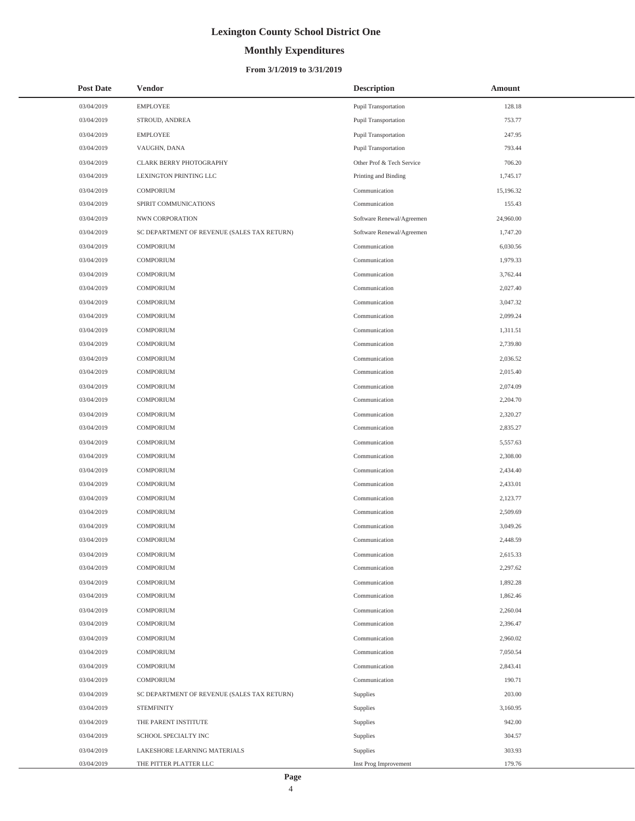### **Monthly Expenditures**

### **From 3/1/2019 to 3/31/2019**

| <b>Post Date</b> | <b>Vendor</b>                               | <b>Description</b>        | Amount    |
|------------------|---------------------------------------------|---------------------------|-----------|
| 03/04/2019       | <b>EMPLOYEE</b>                             | Pupil Transportation      | 128.18    |
| 03/04/2019       | STROUD, ANDREA                              | Pupil Transportation      | 753.77    |
| 03/04/2019       | <b>EMPLOYEE</b>                             | Pupil Transportation      | 247.95    |
| 03/04/2019       | VAUGHN, DANA                                | Pupil Transportation      | 793.44    |
| 03/04/2019       | <b>CLARK BERRY PHOTOGRAPHY</b>              | Other Prof & Tech Service | 706.20    |
| 03/04/2019       | LEXINGTON PRINTING LLC                      | Printing and Binding      | 1,745.17  |
| 03/04/2019       | COMPORIUM                                   | Communication             | 15,196.32 |
| 03/04/2019       | SPIRIT COMMUNICATIONS                       | Communication             | 155.43    |
| 03/04/2019       | NWN CORPORATION                             | Software Renewal/Agreemen | 24,960.00 |
| 03/04/2019       | SC DEPARTMENT OF REVENUE (SALES TAX RETURN) | Software Renewal/Agreemen | 1,747.20  |
| 03/04/2019       | COMPORIUM                                   | Communication             | 6,030.56  |
| 03/04/2019       | <b>COMPORIUM</b>                            | Communication             | 1,979.33  |
| 03/04/2019       | <b>COMPORIUM</b>                            | Communication             | 3,762.44  |
| 03/04/2019       | <b>COMPORIUM</b>                            | Communication             | 2,027.40  |
| 03/04/2019       | COMPORIUM                                   | Communication             | 3,047.32  |
| 03/04/2019       | <b>COMPORIUM</b>                            | Communication             | 2.099.24  |
| 03/04/2019       | <b>COMPORIUM</b>                            | Communication             | 1,311.51  |
| 03/04/2019       | <b>COMPORIUM</b>                            | Communication             | 2,739.80  |
| 03/04/2019       | COMPORIUM                                   | Communication             | 2,036.52  |
| 03/04/2019       | <b>COMPORIUM</b>                            | Communication             | 2,015.40  |
| 03/04/2019       | <b>COMPORIUM</b>                            | Communication             | 2,074.09  |
| 03/04/2019       | <b>COMPORIUM</b>                            | Communication             | 2,204.70  |
| 03/04/2019       | COMPORIUM                                   | Communication             | 2,320.27  |
| 03/04/2019       | <b>COMPORIUM</b>                            | Communication             | 2,835.27  |
| 03/04/2019       | <b>COMPORIUM</b>                            | Communication             | 5,557.63  |
| 03/04/2019       | <b>COMPORIUM</b>                            | Communication             | 2,308.00  |
| 03/04/2019       | <b>COMPORIUM</b>                            | Communication             | 2,434.40  |
| 03/04/2019       | <b>COMPORIUM</b>                            | Communication             | 2,433.01  |
| 03/04/2019       | <b>COMPORIUM</b>                            | Communication             | 2,123.77  |
| 03/04/2019       | <b>COMPORIUM</b>                            | Communication             | 2,509.69  |
| 03/04/2019       | <b>COMPORIUM</b>                            | Communication             | 3,049.26  |
| 03/04/2019       | <b>COMPORIUM</b>                            | Communication             | 2,448.59  |
| 03/04/2019       | COMPORIUM                                   | Communication             | 2,615.33  |
| 03/04/2019       | <b>COMPORIUM</b>                            | Communication             | 2,297.62  |
| 03/04/2019       | COMPORIUM                                   | Communication             | 1,892.28  |
| 03/04/2019       | COMPORIUM                                   | Communication             | 1,862.46  |
| 03/04/2019       | COMPORIUM                                   | Communication             | 2.260.04  |
| 03/04/2019       | COMPORIUM                                   | Communication             | 2,396.47  |
| 03/04/2019       | COMPORIUM                                   | Communication             | 2,960.02  |
| 03/04/2019       | COMPORIUM                                   | Communication             | 7.050.54  |
| 03/04/2019       | COMPORIUM                                   | Communication             | 2,843.41  |
| 03/04/2019       | <b>COMPORIUM</b>                            | Communication             | 190.71    |
| 03/04/2019       | SC DEPARTMENT OF REVENUE (SALES TAX RETURN) | Supplies                  | 203.00    |
| 03/04/2019       | <b>STEMFINITY</b>                           | Supplies                  | 3,160.95  |
| 03/04/2019       | THE PARENT INSTITUTE                        | Supplies                  | 942.00    |
| 03/04/2019       | SCHOOL SPECIALTY INC                        | Supplies                  | 304.57    |
| 03/04/2019       | LAKESHORE LEARNING MATERIALS                | Supplies                  | 303.93    |
| 03/04/2019       | THE PITTER PLATTER LLC                      | Inst Prog Improvement     | 179.76    |

L,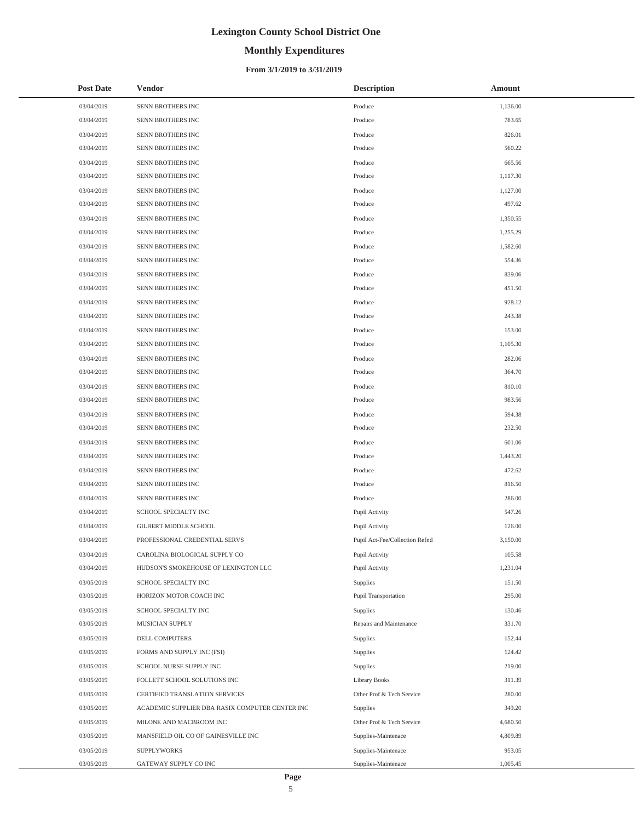# **Monthly Expenditures**

### **From 3/1/2019 to 3/31/2019**

| <b>Post Date</b> | Vendor                                          | <b>Description</b>             | Amount   |
|------------------|-------------------------------------------------|--------------------------------|----------|
| 03/04/2019       | SENN BROTHERS INC                               | Produce                        | 1,136.00 |
| 03/04/2019       | SENN BROTHERS INC                               | Produce                        | 783.65   |
| 03/04/2019       | SENN BROTHERS INC                               | Produce                        | 826.01   |
| 03/04/2019       | SENN BROTHERS INC                               | Produce                        | 560.22   |
| 03/04/2019       | SENN BROTHERS INC                               | Produce                        | 665.56   |
| 03/04/2019       | SENN BROTHERS INC                               | Produce                        | 1,117.30 |
| 03/04/2019       | SENN BROTHERS INC                               | Produce                        | 1,127.00 |
| 03/04/2019       | SENN BROTHERS INC                               | Produce                        | 497.62   |
| 03/04/2019       | SENN BROTHERS INC                               | Produce                        | 1,350.55 |
| 03/04/2019       | SENN BROTHERS INC                               | Produce                        | 1,255.29 |
| 03/04/2019       | SENN BROTHERS INC                               | Produce                        | 1,582.60 |
| 03/04/2019       | SENN BROTHERS INC                               | Produce                        | 554.36   |
| 03/04/2019       | SENN BROTHERS INC                               | Produce                        | 839.06   |
| 03/04/2019       | SENN BROTHERS INC                               | Produce                        | 451.50   |
| 03/04/2019       | SENN BROTHERS INC                               | Produce                        | 928.12   |
| 03/04/2019       | SENN BROTHERS INC                               | Produce                        | 243.38   |
| 03/04/2019       | SENN BROTHERS INC                               | Produce                        | 153.00   |
| 03/04/2019       | SENN BROTHERS INC                               | Produce                        | 1,105.30 |
| 03/04/2019       | SENN BROTHERS INC                               | Produce                        | 282.06   |
| 03/04/2019       | SENN BROTHERS INC                               | Produce                        | 364.70   |
| 03/04/2019       | SENN BROTHERS INC                               | Produce                        | 810.10   |
| 03/04/2019       | SENN BROTHERS INC                               | Produce                        | 983.56   |
| 03/04/2019       | SENN BROTHERS INC                               | Produce                        | 594.38   |
| 03/04/2019       | SENN BROTHERS INC                               | Produce                        | 232.50   |
| 03/04/2019       | SENN BROTHERS INC                               | Produce                        | 601.06   |
| 03/04/2019       | SENN BROTHERS INC                               | Produce                        | 1,443.20 |
| 03/04/2019       | SENN BROTHERS INC                               | Produce                        | 472.62   |
| 03/04/2019       | SENN BROTHERS INC                               | Produce                        | 816.50   |
| 03/04/2019       | SENN BROTHERS INC                               | Produce                        | 286.00   |
| 03/04/2019       | SCHOOL SPECIALTY INC                            | Pupil Activity                 | 547.26   |
| 03/04/2019       | GILBERT MIDDLE SCHOOL                           | Pupil Activity                 | 126.00   |
| 03/04/2019       | PROFESSIONAL CREDENTIAL SERVS                   | Pupil Act-Fee/Collection Refnd | 3,150.00 |
| 03/04/2019       | CAROLINA BIOLOGICAL SUPPLY CO                   | Pupil Activity                 | 105.58   |
| 03/04/2019       | HUDSON'S SMOKEHOUSE OF LEXINGTON LLC            | Pupil Activity                 | 1,231.04 |
| 03/05/2019       | SCHOOL SPECIALTY INC                            | Supplies                       | 151.50   |
| 03/05/2019       | HORIZON MOTOR COACH INC                         | Pupil Transportation           | 295.00   |
| 03/05/2019       | SCHOOL SPECIALTY INC                            | Supplies                       | 130.46   |
| 03/05/2019       | MUSICIAN SUPPLY                                 | Repairs and Maintenance        | 331.70   |
| 03/05/2019       | DELL COMPUTERS                                  | Supplies                       | 152.44   |
| 03/05/2019       | FORMS AND SUPPLY INC (FSI)                      | Supplies                       | 124.42   |
| 03/05/2019       | SCHOOL NURSE SUPPLY INC                         | Supplies                       | 219.00   |
| 03/05/2019       | FOLLETT SCHOOL SOLUTIONS INC                    | Library Books                  | 311.39   |
| 03/05/2019       | CERTIFIED TRANSLATION SERVICES                  | Other Prof & Tech Service      | 280.00   |
| 03/05/2019       | ACADEMIC SUPPLIER DBA RASIX COMPUTER CENTER INC | Supplies                       | 349.20   |
| 03/05/2019       | MILONE AND MACBROOM INC                         | Other Prof & Tech Service      | 4,680.50 |
| 03/05/2019       | MANSFIELD OIL CO OF GAINESVILLE INC             | Supplies-Maintenace            | 4,809.89 |
| 03/05/2019       | <b>SUPPLYWORKS</b>                              | Supplies-Maintenace            | 953.05   |
| 03/05/2019       | GATEWAY SUPPLY CO INC                           | Supplies-Maintenace            | 1,005.45 |

÷,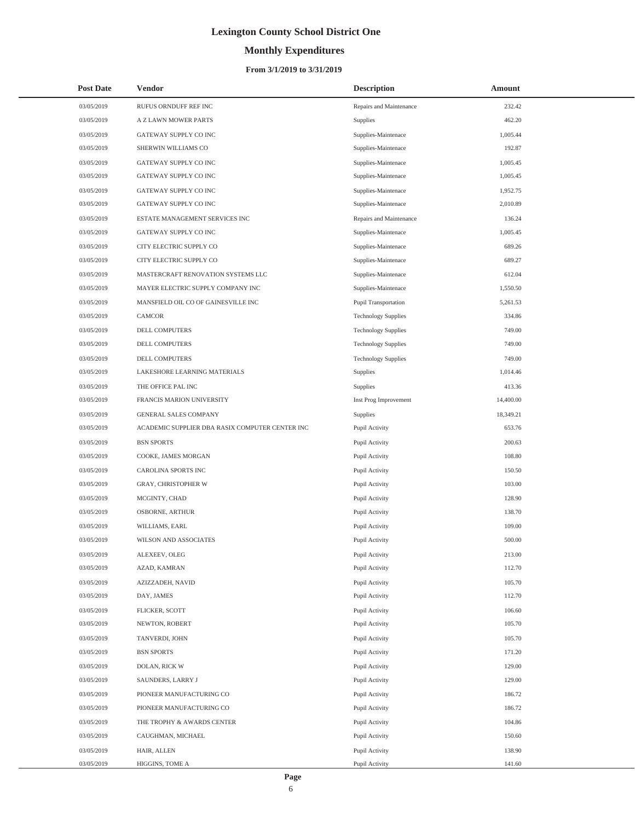# **Monthly Expenditures**

| <b>Post Date</b>         | <b>Vendor</b>                                   | <b>Description</b>               | Amount           |
|--------------------------|-------------------------------------------------|----------------------------------|------------------|
| 03/05/2019               | RUFUS ORNDUFF REF INC                           | Repairs and Maintenance          | 232.42           |
| 03/05/2019               | A Z LAWN MOWER PARTS                            | Supplies                         | 462.20           |
| 03/05/2019               | GATEWAY SUPPLY CO INC                           | Supplies-Maintenace              | 1,005.44         |
| 03/05/2019               | SHERWIN WILLIAMS CO                             | Supplies-Maintenace              | 192.87           |
| 03/05/2019               | GATEWAY SUPPLY CO INC                           | Supplies-Maintenace              | 1,005.45         |
| 03/05/2019               | GATEWAY SUPPLY CO INC                           | Supplies-Maintenace              | 1,005.45         |
| 03/05/2019               | GATEWAY SUPPLY CO INC                           | Supplies-Maintenace              | 1,952.75         |
| 03/05/2019               | GATEWAY SUPPLY CO INC                           | Supplies-Maintenace              | 2,010.89         |
| 03/05/2019               | ESTATE MANAGEMENT SERVICES INC                  | Repairs and Maintenance          | 136.24           |
| 03/05/2019               | GATEWAY SUPPLY CO INC                           | Supplies-Maintenace              | 1,005.45         |
| 03/05/2019               | CITY ELECTRIC SUPPLY CO                         | Supplies-Maintenace              | 689.26           |
| 03/05/2019               | CITY ELECTRIC SUPPLY CO                         | Supplies-Maintenace              | 689.27           |
| 03/05/2019               | MASTERCRAFT RENOVATION SYSTEMS LLC              | Supplies-Maintenace              | 612.04           |
| 03/05/2019               | MAYER ELECTRIC SUPPLY COMPANY INC               | Supplies-Maintenace              | 1,550.50         |
| 03/05/2019               | MANSFIELD OIL CO OF GAINESVILLE INC             | Pupil Transportation             | 5,261.53         |
| 03/05/2019               | <b>CAMCOR</b>                                   | <b>Technology Supplies</b>       | 334.86           |
| 03/05/2019               | DELL COMPUTERS                                  | <b>Technology Supplies</b>       | 749.00           |
| 03/05/2019               | DELL COMPUTERS                                  | <b>Technology Supplies</b>       | 749.00           |
| 03/05/2019               | DELL COMPUTERS                                  | <b>Technology Supplies</b>       | 749.00           |
| 03/05/2019               | LAKESHORE LEARNING MATERIALS                    | Supplies                         | 1,014.46         |
| 03/05/2019               | THE OFFICE PAL INC                              | Supplies                         | 413.36           |
| 03/05/2019               | FRANCIS MARION UNIVERSITY                       | Inst Prog Improvement            | 14,400.00        |
| 03/05/2019               | GENERAL SALES COMPANY                           | Supplies                         | 18,349.21        |
| 03/05/2019               | ACADEMIC SUPPLIER DBA RASIX COMPUTER CENTER INC | Pupil Activity                   | 653.76           |
| 03/05/2019               | <b>BSN SPORTS</b>                               | Pupil Activity                   | 200.63           |
| 03/05/2019               | COOKE, JAMES MORGAN                             | Pupil Activity                   | 108.80           |
| 03/05/2019               | CAROLINA SPORTS INC                             | Pupil Activity                   | 150.50           |
| 03/05/2019               | <b>GRAY, CHRISTOPHER W</b>                      | Pupil Activity                   | 103.00           |
| 03/05/2019               | MCGINTY, CHAD                                   | Pupil Activity                   | 128.90           |
| 03/05/2019               | <b>OSBORNE, ARTHUR</b>                          | Pupil Activity                   | 138.70           |
| 03/05/2019               | WILLIAMS, EARL                                  | Pupil Activity                   | 109.00           |
| 03/05/2019               | WILSON AND ASSOCIATES                           | Pupil Activity                   | 500.00           |
| 03/05/2019               | ALEXEEV, OLEG                                   | Pupil Activity                   | 213.00           |
| 03/05/2019               | AZAD, KAMRAN                                    | Pupil Activity                   | 112.70           |
| 03/05/2019               | AZIZZADEH, NAVID                                | Pupil Activity                   | 105.70           |
| 03/05/2019               | DAY, JAMES                                      | Pupil Activity                   | 112.70           |
| 03/05/2019               | FLICKER, SCOTT                                  | Pupil Activity                   | 106.60           |
| 03/05/2019               | NEWTON, ROBERT                                  | Pupil Activity                   | 105.70           |
| 03/05/2019               | TANVERDI, JOHN                                  | Pupil Activity                   | 105.70           |
| 03/05/2019               | <b>BSN SPORTS</b>                               | Pupil Activity                   | 171.20           |
| 03/05/2019               | DOLAN, RICK W                                   | Pupil Activity                   | 129.00           |
| 03/05/2019               | SAUNDERS, LARRY J                               | Pupil Activity                   | 129.00           |
| 03/05/2019               | PIONEER MANUFACTURING CO                        | Pupil Activity                   | 186.72<br>186.72 |
| 03/05/2019<br>03/05/2019 | PIONEER MANUFACTURING CO                        | Pupil Activity<br>Pupil Activity | 104.86           |
| 03/05/2019               | THE TROPHY & AWARDS CENTER<br>CAUGHMAN, MICHAEL | Pupil Activity                   | 150.60           |
| 03/05/2019               | HAIR, ALLEN                                     | Pupil Activity                   | 138.90           |
| 03/05/2019               | HIGGINS, TOME A                                 | Pupil Activity                   | 141.60           |
|                          |                                                 |                                  |                  |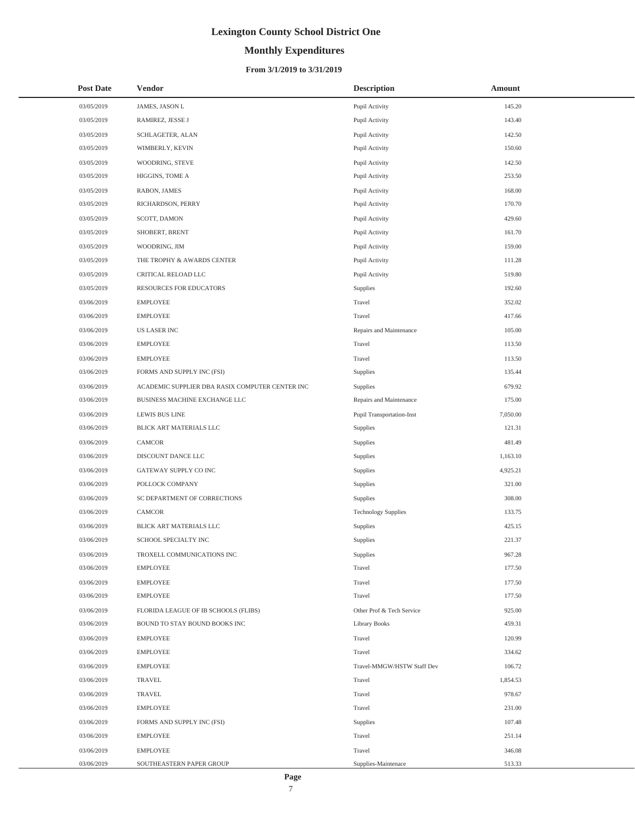# **Monthly Expenditures**

### **From 3/1/2019 to 3/31/2019**

| <b>Post Date</b> | <b>Vendor</b>                                   | <b>Description</b>               | Amount   |
|------------------|-------------------------------------------------|----------------------------------|----------|
| 03/05/2019       | JAMES, JASON L                                  | Pupil Activity                   | 145.20   |
| 03/05/2019       | RAMIREZ, JESSE J                                | Pupil Activity                   | 143.40   |
| 03/05/2019       | SCHLAGETER, ALAN                                | Pupil Activity                   | 142.50   |
| 03/05/2019       | WIMBERLY, KEVIN                                 | Pupil Activity                   | 150.60   |
| 03/05/2019       | WOODRING, STEVE                                 | Pupil Activity                   | 142.50   |
| 03/05/2019       | HIGGINS, TOME A                                 | Pupil Activity                   | 253.50   |
| 03/05/2019       | <b>RABON, JAMES</b>                             | Pupil Activity                   | 168.00   |
| 03/05/2019       | RICHARDSON, PERRY                               | Pupil Activity                   | 170.70   |
| 03/05/2019       | SCOTT, DAMON                                    | Pupil Activity                   | 429.60   |
| 03/05/2019       | SHOBERT, BRENT                                  | Pupil Activity                   | 161.70   |
| 03/05/2019       | WOODRING, JIM                                   | Pupil Activity                   | 159.00   |
| 03/05/2019       | THE TROPHY & AWARDS CENTER                      | Pupil Activity                   | 111.28   |
| 03/05/2019       | CRITICAL RELOAD LLC                             | Pupil Activity                   | 519.80   |
| 03/05/2019       | RESOURCES FOR EDUCATORS                         | Supplies                         | 192.60   |
| 03/06/2019       | <b>EMPLOYEE</b>                                 | Travel                           | 352.02   |
| 03/06/2019       | <b>EMPLOYEE</b>                                 | Travel                           | 417.66   |
| 03/06/2019       | <b>US LASER INC</b>                             | Repairs and Maintenance          | 105.00   |
| 03/06/2019       | <b>EMPLOYEE</b>                                 | Travel                           | 113.50   |
| 03/06/2019       | <b>EMPLOYEE</b>                                 | Travel                           | 113.50   |
| 03/06/2019       | FORMS AND SUPPLY INC (FSI)                      | Supplies                         | 135.44   |
| 03/06/2019       | ACADEMIC SUPPLIER DBA RASIX COMPUTER CENTER INC | Supplies                         | 679.92   |
| 03/06/2019       | BUSINESS MACHINE EXCHANGE LLC                   | Repairs and Maintenance          | 175.00   |
| 03/06/2019       | <b>LEWIS BUS LINE</b>                           | <b>Pupil Transportation-Inst</b> | 7,050.00 |
| 03/06/2019       | BLICK ART MATERIALS LLC                         | Supplies                         | 121.31   |
| 03/06/2019       | CAMCOR                                          | Supplies                         | 481.49   |
| 03/06/2019       | DISCOUNT DANCE LLC                              | Supplies                         | 1,163.10 |
| 03/06/2019       | GATEWAY SUPPLY CO INC                           | Supplies                         | 4,925.21 |
| 03/06/2019       | POLLOCK COMPANY                                 | Supplies                         | 321.00   |
| 03/06/2019       | SC DEPARTMENT OF CORRECTIONS                    | Supplies                         | 308.00   |
| 03/06/2019       | CAMCOR                                          | <b>Technology Supplies</b>       | 133.75   |
| 03/06/2019       | BLICK ART MATERIALS LLC                         | Supplies                         | 425.15   |
| 03/06/2019       | SCHOOL SPECIALTY INC                            | Supplies                         | 221.37   |
| 03/06/2019       | TROXELL COMMUNICATIONS INC                      | Supplies                         | 967.28   |
| 03/06/2019       | <b>EMPLOYEE</b>                                 | Travel                           | 177.50   |
| 03/06/2019       | <b>EMPLOYEE</b>                                 | Travel                           | 177.50   |
| 03/06/2019       | <b>EMPLOYEE</b>                                 | Travel                           | 177.50   |
| 03/06/2019       | FLORIDA LEAGUE OF IB SCHOOLS (FLIBS)            | Other Prof & Tech Service        | 925.00   |
| 03/06/2019       | BOUND TO STAY BOUND BOOKS INC                   | <b>Library Books</b>             | 459.31   |
| 03/06/2019       | <b>EMPLOYEE</b>                                 | Travel                           | 120.99   |
| 03/06/2019       | <b>EMPLOYEE</b>                                 | Travel                           | 334.62   |
| 03/06/2019       | <b>EMPLOYEE</b>                                 | Travel-MMGW/HSTW Staff Dev       | 106.72   |
| 03/06/2019       | <b>TRAVEL</b>                                   | Travel                           | 1,854.53 |
| 03/06/2019       | <b>TRAVEL</b>                                   | Travel                           | 978.67   |
| 03/06/2019       | <b>EMPLOYEE</b>                                 | Travel                           | 231.00   |
| 03/06/2019       | FORMS AND SUPPLY INC (FSI)                      | Supplies                         | 107.48   |
| 03/06/2019       | <b>EMPLOYEE</b>                                 | Travel                           | 251.14   |
| 03/06/2019       | <b>EMPLOYEE</b>                                 | Travel                           | 346.08   |
| 03/06/2019       | SOUTHEASTERN PAPER GROUP                        | Supplies-Maintenace              | 513.33   |

÷,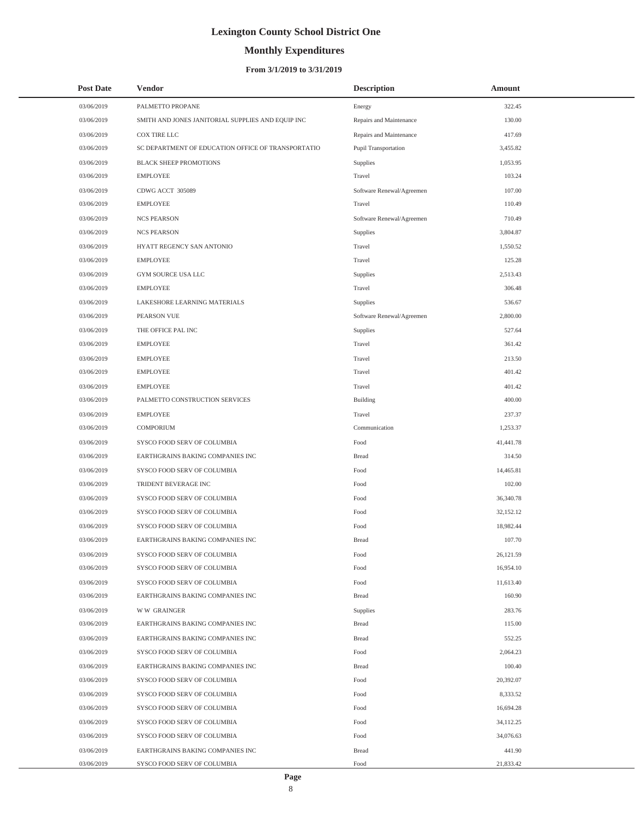# **Monthly Expenditures**

| <b>Post Date</b> | <b>Vendor</b>                                      | <b>Description</b>          | Amount    |
|------------------|----------------------------------------------------|-----------------------------|-----------|
| 03/06/2019       | PALMETTO PROPANE                                   | Energy                      | 322.45    |
| 03/06/2019       | SMITH AND JONES JANITORIAL SUPPLIES AND EQUIP INC  | Repairs and Maintenance     | 130.00    |
| 03/06/2019       | <b>COX TIRE LLC</b>                                | Repairs and Maintenance     | 417.69    |
| 03/06/2019       | SC DEPARTMENT OF EDUCATION OFFICE OF TRANSPORTATIO | <b>Pupil Transportation</b> | 3,455.82  |
| 03/06/2019       | <b>BLACK SHEEP PROMOTIONS</b>                      | Supplies                    | 1,053.95  |
| 03/06/2019       | <b>EMPLOYEE</b>                                    | Travel                      | 103.24    |
| 03/06/2019       | CDWG ACCT 305089                                   | Software Renewal/Agreemen   | 107.00    |
| 03/06/2019       | <b>EMPLOYEE</b>                                    | Travel                      | 110.49    |
| 03/06/2019       | <b>NCS PEARSON</b>                                 | Software Renewal/Agreemen   | 710.49    |
| 03/06/2019       | <b>NCS PEARSON</b>                                 | Supplies                    | 3,804.87  |
| 03/06/2019       | HYATT REGENCY SAN ANTONIO                          | Travel                      | 1,550.52  |
| 03/06/2019       | <b>EMPLOYEE</b>                                    | Travel                      | 125.28    |
| 03/06/2019       | GYM SOURCE USA LLC                                 | Supplies                    | 2,513.43  |
| 03/06/2019       | <b>EMPLOYEE</b>                                    | Travel                      | 306.48    |
| 03/06/2019       | LAKESHORE LEARNING MATERIALS                       | Supplies                    | 536.67    |
| 03/06/2019       | PEARSON VUE                                        | Software Renewal/Agreemen   | 2,800.00  |
| 03/06/2019       | THE OFFICE PAL INC                                 | Supplies                    | 527.64    |
| 03/06/2019       | <b>EMPLOYEE</b>                                    | Travel                      | 361.42    |
| 03/06/2019       | <b>EMPLOYEE</b>                                    | Travel                      | 213.50    |
| 03/06/2019       | <b>EMPLOYEE</b>                                    | Travel                      | 401.42    |
| 03/06/2019       | <b>EMPLOYEE</b>                                    | Travel                      | 401.42    |
| 03/06/2019       | PALMETTO CONSTRUCTION SERVICES                     | Building                    | 400.00    |
| 03/06/2019       | <b>EMPLOYEE</b>                                    | Travel                      | 237.37    |
| 03/06/2019       | COMPORIUM                                          | Communication               | 1,253.37  |
| 03/06/2019       | SYSCO FOOD SERV OF COLUMBIA                        | Food                        | 41,441.78 |
| 03/06/2019       | EARTHGRAINS BAKING COMPANIES INC                   | <b>Bread</b>                | 314.50    |
| 03/06/2019       | SYSCO FOOD SERV OF COLUMBIA                        | Food                        | 14,465.81 |
| 03/06/2019       | TRIDENT BEVERAGE INC                               | Food                        | 102.00    |
| 03/06/2019       | SYSCO FOOD SERV OF COLUMBIA                        | Food                        | 36,340.78 |
| 03/06/2019       | SYSCO FOOD SERV OF COLUMBIA                        | Food                        | 32,152.12 |
| 03/06/2019       | SYSCO FOOD SERV OF COLUMBIA                        | Food                        | 18,982.44 |
| 03/06/2019       | EARTHGRAINS BAKING COMPANIES INC                   | <b>Bread</b>                | 107.70    |
| 03/06/2019       | SYSCO FOOD SERV OF COLUMBIA                        | Food                        | 26,121.59 |
| 03/06/2019       | SYSCO FOOD SERV OF COLUMBIA                        | Food                        | 16,954.10 |
| 03/06/2019       | SYSCO FOOD SERV OF COLUMBIA                        | Food                        | 11,613.40 |
| 03/06/2019       | EARTHGRAINS BAKING COMPANIES INC                   | <b>Bread</b>                | 160.90    |
| 03/06/2019       | <b>WW GRAINGER</b>                                 | Supplies                    | 283.76    |
| 03/06/2019       | EARTHGRAINS BAKING COMPANIES INC                   | <b>Bread</b>                | 115.00    |
| 03/06/2019       | EARTHGRAINS BAKING COMPANIES INC                   | <b>Bread</b>                | 552.25    |
| 03/06/2019       | SYSCO FOOD SERV OF COLUMBIA                        | Food                        | 2,064.23  |
| 03/06/2019       | EARTHGRAINS BAKING COMPANIES INC                   | <b>Bread</b>                | 100.40    |
| 03/06/2019       | SYSCO FOOD SERV OF COLUMBIA                        | Food                        | 20,392.07 |
| 03/06/2019       | SYSCO FOOD SERV OF COLUMBIA                        | Food                        | 8,333.52  |
| 03/06/2019       | SYSCO FOOD SERV OF COLUMBIA                        | Food                        | 16,694.28 |
| 03/06/2019       | SYSCO FOOD SERV OF COLUMBIA                        | Food                        | 34,112.25 |
| 03/06/2019       | SYSCO FOOD SERV OF COLUMBIA                        | Food                        | 34,076.63 |
| 03/06/2019       | EARTHGRAINS BAKING COMPANIES INC                   | <b>Bread</b>                | 441.90    |
| 03/06/2019       | SYSCO FOOD SERV OF COLUMBIA                        | Food                        | 21,833.42 |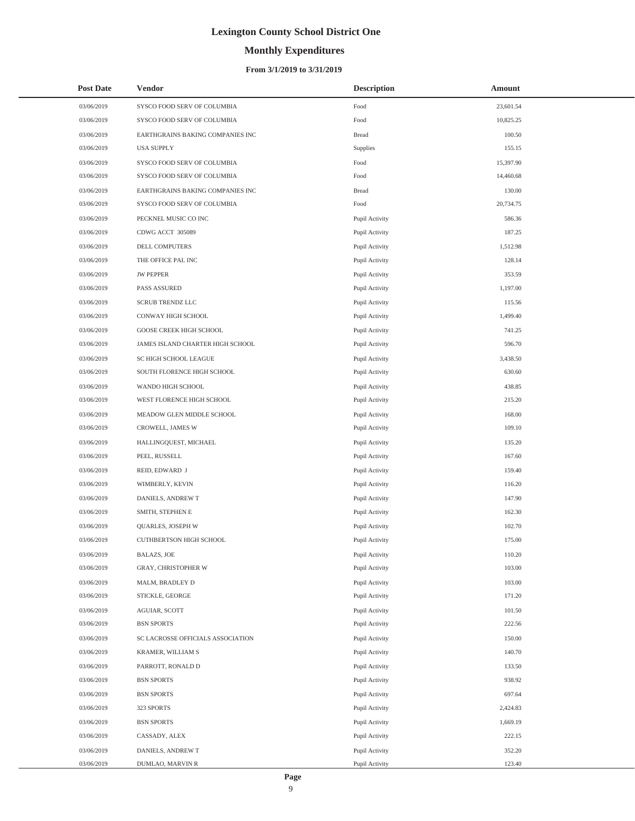### **Monthly Expenditures**

| <b>Post Date</b> | <b>Vendor</b>                     | <b>Description</b> | Amount    |
|------------------|-----------------------------------|--------------------|-----------|
| 03/06/2019       | SYSCO FOOD SERV OF COLUMBIA       | Food               | 23,601.54 |
| 03/06/2019       | SYSCO FOOD SERV OF COLUMBIA       | Food               | 10,825.25 |
| 03/06/2019       | EARTHGRAINS BAKING COMPANIES INC  | <b>Bread</b>       | 100.50    |
| 03/06/2019       | <b>USA SUPPLY</b>                 | Supplies           | 155.15    |
| 03/06/2019       | SYSCO FOOD SERV OF COLUMBIA       | Food               | 15,397.90 |
| 03/06/2019       | SYSCO FOOD SERV OF COLUMBIA       | Food               | 14,460.68 |
| 03/06/2019       | EARTHGRAINS BAKING COMPANIES INC  | <b>Bread</b>       | 130.00    |
| 03/06/2019       | SYSCO FOOD SERV OF COLUMBIA       | Food               | 20,734.75 |
| 03/06/2019       | PECKNEL MUSIC CO INC              | Pupil Activity     | 586.36    |
| 03/06/2019       | CDWG ACCT 305089                  | Pupil Activity     | 187.25    |
| 03/06/2019       | DELL COMPUTERS                    | Pupil Activity     | 1,512.98  |
| 03/06/2019       | THE OFFICE PAL INC                | Pupil Activity     | 128.14    |
| 03/06/2019       | <b>JW PEPPER</b>                  | Pupil Activity     | 353.59    |
| 03/06/2019       | PASS ASSURED                      | Pupil Activity     | 1,197.00  |
| 03/06/2019       | <b>SCRUB TRENDZ LLC</b>           | Pupil Activity     | 115.56    |
| 03/06/2019       | CONWAY HIGH SCHOOL                | Pupil Activity     | 1,499.40  |
| 03/06/2019       | GOOSE CREEK HIGH SCHOOL           | Pupil Activity     | 741.25    |
| 03/06/2019       | JAMES ISLAND CHARTER HIGH SCHOOL  | Pupil Activity     | 596.70    |
| 03/06/2019       | SC HIGH SCHOOL LEAGUE             | Pupil Activity     | 3,438.50  |
| 03/06/2019       | SOUTH FLORENCE HIGH SCHOOL        | Pupil Activity     | 630.60    |
| 03/06/2019       | WANDO HIGH SCHOOL                 | Pupil Activity     | 438.85    |
| 03/06/2019       | WEST FLORENCE HIGH SCHOOL         | Pupil Activity     | 215.20    |
| 03/06/2019       | MEADOW GLEN MIDDLE SCHOOL         | Pupil Activity     | 168.00    |
| 03/06/2019       | CROWELL, JAMES W                  | Pupil Activity     | 109.10    |
| 03/06/2019       | HALLINGQUEST, MICHAEL             | Pupil Activity     | 135.20    |
| 03/06/2019       | PEEL, RUSSELL                     | Pupil Activity     | 167.60    |
| 03/06/2019       | REID, EDWARD J                    | Pupil Activity     | 159.40    |
| 03/06/2019       | WIMBERLY, KEVIN                   | Pupil Activity     | 116.20    |
| 03/06/2019       | DANIELS, ANDREW T                 | Pupil Activity     | 147.90    |
| 03/06/2019       | SMITH, STEPHEN E                  | Pupil Activity     | 162.30    |
| 03/06/2019       | QUARLES, JOSEPH W                 | Pupil Activity     | 102.70    |
| 03/06/2019       | <b>CUTHBERTSON HIGH SCHOOL</b>    | Pupil Activity     | 175.00    |
| 03/06/2019       | <b>BALAZS, JOE</b>                | Pupil Activity     | 110.20    |
| 03/06/2019       | GRAY, CHRISTOPHER W               | Pupil Activity     | 103.00    |
| 03/06/2019       | MALM, BRADLEY D                   | Pupil Activity     | 103.00    |
| 03/06/2019       | STICKLE, GEORGE                   | Pupil Activity     | 171.20    |
| 03/06/2019       | AGUIAR, SCOTT                     | Pupil Activity     | 101.50    |
| 03/06/2019       | <b>BSN SPORTS</b>                 | Pupil Activity     | 222.56    |
| 03/06/2019       | SC LACROSSE OFFICIALS ASSOCIATION | Pupil Activity     | 150.00    |
| 03/06/2019       | KRAMER, WILLIAM S                 | Pupil Activity     | 140.70    |
| 03/06/2019       | PARROTT, RONALD D                 | Pupil Activity     | 133.50    |
| 03/06/2019       | <b>BSN SPORTS</b>                 | Pupil Activity     | 938.92    |
| 03/06/2019       | <b>BSN SPORTS</b>                 | Pupil Activity     | 697.64    |
| 03/06/2019       | 323 SPORTS                        | Pupil Activity     | 2,424.83  |
| 03/06/2019       | <b>BSN SPORTS</b>                 | Pupil Activity     | 1,669.19  |
| 03/06/2019       | CASSADY, ALEX                     | Pupil Activity     | 222.15    |
| 03/06/2019       | DANIELS, ANDREW T                 | Pupil Activity     | 352.20    |
| 03/06/2019       | DUMLAO, MARVIN R                  | Pupil Activity     | 123.40    |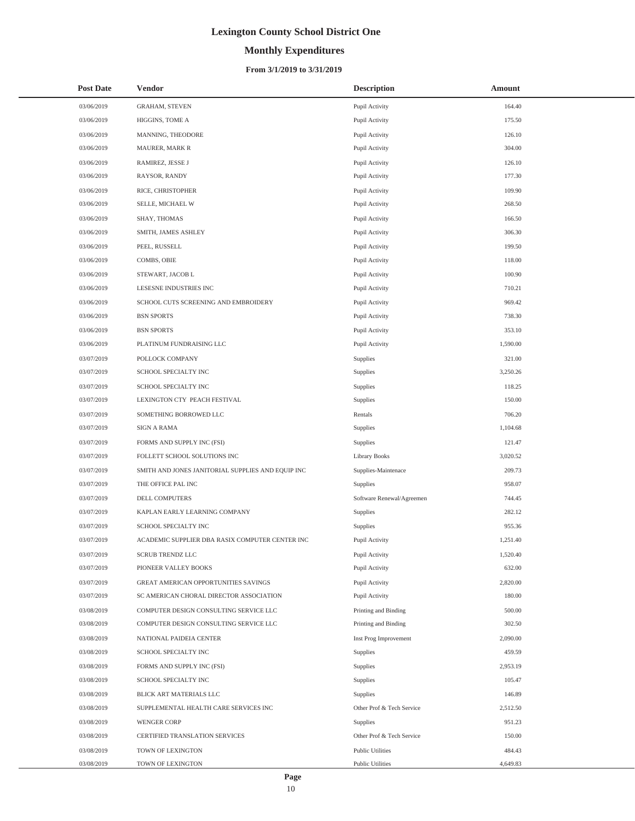# **Monthly Expenditures**

### **From 3/1/2019 to 3/31/2019**

| <b>Post Date</b> | <b>Vendor</b>                                     | <b>Description</b>        | Amount   |
|------------------|---------------------------------------------------|---------------------------|----------|
| 03/06/2019       | <b>GRAHAM, STEVEN</b>                             | Pupil Activity            | 164.40   |
| 03/06/2019       | HIGGINS, TOME A                                   | Pupil Activity            | 175.50   |
| 03/06/2019       | MANNING, THEODORE                                 | Pupil Activity            | 126.10   |
| 03/06/2019       | MAURER, MARK R                                    | Pupil Activity            | 304.00   |
| 03/06/2019       | RAMIREZ, JESSE J                                  | Pupil Activity            | 126.10   |
| 03/06/2019       | RAYSOR, RANDY                                     | Pupil Activity            | 177.30   |
| 03/06/2019       | RICE, CHRISTOPHER                                 | Pupil Activity            | 109.90   |
| 03/06/2019       | SELLE, MICHAEL W                                  | Pupil Activity            | 268.50   |
| 03/06/2019       | SHAY, THOMAS                                      | Pupil Activity            | 166.50   |
| 03/06/2019       | SMITH, JAMES ASHLEY                               | Pupil Activity            | 306.30   |
| 03/06/2019       | PEEL, RUSSELL                                     | Pupil Activity            | 199.50   |
| 03/06/2019       | COMBS, OBIE                                       | Pupil Activity            | 118.00   |
| 03/06/2019       | STEWART, JACOB L                                  | Pupil Activity            | 100.90   |
| 03/06/2019       | LESESNE INDUSTRIES INC                            | Pupil Activity            | 710.21   |
| 03/06/2019       | SCHOOL CUTS SCREENING AND EMBROIDERY              | Pupil Activity            | 969.42   |
| 03/06/2019       | <b>BSN SPORTS</b>                                 | Pupil Activity            | 738.30   |
| 03/06/2019       | <b>BSN SPORTS</b>                                 | Pupil Activity            | 353.10   |
| 03/06/2019       | PLATINUM FUNDRAISING LLC                          | Pupil Activity            | 1,590.00 |
| 03/07/2019       | POLLOCK COMPANY                                   | Supplies                  | 321.00   |
| 03/07/2019       | SCHOOL SPECIALTY INC                              | Supplies                  | 3,250.26 |
| 03/07/2019       | SCHOOL SPECIALTY INC                              | Supplies                  | 118.25   |
| 03/07/2019       | LEXINGTON CTY PEACH FESTIVAL                      | Supplies                  | 150.00   |
| 03/07/2019       | SOMETHING BORROWED LLC                            | Rentals                   | 706.20   |
| 03/07/2019       | SIGN A RAMA                                       | Supplies                  | 1,104.68 |
| 03/07/2019       | FORMS AND SUPPLY INC (FSI)                        | Supplies                  | 121.47   |
| 03/07/2019       | FOLLETT SCHOOL SOLUTIONS INC                      | <b>Library Books</b>      | 3,020.52 |
| 03/07/2019       | SMITH AND JONES JANITORIAL SUPPLIES AND EQUIP INC | Supplies-Maintenace       | 209.73   |
| 03/07/2019       | THE OFFICE PAL INC                                | Supplies                  | 958.07   |
| 03/07/2019       | DELL COMPUTERS                                    | Software Renewal/Agreemen | 744.45   |
| 03/07/2019       | KAPLAN EARLY LEARNING COMPANY                     | Supplies                  | 282.12   |
| 03/07/2019       | SCHOOL SPECIALTY INC                              | Supplies                  | 955.36   |
| 03/07/2019       | ACADEMIC SUPPLIER DBA RASIX COMPUTER CENTER INC   | Pupil Activity            | 1,251.40 |
| 03/07/2019       | SCRUB TRENDZ LLC                                  | Pupil Activity            | 1,520.40 |
| 03/07/2019       | PIONEER VALLEY BOOKS                              | Pupil Activity            | 632.00   |
| 03/07/2019       | <b>GREAT AMERICAN OPPORTUNITIES SAVINGS</b>       | Pupil Activity            | 2,820.00 |
| 03/07/2019       | SC AMERICAN CHORAL DIRECTOR ASSOCIATION           | Pupil Activity            | 180.00   |
| 03/08/2019       | COMPUTER DESIGN CONSULTING SERVICE LLC            | Printing and Binding      | 500.00   |
| 03/08/2019       | COMPUTER DESIGN CONSULTING SERVICE LLC            | Printing and Binding      | 302.50   |
| 03/08/2019       | NATIONAL PAIDEIA CENTER                           | Inst Prog Improvement     | 2,090.00 |
| 03/08/2019       | SCHOOL SPECIALTY INC                              | Supplies                  | 459.59   |
| 03/08/2019       | FORMS AND SUPPLY INC (FSI)                        | Supplies                  | 2,953.19 |
| 03/08/2019       | SCHOOL SPECIALTY INC                              | Supplies                  | 105.47   |
| 03/08/2019       | BLICK ART MATERIALS LLC                           | Supplies                  | 146.89   |
| 03/08/2019       | SUPPLEMENTAL HEALTH CARE SERVICES INC             | Other Prof & Tech Service | 2,512.50 |
| 03/08/2019       | <b>WENGER CORP</b>                                | Supplies                  | 951.23   |
| 03/08/2019       | CERTIFIED TRANSLATION SERVICES                    | Other Prof & Tech Service | 150.00   |
| 03/08/2019       | TOWN OF LEXINGTON                                 | <b>Public Utilities</b>   | 484.43   |
| 03/08/2019       | TOWN OF LEXINGTON                                 | <b>Public Utilities</b>   | 4,649.83 |

÷,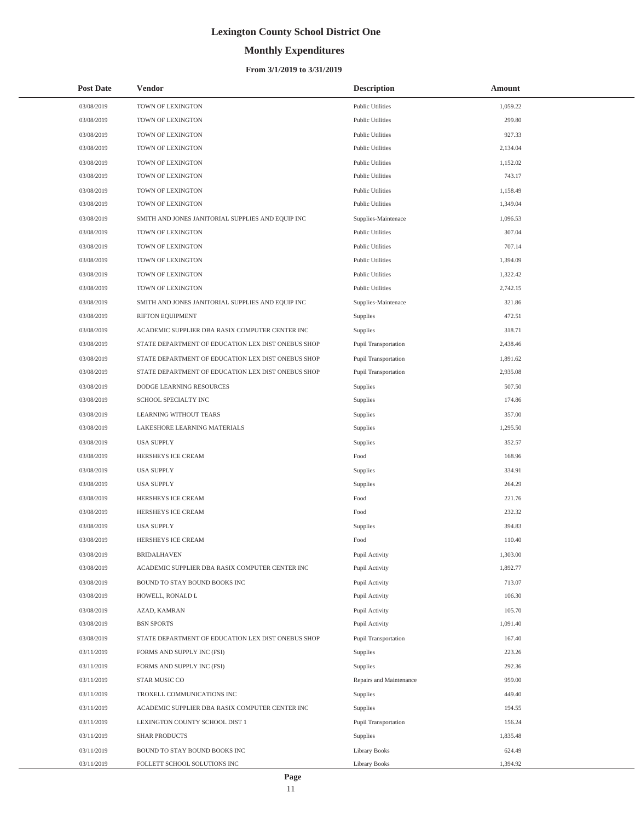# **Monthly Expenditures**

### **From 3/1/2019 to 3/31/2019**

| <b>Post Date</b> | <b>Vendor</b>                                      | <b>Description</b>          | Amount   |
|------------------|----------------------------------------------------|-----------------------------|----------|
| 03/08/2019       | TOWN OF LEXINGTON                                  | <b>Public Utilities</b>     | 1,059.22 |
| 03/08/2019       | TOWN OF LEXINGTON                                  | <b>Public Utilities</b>     | 299.80   |
| 03/08/2019       | TOWN OF LEXINGTON                                  | <b>Public Utilities</b>     | 927.33   |
| 03/08/2019       | TOWN OF LEXINGTON                                  | <b>Public Utilities</b>     | 2,134.04 |
| 03/08/2019       | TOWN OF LEXINGTON                                  | <b>Public Utilities</b>     | 1,152.02 |
| 03/08/2019       | TOWN OF LEXINGTON                                  | <b>Public Utilities</b>     | 743.17   |
| 03/08/2019       | TOWN OF LEXINGTON                                  | <b>Public Utilities</b>     | 1,158.49 |
| 03/08/2019       | TOWN OF LEXINGTON                                  | <b>Public Utilities</b>     | 1,349.04 |
| 03/08/2019       | SMITH AND JONES JANITORIAL SUPPLIES AND EQUIP INC  | Supplies-Maintenace         | 1,096.53 |
| 03/08/2019       | TOWN OF LEXINGTON                                  | <b>Public Utilities</b>     | 307.04   |
| 03/08/2019       | TOWN OF LEXINGTON                                  | <b>Public Utilities</b>     | 707.14   |
| 03/08/2019       | TOWN OF LEXINGTON                                  | <b>Public Utilities</b>     | 1,394.09 |
| 03/08/2019       | TOWN OF LEXINGTON                                  | <b>Public Utilities</b>     | 1,322.42 |
| 03/08/2019       | TOWN OF LEXINGTON                                  | <b>Public Utilities</b>     | 2,742.15 |
| 03/08/2019       | SMITH AND JONES JANITORIAL SUPPLIES AND EQUIP INC  | Supplies-Maintenace         | 321.86   |
| 03/08/2019       | RIFTON EQUIPMENT                                   | Supplies                    | 472.51   |
| 03/08/2019       | ACADEMIC SUPPLIER DBA RASIX COMPUTER CENTER INC    | Supplies                    | 318.71   |
| 03/08/2019       | STATE DEPARTMENT OF EDUCATION LEX DIST ONEBUS SHOP | <b>Pupil Transportation</b> | 2,438.46 |
| 03/08/2019       | STATE DEPARTMENT OF EDUCATION LEX DIST ONEBUS SHOP | Pupil Transportation        | 1.891.62 |
| 03/08/2019       | STATE DEPARTMENT OF EDUCATION LEX DIST ONEBUS SHOP | <b>Pupil Transportation</b> | 2,935.08 |
| 03/08/2019       | DODGE LEARNING RESOURCES                           | Supplies                    | 507.50   |
| 03/08/2019       | SCHOOL SPECIALTY INC                               | Supplies                    | 174.86   |
| 03/08/2019       | LEARNING WITHOUT TEARS                             | Supplies                    | 357.00   |
| 03/08/2019       | LAKESHORE LEARNING MATERIALS                       | Supplies                    | 1,295.50 |
| 03/08/2019       | <b>USA SUPPLY</b>                                  | Supplies                    | 352.57   |
| 03/08/2019       | HERSHEYS ICE CREAM                                 | Food                        | 168.96   |
| 03/08/2019       | <b>USA SUPPLY</b>                                  | Supplies                    | 334.91   |
| 03/08/2019       | <b>USA SUPPLY</b>                                  | Supplies                    | 264.29   |
| 03/08/2019       | HERSHEYS ICE CREAM                                 | Food                        | 221.76   |
| 03/08/2019       | HERSHEYS ICE CREAM                                 | Food                        | 232.32   |
| 03/08/2019       | <b>USA SUPPLY</b>                                  | Supplies                    | 394.83   |
| 03/08/2019       | HERSHEYS ICE CREAM                                 | Food                        | 110.40   |
| 03/08/2019       | <b>BRIDALHAVEN</b>                                 | Pupil Activity              | 1,303.00 |
| 03/08/2019       | ACADEMIC SUPPLIER DBA RASIX COMPUTER CENTER INC    | Pupil Activity              | 1,892.77 |
| 03/08/2019       | BOUND TO STAY BOUND BOOKS INC                      | Pupil Activity              | 713.07   |
| 03/08/2019       | HOWELL, RONALD L                                   | Pupil Activity              | 106.30   |
| 03/08/2019       | AZAD, KAMRAN                                       | Pupil Activity              | 105.70   |
| 03/08/2019       | <b>BSN SPORTS</b>                                  | Pupil Activity              | 1,091.40 |
| 03/08/2019       | STATE DEPARTMENT OF EDUCATION LEX DIST ONEBUS SHOP | <b>Pupil Transportation</b> | 167.40   |
| 03/11/2019       | FORMS AND SUPPLY INC (FSI)                         | Supplies                    | 223.26   |
| 03/11/2019       | FORMS AND SUPPLY INC (FSI)                         | Supplies                    | 292.36   |
| 03/11/2019       | STAR MUSIC CO                                      | Repairs and Maintenance     | 959.00   |
| 03/11/2019       | TROXELL COMMUNICATIONS INC                         | Supplies                    | 449.40   |
| 03/11/2019       | ACADEMIC SUPPLIER DBA RASIX COMPUTER CENTER INC    | Supplies                    | 194.55   |
| 03/11/2019       | LEXINGTON COUNTY SCHOOL DIST 1                     | Pupil Transportation        | 156.24   |
| 03/11/2019       | <b>SHAR PRODUCTS</b>                               | Supplies                    | 1,835.48 |
| 03/11/2019       | BOUND TO STAY BOUND BOOKS INC                      | <b>Library Books</b>        | 624.49   |
| 03/11/2019       | FOLLETT SCHOOL SOLUTIONS INC                       | <b>Library Books</b>        | 1,394.92 |

L,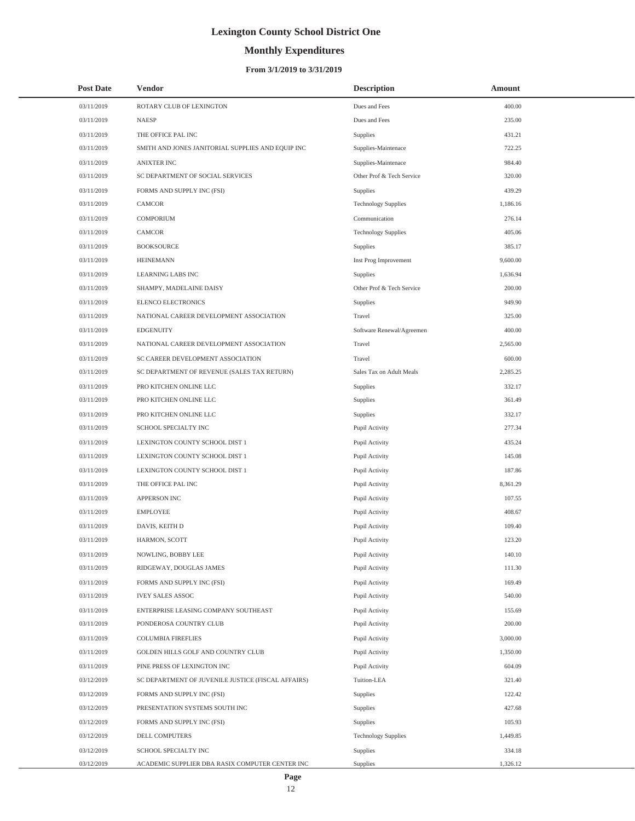# **Monthly Expenditures**

### **From 3/1/2019 to 3/31/2019**

| <b>Post Date</b> | Vendor                                             | <b>Description</b>         | Amount   |
|------------------|----------------------------------------------------|----------------------------|----------|
| 03/11/2019       | ROTARY CLUB OF LEXINGTON                           | Dues and Fees              | 400.00   |
| 03/11/2019       | <b>NAESP</b>                                       | Dues and Fees              | 235.00   |
| 03/11/2019       | THE OFFICE PAL INC                                 | Supplies                   | 431.21   |
| 03/11/2019       | SMITH AND JONES JANITORIAL SUPPLIES AND EQUIP INC  | Supplies-Maintenace        | 722.25   |
| 03/11/2019       | <b>ANIXTER INC</b>                                 | Supplies-Maintenace        | 984.40   |
| 03/11/2019       | SC DEPARTMENT OF SOCIAL SERVICES                   | Other Prof & Tech Service  | 320.00   |
| 03/11/2019       | FORMS AND SUPPLY INC (FSI)                         | Supplies                   | 439.29   |
| 03/11/2019       | CAMCOR                                             | <b>Technology Supplies</b> | 1,186.16 |
| 03/11/2019       | <b>COMPORIUM</b>                                   | Communication              | 276.14   |
| 03/11/2019       | CAMCOR                                             | <b>Technology Supplies</b> | 405.06   |
| 03/11/2019       | <b>BOOKSOURCE</b>                                  | Supplies                   | 385.17   |
| 03/11/2019       | <b>HEINEMANN</b>                                   | Inst Prog Improvement      | 9,600.00 |
| 03/11/2019       | LEARNING LABS INC                                  | Supplies                   | 1,636.94 |
| 03/11/2019       | SHAMPY, MADELAINE DAISY                            | Other Prof & Tech Service  | 200.00   |
| 03/11/2019       | ELENCO ELECTRONICS                                 | Supplies                   | 949.90   |
| 03/11/2019       | NATIONAL CAREER DEVELOPMENT ASSOCIATION            | Travel                     | 325.00   |
| 03/11/2019       | <b>EDGENUITY</b>                                   | Software Renewal/Agreemen  | 400.00   |
| 03/11/2019       | NATIONAL CAREER DEVELOPMENT ASSOCIATION            | Travel                     | 2,565.00 |
| 03/11/2019       | SC CAREER DEVELOPMENT ASSOCIATION                  | Travel                     | 600.00   |
| 03/11/2019       | SC DEPARTMENT OF REVENUE (SALES TAX RETURN)        | Sales Tax on Adult Meals   | 2,285.25 |
| 03/11/2019       | PRO KITCHEN ONLINE LLC                             | Supplies                   | 332.17   |
| 03/11/2019       | PRO KITCHEN ONLINE LLC                             | Supplies                   | 361.49   |
| 03/11/2019       | PRO KITCHEN ONLINE LLC                             | Supplies                   | 332.17   |
| 03/11/2019       | SCHOOL SPECIALTY INC                               | Pupil Activity             | 277.34   |
| 03/11/2019       | LEXINGTON COUNTY SCHOOL DIST 1                     | Pupil Activity             | 435.24   |
| 03/11/2019       | LEXINGTON COUNTY SCHOOL DIST 1                     | Pupil Activity             | 145.08   |
| 03/11/2019       | LEXINGTON COUNTY SCHOOL DIST 1                     | Pupil Activity             | 187.86   |
| 03/11/2019       | THE OFFICE PAL INC                                 | Pupil Activity             | 8,361.29 |
| 03/11/2019       | <b>APPERSON INC</b>                                | Pupil Activity             | 107.55   |
| 03/11/2019       | <b>EMPLOYEE</b>                                    | Pupil Activity             | 408.67   |
| 03/11/2019       | DAVIS, KEITH D                                     | Pupil Activity             | 109.40   |
| 03/11/2019       | HARMON, SCOTT                                      | Pupil Activity             | 123.20   |
| 03/11/2019       | NOWLING, BOBBY LEE                                 | Pupil Activity             | 140.10   |
| 03/11/2019       | RIDGEWAY, DOUGLAS JAMES                            | Pupil Activity             | 111.30   |
| 03/11/2019       | FORMS AND SUPPLY INC (FSI)                         | Pupil Activity             | 169.49   |
| 03/11/2019       | <b>IVEY SALES ASSOC</b>                            | Pupil Activity             | 540.00   |
| 03/11/2019       | ENTERPRISE LEASING COMPANY SOUTHEAST               | Pupil Activity             | 155.69   |
| 03/11/2019       | PONDEROSA COUNTRY CLUB                             | Pupil Activity             | 200.00   |
| 03/11/2019       | <b>COLUMBIA FIREFLIES</b>                          | Pupil Activity             | 3,000.00 |
| 03/11/2019       | GOLDEN HILLS GOLF AND COUNTRY CLUB                 | Pupil Activity             | 1,350.00 |
| 03/11/2019       | PINE PRESS OF LEXINGTON INC                        | Pupil Activity             | 604.09   |
| 03/12/2019       | SC DEPARTMENT OF JUVENILE JUSTICE (FISCAL AFFAIRS) | Tuition-LEA                | 321.40   |
| 03/12/2019       | FORMS AND SUPPLY INC (FSI)                         | Supplies                   | 122.42   |
| 03/12/2019       | PRESENTATION SYSTEMS SOUTH INC                     | Supplies                   | 427.68   |
| 03/12/2019       | FORMS AND SUPPLY INC (FSI)                         | Supplies                   | 105.93   |
| 03/12/2019       | DELL COMPUTERS                                     | <b>Technology Supplies</b> | 1,449.85 |
| 03/12/2019       | SCHOOL SPECIALTY INC                               | Supplies                   | 334.18   |
| 03/12/2019       | ACADEMIC SUPPLIER DBA RASIX COMPUTER CENTER INC    | Supplies                   | 1,326.12 |

L,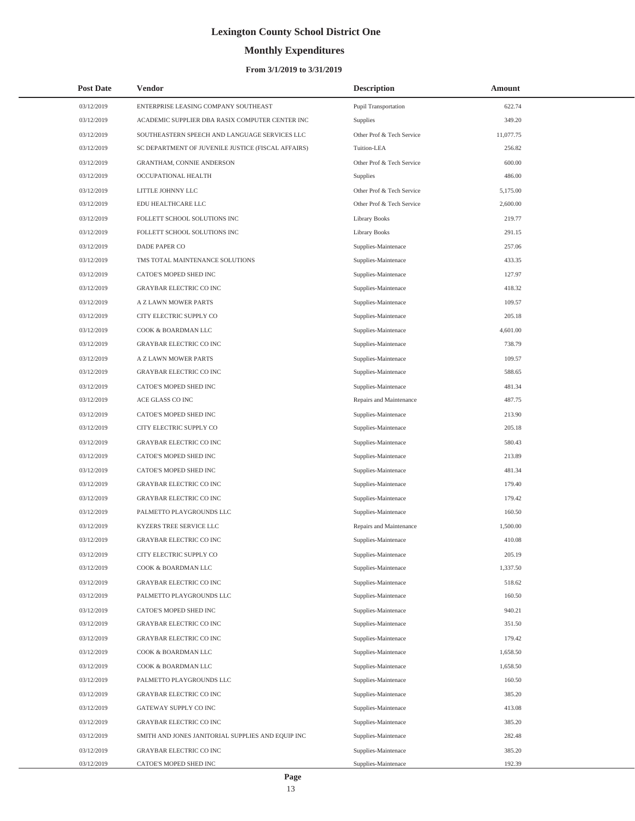# **Monthly Expenditures**

### **From 3/1/2019 to 3/31/2019**

| <b>Post Date</b> | Vendor                                             | <b>Description</b>        | Amount    |  |
|------------------|----------------------------------------------------|---------------------------|-----------|--|
| 03/12/2019       | ENTERPRISE LEASING COMPANY SOUTHEAST               | Pupil Transportation      | 622.74    |  |
| 03/12/2019       | ACADEMIC SUPPLIER DBA RASIX COMPUTER CENTER INC    | Supplies                  | 349.20    |  |
| 03/12/2019       | SOUTHEASTERN SPEECH AND LANGUAGE SERVICES LLC      | Other Prof & Tech Service | 11,077.75 |  |
| 03/12/2019       | SC DEPARTMENT OF JUVENILE JUSTICE (FISCAL AFFAIRS) | Tuition-LEA               | 256.82    |  |
| 03/12/2019       | <b>GRANTHAM, CONNIE ANDERSON</b>                   | Other Prof & Tech Service | 600.00    |  |
| 03/12/2019       | OCCUPATIONAL HEALTH                                | Supplies                  | 486.00    |  |
| 03/12/2019       | LITTLE JOHNNY LLC                                  | Other Prof & Tech Service | 5,175.00  |  |
| 03/12/2019       | EDU HEALTHCARE LLC                                 | Other Prof & Tech Service | 2,600.00  |  |
| 03/12/2019       | FOLLETT SCHOOL SOLUTIONS INC                       | <b>Library Books</b>      | 219.77    |  |
| 03/12/2019       | FOLLETT SCHOOL SOLUTIONS INC                       | <b>Library Books</b>      | 291.15    |  |
| 03/12/2019       | DADE PAPER CO                                      | Supplies-Maintenace       | 257.06    |  |
| 03/12/2019       | TMS TOTAL MAINTENANCE SOLUTIONS                    | Supplies-Maintenace       | 433.35    |  |
| 03/12/2019       | CATOE'S MOPED SHED INC                             | Supplies-Maintenace       | 127.97    |  |
| 03/12/2019       | <b>GRAYBAR ELECTRIC CO INC</b>                     | Supplies-Maintenace       | 418.32    |  |
| 03/12/2019       | A Z LAWN MOWER PARTS                               | Supplies-Maintenace       | 109.57    |  |
| 03/12/2019       | CITY ELECTRIC SUPPLY CO                            | Supplies-Maintenace       | 205.18    |  |
| 03/12/2019       | COOK & BOARDMAN LLC                                | Supplies-Maintenace       | 4,601.00  |  |
| 03/12/2019       | <b>GRAYBAR ELECTRIC CO INC</b>                     | Supplies-Maintenace       | 738.79    |  |
| 03/12/2019       | <b>A Z LAWN MOWER PARTS</b>                        | Supplies-Maintenace       | 109.57    |  |
| 03/12/2019       | <b>GRAYBAR ELECTRIC CO INC</b>                     | Supplies-Maintenace       | 588.65    |  |
| 03/12/2019       | CATOE'S MOPED SHED INC                             | Supplies-Maintenace       | 481.34    |  |
| 03/12/2019       | ACE GLASS CO INC                                   | Repairs and Maintenance   | 487.75    |  |
| 03/12/2019       | CATOE'S MOPED SHED INC                             | Supplies-Maintenace       | 213.90    |  |
| 03/12/2019       | CITY ELECTRIC SUPPLY CO                            | Supplies-Maintenace       | 205.18    |  |
| 03/12/2019       | <b>GRAYBAR ELECTRIC CO INC</b>                     | Supplies-Maintenace       | 580.43    |  |
| 03/12/2019       | CATOE'S MOPED SHED INC                             | Supplies-Maintenace       | 213.89    |  |
| 03/12/2019       | CATOE'S MOPED SHED INC                             | Supplies-Maintenace       | 481.34    |  |
| 03/12/2019       | <b>GRAYBAR ELECTRIC CO INC</b>                     | Supplies-Maintenace       | 179.40    |  |
| 03/12/2019       | <b>GRAYBAR ELECTRIC CO INC</b>                     | Supplies-Maintenace       | 179.42    |  |
| 03/12/2019       | PALMETTO PLAYGROUNDS LLC                           | Supplies-Maintenace       | 160.50    |  |
| 03/12/2019       | KYZERS TREE SERVICE LLC                            | Repairs and Maintenance   | 1,500.00  |  |
| 03/12/2019       | <b>GRAYBAR ELECTRIC CO INC</b>                     | Supplies-Maintenace       | 410.08    |  |
| 03/12/2019       | CITY ELECTRIC SUPPLY CO                            | Supplies-Maintenace       | 205.19    |  |
| 03/12/2019       | COOK & BOARDMAN LLC                                | Supplies-Maintenace       | 1,337.50  |  |
| 03/12/2019       | <b>GRAYBAR ELECTRIC CO INC</b>                     | Supplies-Maintenace       | 518.62    |  |
| 03/12/2019       | PALMETTO PLAYGROUNDS LLC                           | Supplies-Maintenace       | 160.50    |  |
| 03/12/2019       | CATOE'S MOPED SHED INC                             | Supplies-Maintenace       | 940.21    |  |
| 03/12/2019       | GRAYBAR ELECTRIC CO INC                            | Supplies-Maintenace       | 351.50    |  |
| 03/12/2019       | <b>GRAYBAR ELECTRIC CO INC</b>                     | Supplies-Maintenace       | 179.42    |  |
| 03/12/2019       | COOK & BOARDMAN LLC                                | Supplies-Maintenace       | 1,658.50  |  |
| 03/12/2019       | COOK & BOARDMAN LLC                                | Supplies-Maintenace       | 1,658.50  |  |
| 03/12/2019       | PALMETTO PLAYGROUNDS LLC                           | Supplies-Maintenace       | 160.50    |  |
| 03/12/2019       | <b>GRAYBAR ELECTRIC CO INC</b>                     | Supplies-Maintenace       | 385.20    |  |
| 03/12/2019       | GATEWAY SUPPLY CO INC                              | Supplies-Maintenace       | 413.08    |  |
| 03/12/2019       | <b>GRAYBAR ELECTRIC CO INC</b>                     | Supplies-Maintenace       | 385.20    |  |
| 03/12/2019       | SMITH AND JONES JANITORIAL SUPPLIES AND EQUIP INC  | Supplies-Maintenace       | 282.48    |  |
| 03/12/2019       | <b>GRAYBAR ELECTRIC CO INC</b>                     | Supplies-Maintenace       | 385.20    |  |
| 03/12/2019       | CATOE'S MOPED SHED INC                             | Supplies-Maintenace       | 192.39    |  |

 $\overline{\phantom{0}}$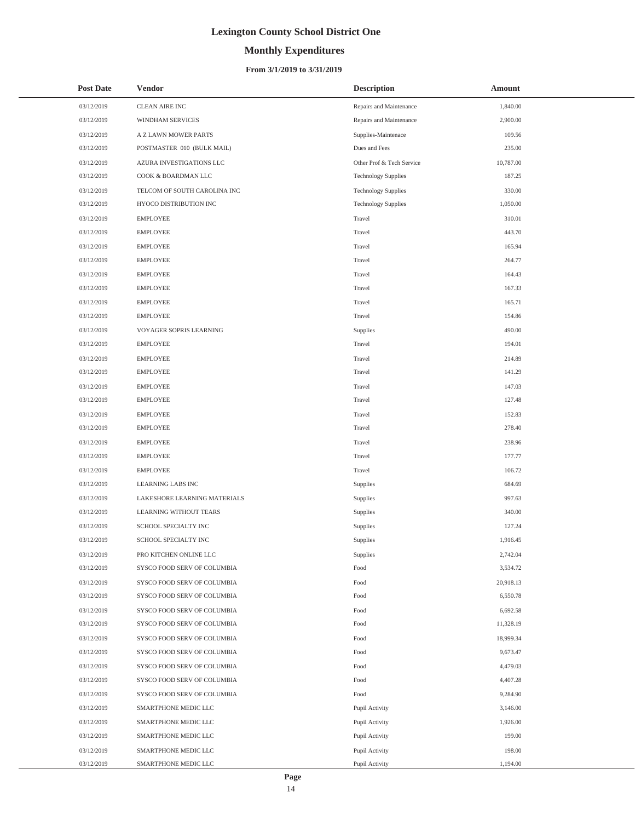# **Monthly Expenditures**

### **From 3/1/2019 to 3/31/2019**

| <b>Post Date</b> | <b>Vendor</b>                | <b>Description</b>         | Amount    |
|------------------|------------------------------|----------------------------|-----------|
| 03/12/2019       | CLEAN AIRE INC               | Repairs and Maintenance    | 1,840.00  |
| 03/12/2019       | WINDHAM SERVICES             | Repairs and Maintenance    | 2,900.00  |
| 03/12/2019       | A Z LAWN MOWER PARTS         | Supplies-Maintenace        | 109.56    |
| 03/12/2019       | POSTMASTER 010 (BULK MAIL)   | Dues and Fees              | 235.00    |
| 03/12/2019       | AZURA INVESTIGATIONS LLC     | Other Prof & Tech Service  | 10,787.00 |
| 03/12/2019       | COOK & BOARDMAN LLC          | <b>Technology Supplies</b> | 187.25    |
| 03/12/2019       | TELCOM OF SOUTH CAROLINA INC | <b>Technology Supplies</b> | 330.00    |
| 03/12/2019       | HYOCO DISTRIBUTION INC       | <b>Technology Supplies</b> | 1,050.00  |
| 03/12/2019       | <b>EMPLOYEE</b>              | Travel                     | 310.01    |
| 03/12/2019       | EMPLOYEE                     | Travel                     | 443.70    |
| 03/12/2019       | <b>EMPLOYEE</b>              | Travel                     | 165.94    |
| 03/12/2019       | <b>EMPLOYEE</b>              | Travel                     | 264.77    |
| 03/12/2019       | <b>EMPLOYEE</b>              | Travel                     | 164.43    |
| 03/12/2019       | <b>EMPLOYEE</b>              | Travel                     | 167.33    |
| 03/12/2019       | <b>EMPLOYEE</b>              | Travel                     | 165.71    |
| 03/12/2019       | <b>EMPLOYEE</b>              | Travel                     | 154.86    |
| 03/12/2019       | VOYAGER SOPRIS LEARNING      | Supplies                   | 490.00    |
| 03/12/2019       | <b>EMPLOYEE</b>              | Travel                     | 194.01    |
| 03/12/2019       | <b>EMPLOYEE</b>              | Travel                     | 214.89    |
| 03/12/2019       | <b>EMPLOYEE</b>              | Travel                     | 141.29    |
| 03/12/2019       | <b>EMPLOYEE</b>              | Travel                     | 147.03    |
| 03/12/2019       | <b>EMPLOYEE</b>              | Travel                     | 127.48    |
| 03/12/2019       | <b>EMPLOYEE</b>              | Travel                     | 152.83    |
| 03/12/2019       | <b>EMPLOYEE</b>              | Travel                     | 278.40    |
| 03/12/2019       | <b>EMPLOYEE</b>              | Travel                     | 238.96    |
| 03/12/2019       | <b>EMPLOYEE</b>              | Travel                     | 177.77    |
| 03/12/2019       | <b>EMPLOYEE</b>              | Travel                     | 106.72    |
| 03/12/2019       | <b>LEARNING LABS INC</b>     | Supplies                   | 684.69    |
| 03/12/2019       | LAKESHORE LEARNING MATERIALS | Supplies                   | 997.63    |
| 03/12/2019       | LEARNING WITHOUT TEARS       | Supplies                   | 340.00    |
| 03/12/2019       | SCHOOL SPECIALTY INC         | Supplies                   | 127.24    |
| 03/12/2019       | SCHOOL SPECIALTY INC         | Supplies                   | 1,916.45  |
| 03/12/2019       | PRO KITCHEN ONLINE LLC       | Supplies                   | 2,742.04  |
| 03/12/2019       | SYSCO FOOD SERV OF COLUMBIA  | Food                       | 3,534.72  |
| 03/12/2019       | SYSCO FOOD SERV OF COLUMBIA  | Food                       | 20,918.13 |
| 03/12/2019       | SYSCO FOOD SERV OF COLUMBIA  | Food                       | 6,550.78  |
| 03/12/2019       | SYSCO FOOD SERV OF COLUMBIA  | Food                       | 6,692.58  |
| 03/12/2019       | SYSCO FOOD SERV OF COLUMBIA  | Food                       | 11,328.19 |
| 03/12/2019       | SYSCO FOOD SERV OF COLUMBIA  | Food                       | 18,999.34 |
| 03/12/2019       | SYSCO FOOD SERV OF COLUMBIA  | Food                       | 9,673.47  |
| 03/12/2019       | SYSCO FOOD SERV OF COLUMBIA  | Food                       | 4,479.03  |
| 03/12/2019       | SYSCO FOOD SERV OF COLUMBIA  | Food                       | 4,407.28  |
| 03/12/2019       | SYSCO FOOD SERV OF COLUMBIA  | Food                       | 9,284.90  |
| 03/12/2019       | SMARTPHONE MEDIC LLC         | Pupil Activity             | 3,146.00  |
| 03/12/2019       | SMARTPHONE MEDIC LLC         | Pupil Activity             | 1,926.00  |
| 03/12/2019       | SMARTPHONE MEDIC LLC         | Pupil Activity             | 199.00    |
| 03/12/2019       | SMARTPHONE MEDIC LLC         | Pupil Activity             | 198.00    |
| 03/12/2019       | SMARTPHONE MEDIC LLC         | Pupil Activity             | 1,194.00  |

 $\overline{\phantom{0}}$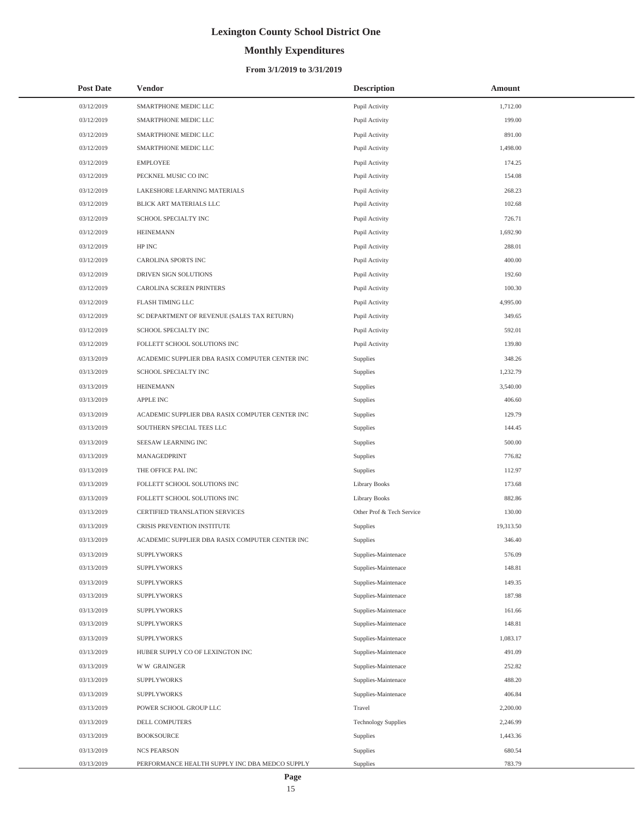# **Monthly Expenditures**

| <b>Post Date</b> | Vendor                                          | <b>Description</b>         | <b>Amount</b> |
|------------------|-------------------------------------------------|----------------------------|---------------|
| 03/12/2019       | SMARTPHONE MEDIC LLC                            | Pupil Activity             | 1,712.00      |
| 03/12/2019       | SMARTPHONE MEDIC LLC                            | Pupil Activity             | 199.00        |
| 03/12/2019       | SMARTPHONE MEDIC LLC                            | Pupil Activity             | 891.00        |
| 03/12/2019       | SMARTPHONE MEDIC LLC                            | Pupil Activity             | 1,498.00      |
| 03/12/2019       | <b>EMPLOYEE</b>                                 | Pupil Activity             | 174.25        |
| 03/12/2019       | PECKNEL MUSIC CO INC                            | Pupil Activity             | 154.08        |
| 03/12/2019       | LAKESHORE LEARNING MATERIALS                    | Pupil Activity             | 268.23        |
| 03/12/2019       | BLICK ART MATERIALS LLC                         | Pupil Activity             | 102.68        |
| 03/12/2019       | SCHOOL SPECIALTY INC                            | Pupil Activity             | 726.71        |
| 03/12/2019       | <b>HEINEMANN</b>                                | Pupil Activity             | 1,692.90      |
| 03/12/2019       | HP INC                                          | Pupil Activity             | 288.01        |
| 03/12/2019       | CAROLINA SPORTS INC                             | Pupil Activity             | 400.00        |
| 03/12/2019       | DRIVEN SIGN SOLUTIONS                           | Pupil Activity             | 192.60        |
| 03/12/2019       | CAROLINA SCREEN PRINTERS                        | Pupil Activity             | 100.30        |
| 03/12/2019       | FLASH TIMING LLC                                | Pupil Activity             | 4,995.00      |
| 03/12/2019       | SC DEPARTMENT OF REVENUE (SALES TAX RETURN)     | Pupil Activity             | 349.65        |
| 03/12/2019       | SCHOOL SPECIALTY INC                            | Pupil Activity             | 592.01        |
| 03/12/2019       | FOLLETT SCHOOL SOLUTIONS INC                    | Pupil Activity             | 139.80        |
| 03/13/2019       | ACADEMIC SUPPLIER DBA RASIX COMPUTER CENTER INC | Supplies                   | 348.26        |
| 03/13/2019       | SCHOOL SPECIALTY INC                            | Supplies                   | 1,232.79      |
| 03/13/2019       | <b>HEINEMANN</b>                                | Supplies                   | 3,540.00      |
| 03/13/2019       | <b>APPLE INC</b>                                | Supplies                   | 406.60        |
| 03/13/2019       | ACADEMIC SUPPLIER DBA RASIX COMPUTER CENTER INC | Supplies                   | 129.79        |
| 03/13/2019       | SOUTHERN SPECIAL TEES LLC                       | Supplies                   | 144.45        |
| 03/13/2019       | SEESAW LEARNING INC                             | Supplies                   | 500.00        |
| 03/13/2019       | MANAGEDPRINT                                    | Supplies                   | 776.82        |
| 03/13/2019       | THE OFFICE PAL INC                              | Supplies                   | 112.97        |
| 03/13/2019       | FOLLETT SCHOOL SOLUTIONS INC                    | Library Books              | 173.68        |
| 03/13/2019       | FOLLETT SCHOOL SOLUTIONS INC                    | Library Books              | 882.86        |
| 03/13/2019       | CERTIFIED TRANSLATION SERVICES                  | Other Prof & Tech Service  | 130.00        |
| 03/13/2019       | CRISIS PREVENTION INSTITUTE                     | Supplies                   | 19,313.50     |
| 03/13/2019       | ACADEMIC SUPPLIER DBA RASIX COMPUTER CENTER INC | Supplies                   | 346.40        |
| 03/13/2019       | <b>SUPPLYWORKS</b>                              | Supplies-Maintenace        | 576.09        |
| 03/13/2019       | SUPPLYWORKS                                     | Supplies-Maintenace        | 148.81        |
| 03/13/2019       | <b>SUPPLYWORKS</b>                              | Supplies-Maintenace        | 149.35        |
| 03/13/2019       | <b>SUPPLYWORKS</b>                              | Supplies-Maintenace        | 187.98        |
| 03/13/2019       | <b>SUPPLYWORKS</b>                              | Supplies-Maintenace        | 161.66        |
| 03/13/2019       | <b>SUPPLYWORKS</b>                              | Supplies-Maintenace        | 148.81        |
| 03/13/2019       | <b>SUPPLYWORKS</b>                              | Supplies-Maintenace        | 1,083.17      |
| 03/13/2019       | HUBER SUPPLY CO OF LEXINGTON INC                | Supplies-Maintenace        | 491.09        |
| 03/13/2019       | <b>WW GRAINGER</b>                              | Supplies-Maintenace        | 252.82        |
| 03/13/2019       | <b>SUPPLYWORKS</b>                              | Supplies-Maintenace        | 488.20        |
| 03/13/2019       | <b>SUPPLYWORKS</b>                              | Supplies-Maintenace        | 406.84        |
| 03/13/2019       | POWER SCHOOL GROUP LLC                          | Travel                     | 2,200.00      |
| 03/13/2019       | DELL COMPUTERS                                  | <b>Technology Supplies</b> | 2,246.99      |
| 03/13/2019       | <b>BOOKSOURCE</b>                               | Supplies                   | 1,443.36      |
| 03/13/2019       | <b>NCS PEARSON</b>                              | Supplies                   | 680.54        |
| 03/13/2019       | PERFORMANCE HEALTH SUPPLY INC DBA MEDCO SUPPLY  | Supplies                   | 783.79        |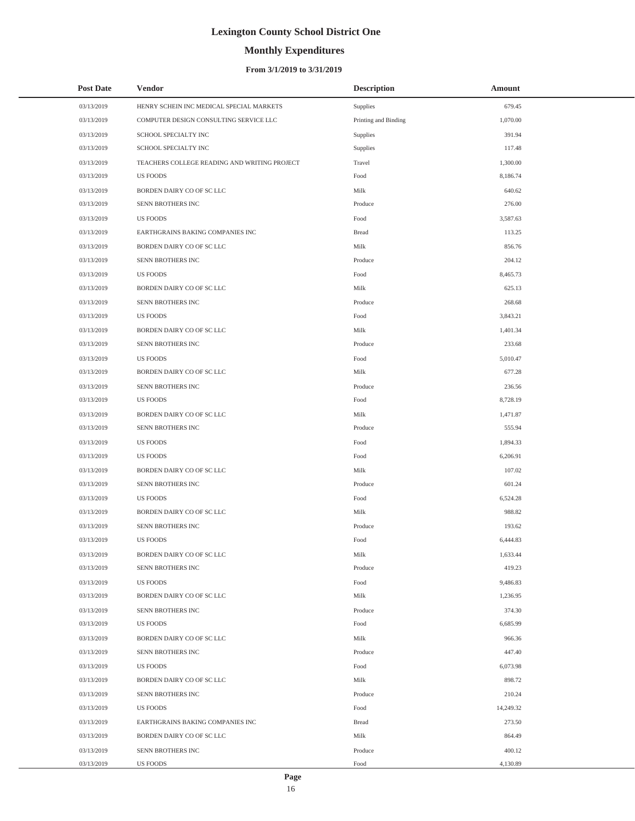# **Monthly Expenditures**

### **From 3/1/2019 to 3/31/2019**

| <b>Post Date</b> | Vendor                                       | <b>Description</b>   | Amount    |  |
|------------------|----------------------------------------------|----------------------|-----------|--|
| 03/13/2019       | HENRY SCHEIN INC MEDICAL SPECIAL MARKETS     | Supplies             | 679.45    |  |
| 03/13/2019       | COMPUTER DESIGN CONSULTING SERVICE LLC       | Printing and Binding | 1,070.00  |  |
| 03/13/2019       | SCHOOL SPECIALTY INC                         | Supplies             | 391.94    |  |
| 03/13/2019       | SCHOOL SPECIALTY INC                         | Supplies             | 117.48    |  |
| 03/13/2019       | TEACHERS COLLEGE READING AND WRITING PROJECT | Travel               | 1,300.00  |  |
| 03/13/2019       | <b>US FOODS</b>                              | Food                 | 8,186.74  |  |
| 03/13/2019       | BORDEN DAIRY CO OF SC LLC                    | Milk                 | 640.62    |  |
| 03/13/2019       | SENN BROTHERS INC                            | Produce              | 276.00    |  |
| 03/13/2019       | <b>US FOODS</b>                              | Food                 | 3,587.63  |  |
| 03/13/2019       | EARTHGRAINS BAKING COMPANIES INC             | <b>Bread</b>         | 113.25    |  |
| 03/13/2019       | BORDEN DAIRY CO OF SC LLC                    | Milk                 | 856.76    |  |
| 03/13/2019       | SENN BROTHERS INC                            | Produce              | 204.12    |  |
| 03/13/2019       | <b>US FOODS</b>                              | Food                 | 8,465.73  |  |
| 03/13/2019       | BORDEN DAIRY CO OF SC LLC                    | Milk                 | 625.13    |  |
| 03/13/2019       | SENN BROTHERS INC                            | Produce              | 268.68    |  |
| 03/13/2019       | <b>US FOODS</b>                              | Food                 | 3,843.21  |  |
| 03/13/2019       | BORDEN DAIRY CO OF SC LLC                    | Milk                 | 1,401.34  |  |
| 03/13/2019       | SENN BROTHERS INC                            | Produce              | 233.68    |  |
| 03/13/2019       | <b>US FOODS</b>                              | Food                 | 5,010.47  |  |
| 03/13/2019       | BORDEN DAIRY CO OF SC LLC                    | Milk                 | 677.28    |  |
| 03/13/2019       | SENN BROTHERS INC                            | Produce              | 236.56    |  |
| 03/13/2019       | <b>US FOODS</b>                              | Food                 | 8,728.19  |  |
| 03/13/2019       | BORDEN DAIRY CO OF SC LLC                    | Milk                 | 1,471.87  |  |
| 03/13/2019       | SENN BROTHERS INC                            | Produce              | 555.94    |  |
| 03/13/2019       | <b>US FOODS</b>                              | Food                 | 1,894.33  |  |
| 03/13/2019       | <b>US FOODS</b>                              | Food                 | 6,206.91  |  |
| 03/13/2019       | BORDEN DAIRY CO OF SC LLC                    | Milk                 | 107.02    |  |
| 03/13/2019       | SENN BROTHERS INC                            | Produce              | 601.24    |  |
| 03/13/2019       | <b>US FOODS</b>                              | Food                 | 6,524.28  |  |
| 03/13/2019       | BORDEN DAIRY CO OF SC LLC                    | Milk                 | 988.82    |  |
| 03/13/2019       | SENN BROTHERS INC                            | Produce              | 193.62    |  |
| 03/13/2019       | <b>US FOODS</b>                              | Food                 | 6,444.83  |  |
| 03/13/2019       | BORDEN DAIRY CO OF SC LLC                    | Milk                 | 1,633.44  |  |
| 03/13/2019       | SENN BROTHERS INC                            | Produce              | 419.23    |  |
| 03/13/2019       | US FOODS                                     | Food                 | 9,486.83  |  |
| 03/13/2019       | BORDEN DAIRY CO OF SC LLC                    | Milk                 | 1,236.95  |  |
| 03/13/2019       | SENN BROTHERS INC                            | Produce              | 374.30    |  |
| 03/13/2019       | <b>US FOODS</b>                              | Food                 | 6,685.99  |  |
| 03/13/2019       | BORDEN DAIRY CO OF SC LLC                    | Milk                 | 966.36    |  |
| 03/13/2019       | SENN BROTHERS INC                            | Produce              | 447.40    |  |
| 03/13/2019       | <b>US FOODS</b>                              | Food                 | 6,073.98  |  |
| 03/13/2019       | BORDEN DAIRY CO OF SC LLC                    | Milk                 | 898.72    |  |
| 03/13/2019       | SENN BROTHERS INC                            | Produce              | 210.24    |  |
| 03/13/2019       | <b>US FOODS</b>                              | Food                 | 14,249.32 |  |
| 03/13/2019       | EARTHGRAINS BAKING COMPANIES INC             | Bread                | 273.50    |  |
| 03/13/2019       | BORDEN DAIRY CO OF SC LLC                    | Milk                 | 864.49    |  |
| 03/13/2019       | SENN BROTHERS INC                            | Produce              | 400.12    |  |
| 03/13/2019       | US FOODS                                     | Food                 | 4,130.89  |  |

 $\overline{a}$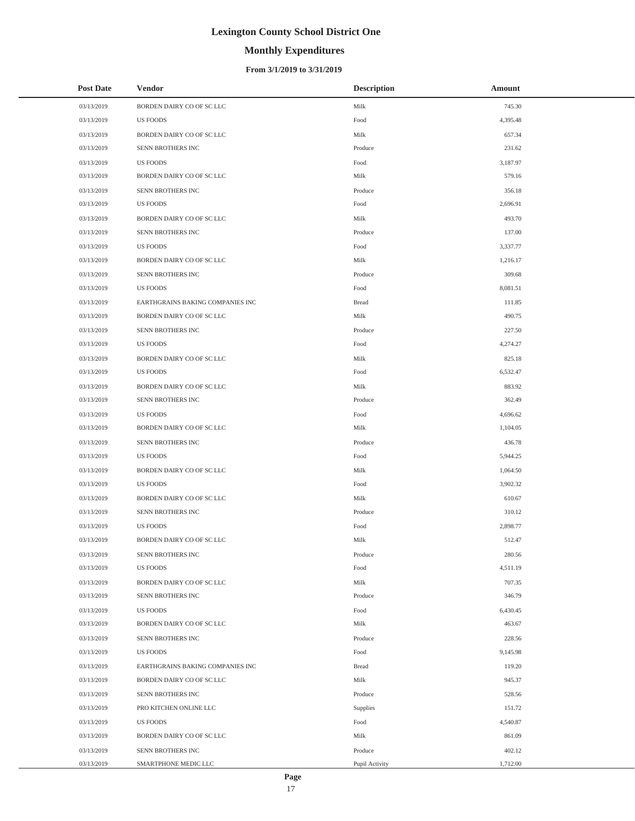# **Monthly Expenditures**

### **From 3/1/2019 to 3/31/2019**

| <b>Post Date</b> | <b>Vendor</b>                    | <b>Description</b> | Amount   |
|------------------|----------------------------------|--------------------|----------|
| 03/13/2019       | BORDEN DAIRY CO OF SC LLC        | Milk               | 745.30   |
| 03/13/2019       | US FOODS                         | Food               | 4,395.48 |
| 03/13/2019       | BORDEN DAIRY CO OF SC LLC        | Milk               | 657.34   |
| 03/13/2019       | SENN BROTHERS INC                | Produce            | 231.62   |
| 03/13/2019       | US FOODS                         | Food               | 3,187.97 |
| 03/13/2019       | BORDEN DAIRY CO OF SC LLC        | Milk               | 579.16   |
| 03/13/2019       | SENN BROTHERS INC                | Produce            | 356.18   |
| 03/13/2019       | US FOODS                         | Food               | 2,696.91 |
| 03/13/2019       | BORDEN DAIRY CO OF SC LLC        | Milk               | 493.70   |
| 03/13/2019       | SENN BROTHERS INC                | Produce            | 137.00   |
| 03/13/2019       | US FOODS                         | Food               | 3,337.77 |
| 03/13/2019       | BORDEN DAIRY CO OF SC LLC        | Milk               | 1,216.17 |
| 03/13/2019       | SENN BROTHERS INC                | Produce            | 309.68   |
| 03/13/2019       | <b>US FOODS</b>                  | Food               | 8,081.51 |
| 03/13/2019       | EARTHGRAINS BAKING COMPANIES INC | <b>Bread</b>       | 111.85   |
| 03/13/2019       | BORDEN DAIRY CO OF SC LLC        | Milk               | 490.75   |
| 03/13/2019       | SENN BROTHERS INC                | Produce            | 227.50   |
| 03/13/2019       | US FOODS                         | Food               | 4,274.27 |
| 03/13/2019       | BORDEN DAIRY CO OF SC LLC        | Milk               | 825.18   |
| 03/13/2019       | <b>US FOODS</b>                  | Food               | 6,532.47 |
| 03/13/2019       | BORDEN DAIRY CO OF SC LLC        | Milk               | 883.92   |
| 03/13/2019       | SENN BROTHERS INC                | Produce            | 362.49   |
| 03/13/2019       | <b>US FOODS</b>                  | Food               | 4,696.62 |
| 03/13/2019       | BORDEN DAIRY CO OF SC LLC        | Milk               | 1,104.05 |
| 03/13/2019       | SENN BROTHERS INC                | Produce            | 436.78   |
| 03/13/2019       | US FOODS                         | Food               | 5,944.25 |
| 03/13/2019       | BORDEN DAIRY CO OF SC LLC        | Milk               | 1,064.50 |
| 03/13/2019       | <b>US FOODS</b>                  | Food               | 3,902.32 |
| 03/13/2019       | BORDEN DAIRY CO OF SC LLC        | Milk               | 610.67   |
| 03/13/2019       | <b>SENN BROTHERS INC</b>         | Produce            | 310.12   |
| 03/13/2019       | <b>US FOODS</b>                  | Food               | 2,898.77 |
| 03/13/2019       | BORDEN DAIRY CO OF SC LLC        | Milk               | 512.47   |
| 03/13/2019       | SENN BROTHERS INC                | Produce            | 280.56   |
| 03/13/2019       | US FOODS                         | Food               | 4,511.19 |
| 03/13/2019       | BORDEN DAIRY CO OF SC LLC        | Milk               | 707.35   |
| 03/13/2019       | SENN BROTHERS INC                | Produce            | 346.79   |
| 03/13/2019       | <b>US FOODS</b>                  | Food               | 6,430.45 |
| 03/13/2019       | BORDEN DAIRY CO OF SC LLC        | Milk               | 463.67   |
| 03/13/2019       | SENN BROTHERS INC                | Produce            | 228.56   |
| 03/13/2019       | US FOODS                         | Food               | 9,145.98 |
| 03/13/2019       | EARTHGRAINS BAKING COMPANIES INC | <b>Bread</b>       | 119.20   |
| 03/13/2019       | BORDEN DAIRY CO OF SC LLC        | Milk               | 945.37   |
| 03/13/2019       | SENN BROTHERS INC                | Produce            | 528.56   |
| 03/13/2019       | PRO KITCHEN ONLINE LLC           | Supplies           | 151.72   |
| 03/13/2019       | US FOODS                         | Food               | 4,540.87 |
| 03/13/2019       | BORDEN DAIRY CO OF SC LLC        | Milk               | 861.09   |
| 03/13/2019       | SENN BROTHERS INC                | Produce            | 402.12   |
| 03/13/2019       | SMARTPHONE MEDIC LLC             | Pupil Activity     | 1,712.00 |

÷,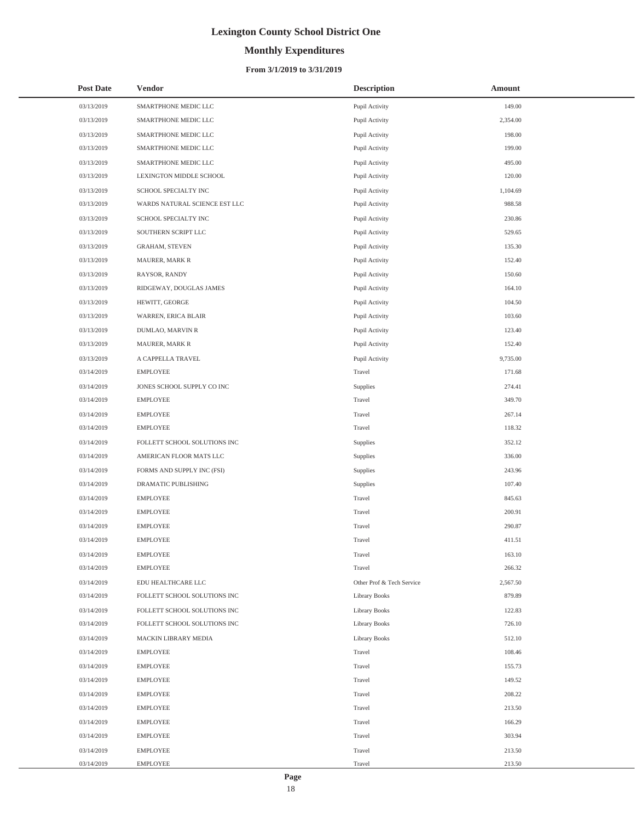# **Monthly Expenditures**

### **From 3/1/2019 to 3/31/2019**

| <b>Post Date</b> | <b>Vendor</b>                 | <b>Description</b>        | <b>Amount</b> |
|------------------|-------------------------------|---------------------------|---------------|
| 03/13/2019       | SMARTPHONE MEDIC LLC          | Pupil Activity            | 149.00        |
| 03/13/2019       | SMARTPHONE MEDIC LLC          | Pupil Activity            | 2,354.00      |
| 03/13/2019       | SMARTPHONE MEDIC LLC          | Pupil Activity            | 198.00        |
| 03/13/2019       | SMARTPHONE MEDIC LLC          | Pupil Activity            | 199.00        |
| 03/13/2019       | SMARTPHONE MEDIC LLC          | Pupil Activity            | 495.00        |
| 03/13/2019       | LEXINGTON MIDDLE SCHOOL       | Pupil Activity            | 120.00        |
| 03/13/2019       | SCHOOL SPECIALTY INC          | Pupil Activity            | 1,104.69      |
| 03/13/2019       | WARDS NATURAL SCIENCE EST LLC | Pupil Activity            | 988.58        |
| 03/13/2019       | SCHOOL SPECIALTY INC          | Pupil Activity            | 230.86        |
| 03/13/2019       | SOUTHERN SCRIPT LLC           | Pupil Activity            | 529.65        |
| 03/13/2019       | <b>GRAHAM, STEVEN</b>         | Pupil Activity            | 135.30        |
| 03/13/2019       | MAURER, MARK R                | Pupil Activity            | 152.40        |
| 03/13/2019       | RAYSOR, RANDY                 | Pupil Activity            | 150.60        |
| 03/13/2019       | RIDGEWAY, DOUGLAS JAMES       | Pupil Activity            | 164.10        |
| 03/13/2019       | HEWITT, GEORGE                | Pupil Activity            | 104.50        |
| 03/13/2019       | WARREN, ERICA BLAIR           | Pupil Activity            | 103.60        |
| 03/13/2019       | DUMLAO, MARVIN R              | Pupil Activity            | 123.40        |
| 03/13/2019       | MAURER, MARK R                | Pupil Activity            | 152.40        |
| 03/13/2019       | A CAPPELLA TRAVEL             | Pupil Activity            | 9,735.00      |
| 03/14/2019       | <b>EMPLOYEE</b>               | Travel                    | 171.68        |
| 03/14/2019       | JONES SCHOOL SUPPLY CO INC    | Supplies                  | 274.41        |
| 03/14/2019       | <b>EMPLOYEE</b>               | Travel                    | 349.70        |
| 03/14/2019       | <b>EMPLOYEE</b>               | Travel                    | 267.14        |
| 03/14/2019       | <b>EMPLOYEE</b>               | Travel                    | 118.32        |
| 03/14/2019       | FOLLETT SCHOOL SOLUTIONS INC  | Supplies                  | 352.12        |
| 03/14/2019       | AMERICAN FLOOR MATS LLC       | Supplies                  | 336.00        |
| 03/14/2019       | FORMS AND SUPPLY INC (FSI)    | Supplies                  | 243.96        |
| 03/14/2019       | DRAMATIC PUBLISHING           | Supplies                  | 107.40        |
| 03/14/2019       | <b>EMPLOYEE</b>               | Travel                    | 845.63        |
| 03/14/2019       | <b>EMPLOYEE</b>               | Travel                    | 200.91        |
| 03/14/2019       | <b>EMPLOYEE</b>               | Travel                    | 290.87        |
| 03/14/2019       | <b>EMPLOYEE</b>               | Travel                    | 411.51        |
| 03/14/2019       | <b>EMPLOYEE</b>               | Travel                    | 163.10        |
| 03/14/2019       | <b>EMPLOYEE</b>               | Travel                    | 266.32        |
| 03/14/2019       | EDU HEALTHCARE LLC            | Other Prof & Tech Service | 2,567.50      |
| 03/14/2019       | FOLLETT SCHOOL SOLUTIONS INC  | <b>Library Books</b>      | 879.89        |
| 03/14/2019       | FOLLETT SCHOOL SOLUTIONS INC  | Library Books             | 122.83        |
| 03/14/2019       | FOLLETT SCHOOL SOLUTIONS INC  | Library Books             | 726.10        |
| 03/14/2019       | MACKIN LIBRARY MEDIA          | Library Books             | 512.10        |
| 03/14/2019       | <b>EMPLOYEE</b>               | Travel                    | 108.46        |
| 03/14/2019       | <b>EMPLOYEE</b>               | Travel                    | 155.73        |
| 03/14/2019       | <b>EMPLOYEE</b>               | Travel                    | 149.52        |
| 03/14/2019       | <b>EMPLOYEE</b>               | Travel                    | 208.22        |
| 03/14/2019       | <b>EMPLOYEE</b>               | Travel                    | 213.50        |
| 03/14/2019       | <b>EMPLOYEE</b>               | Travel                    | 166.29        |
| 03/14/2019       | <b>EMPLOYEE</b>               | Travel                    | 303.94        |
| 03/14/2019       | <b>EMPLOYEE</b>               | Travel                    | 213.50        |
| 03/14/2019       | <b>EMPLOYEE</b>               | Travel                    | 213.50        |

 $\overline{a}$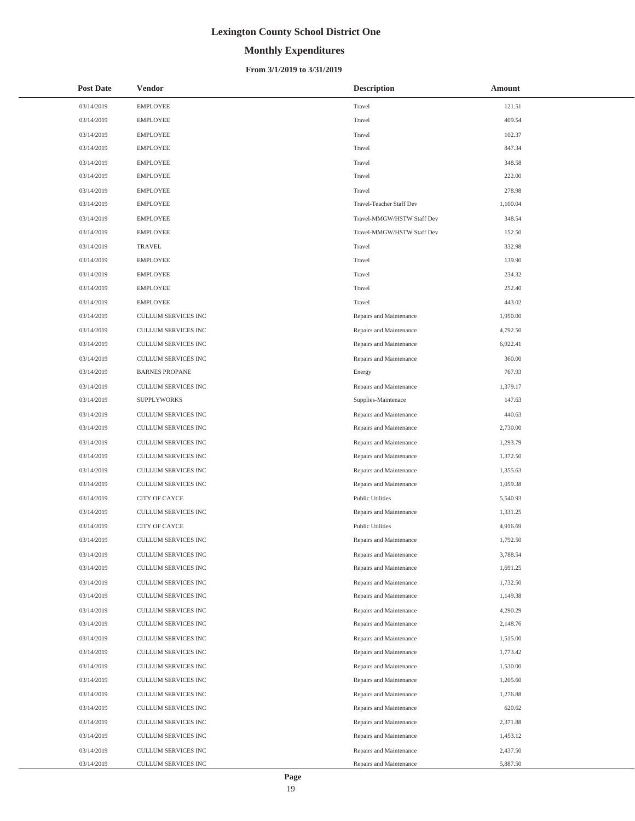# **Monthly Expenditures**

### **From 3/1/2019 to 3/31/2019**

| <b>Post Date</b> | <b>Vendor</b>              | <b>Description</b>         | Amount   |
|------------------|----------------------------|----------------------------|----------|
| 03/14/2019       | <b>EMPLOYEE</b>            | Travel                     | 121.51   |
| 03/14/2019       | <b>EMPLOYEE</b>            | Travel                     | 409.54   |
| 03/14/2019       | <b>EMPLOYEE</b>            | Travel                     | 102.37   |
| 03/14/2019       | <b>EMPLOYEE</b>            | Travel                     | 847.34   |
| 03/14/2019       | <b>EMPLOYEE</b>            | Travel                     | 348.58   |
| 03/14/2019       | <b>EMPLOYEE</b>            | Travel                     | 222.00   |
| 03/14/2019       | <b>EMPLOYEE</b>            | Travel                     | 278.98   |
| 03/14/2019       | <b>EMPLOYEE</b>            | Travel-Teacher Staff Dev   | 1,100.04 |
| 03/14/2019       | <b>EMPLOYEE</b>            | Travel-MMGW/HSTW Staff Dev | 348.54   |
| 03/14/2019       | <b>EMPLOYEE</b>            | Travel-MMGW/HSTW Staff Dev | 152.50   |
| 03/14/2019       | <b>TRAVEL</b>              | Travel                     | 332.98   |
| 03/14/2019       | <b>EMPLOYEE</b>            | Travel                     | 139.90   |
| 03/14/2019       | <b>EMPLOYEE</b>            | Travel                     | 234.32   |
| 03/14/2019       | <b>EMPLOYEE</b>            | Travel                     | 252.40   |
| 03/14/2019       | <b>EMPLOYEE</b>            | Travel                     | 443.02   |
| 03/14/2019       | <b>CULLUM SERVICES INC</b> | Repairs and Maintenance    | 1,950.00 |
| 03/14/2019       | <b>CULLUM SERVICES INC</b> | Repairs and Maintenance    | 4,792.50 |
| 03/14/2019       | <b>CULLUM SERVICES INC</b> | Repairs and Maintenance    | 6,922.41 |
| 03/14/2019       | CULLUM SERVICES INC        | Repairs and Maintenance    | 360.00   |
| 03/14/2019       | <b>BARNES PROPANE</b>      | Energy                     | 767.93   |
| 03/14/2019       | CULLUM SERVICES INC        | Repairs and Maintenance    | 1,379.17 |
| 03/14/2019       | <b>SUPPLYWORKS</b>         | Supplies-Maintenace        | 147.63   |
| 03/14/2019       | CULLUM SERVICES INC        | Repairs and Maintenance    | 440.63   |
| 03/14/2019       | CULLUM SERVICES INC        | Repairs and Maintenance    | 2,730.00 |
| 03/14/2019       | CULLUM SERVICES INC        | Repairs and Maintenance    | 1,293.79 |
| 03/14/2019       | CULLUM SERVICES INC        | Repairs and Maintenance    | 1,372.50 |
| 03/14/2019       | CULLUM SERVICES INC        | Repairs and Maintenance    | 1,355.63 |
| 03/14/2019       | CULLUM SERVICES INC        | Repairs and Maintenance    | 1,059.38 |
| 03/14/2019       | CITY OF CAYCE              | <b>Public Utilities</b>    | 5,540.93 |
| 03/14/2019       | <b>CULLUM SERVICES INC</b> | Repairs and Maintenance    | 1,331.25 |
| 03/14/2019       | CITY OF CAYCE              | <b>Public Utilities</b>    | 4,916.69 |
| 03/14/2019       | <b>CULLUM SERVICES INC</b> | Repairs and Maintenance    | 1,792.50 |
| 03/14/2019       | CULLUM SERVICES INC        | Repairs and Maintenance    | 3,788.54 |
| 03/14/2019       | CULLUM SERVICES INC        | Repairs and Maintenance    | 1,691.25 |
| 03/14/2019       | CULLUM SERVICES INC        | Repairs and Maintenance    | 1,732.50 |
| 03/14/2019       | CULLUM SERVICES INC        | Repairs and Maintenance    | 1,149.38 |
| 03/14/2019       | CULLUM SERVICES INC        | Repairs and Maintenance    | 4,290.29 |
| 03/14/2019       | CULLUM SERVICES INC        | Repairs and Maintenance    | 2,148.76 |
| 03/14/2019       | CULLUM SERVICES INC        | Repairs and Maintenance    | 1,515.00 |
| 03/14/2019       | CULLUM SERVICES INC        | Repairs and Maintenance    | 1,773.42 |
| 03/14/2019       | CULLUM SERVICES INC        | Repairs and Maintenance    | 1,530.00 |
| 03/14/2019       | CULLUM SERVICES INC        | Repairs and Maintenance    | 1,205.60 |
| 03/14/2019       | CULLUM SERVICES INC        | Repairs and Maintenance    | 1,276.88 |
| 03/14/2019       | CULLUM SERVICES INC        | Repairs and Maintenance    | 620.62   |
| 03/14/2019       | CULLUM SERVICES INC        | Repairs and Maintenance    | 2,371.88 |
| 03/14/2019       | CULLUM SERVICES INC        | Repairs and Maintenance    | 1,453.12 |
| 03/14/2019       | CULLUM SERVICES INC        | Repairs and Maintenance    | 2,437.50 |
| 03/14/2019       | CULLUM SERVICES INC        | Repairs and Maintenance    | 5,887.50 |

 $\overline{a}$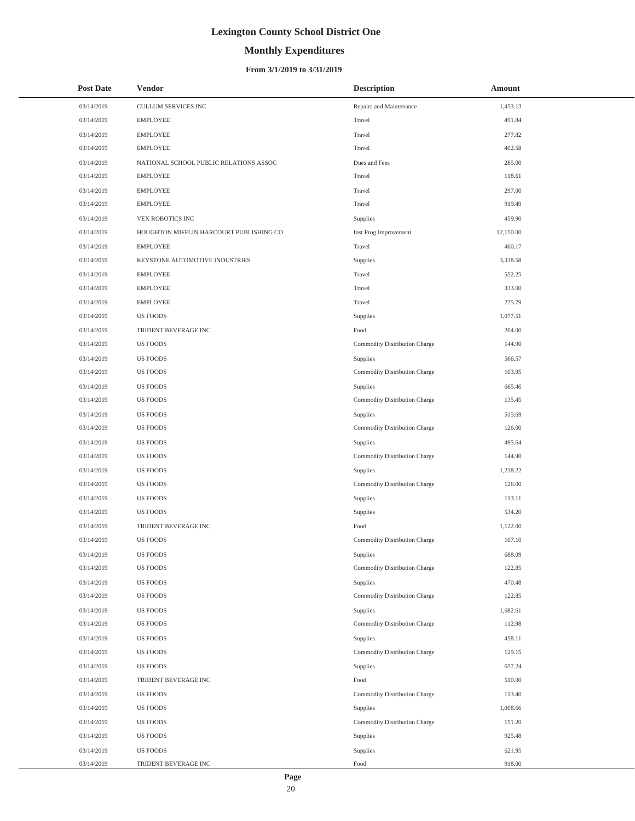# **Monthly Expenditures**

### **From 3/1/2019 to 3/31/2019**

| <b>Post Date</b> | Vendor                                  | <b>Description</b>            | Amount    |
|------------------|-----------------------------------------|-------------------------------|-----------|
| 03/14/2019       | CULLUM SERVICES INC                     | Repairs and Maintenance       | 1,453.13  |
| 03/14/2019       | <b>EMPLOYEE</b>                         | Travel                        | 491.84    |
| 03/14/2019       | <b>EMPLOYEE</b>                         | Travel                        | 277.82    |
| 03/14/2019       | <b>EMPLOYEE</b>                         | Travel                        | 402.58    |
| 03/14/2019       | NATIONAL SCHOOL PUBLIC RELATIONS ASSOC  | Dues and Fees                 | 285.00    |
| 03/14/2019       | <b>EMPLOYEE</b>                         | Travel                        | 118.61    |
| 03/14/2019       | <b>EMPLOYEE</b>                         | Travel                        | 297.00    |
| 03/14/2019       | <b>EMPLOYEE</b>                         | Travel                        | 919.49    |
| 03/14/2019       | VEX ROBOTICS INC                        | Supplies                      | 459.90    |
| 03/14/2019       | HOUGHTON MIFFLIN HARCOURT PUBLISHING CO | Inst Prog Improvement         | 12,150.00 |
| 03/14/2019       | <b>EMPLOYEE</b>                         | Travel                        | 460.17    |
| 03/14/2019       | KEYSTONE AUTOMOTIVE INDUSTRIES          | Supplies                      | 3,338.58  |
| 03/14/2019       | <b>EMPLOYEE</b>                         | Travel                        | 552.25    |
| 03/14/2019       | <b>EMPLOYEE</b>                         | Travel                        | 333.00    |
| 03/14/2019       | <b>EMPLOYEE</b>                         | Travel                        | 275.79    |
| 03/14/2019       | <b>US FOODS</b>                         | Supplies                      | 1,077.51  |
| 03/14/2019       | TRIDENT BEVERAGE INC                    | Food                          | 204.00    |
| 03/14/2019       | <b>US FOODS</b>                         | Commodity Distribution Charge | 144.90    |
| 03/14/2019       | <b>US FOODS</b>                         | Supplies                      | 566.57    |
| 03/14/2019       | <b>US FOODS</b>                         | Commodity Distribution Charge | 103.95    |
| 03/14/2019       | <b>US FOODS</b>                         | Supplies                      | 665.46    |
| 03/14/2019       | <b>US FOODS</b>                         | Commodity Distribution Charge | 135.45    |
| 03/14/2019       | <b>US FOODS</b>                         | Supplies                      | 515.69    |
| 03/14/2019       | <b>US FOODS</b>                         | Commodity Distribution Charge | 126.00    |
| 03/14/2019       | <b>US FOODS</b>                         | Supplies                      | 495.64    |
| 03/14/2019       | <b>US FOODS</b>                         | Commodity Distribution Charge | 144.90    |
| 03/14/2019       | <b>US FOODS</b>                         | Supplies                      | 1,238.22  |
| 03/14/2019       | <b>US FOODS</b>                         | Commodity Distribution Charge | 126.00    |
| 03/14/2019       | <b>US FOODS</b>                         | Supplies                      | 113.11    |
| 03/14/2019       | <b>US FOODS</b>                         | Supplies                      | 534.20    |
| 03/14/2019       | TRIDENT BEVERAGE INC                    | Food                          | 1,122.00  |
| 03/14/2019       | <b>US FOODS</b>                         | Commodity Distribution Charge | 107.10    |
| 03/14/2019       | <b>US FOODS</b>                         | Supplies                      | 688.09    |
| 03/14/2019       | <b>US FOODS</b>                         | Commodity Distribution Charge | 122.85    |
| 03/14/2019       | <b>US FOODS</b>                         | Supplies                      | 470.48    |
| 03/14/2019       | <b>US FOODS</b>                         | Commodity Distribution Charge | 122.85    |
| 03/14/2019       | <b>US FOODS</b>                         | Supplies                      | 1,682.61  |
| 03/14/2019       | <b>US FOODS</b>                         | Commodity Distribution Charge | 112.98    |
| 03/14/2019       | <b>US FOODS</b>                         | Supplies                      | 458.11    |
| 03/14/2019       | <b>US FOODS</b>                         | Commodity Distribution Charge | 129.15    |
| 03/14/2019       | <b>US FOODS</b>                         | Supplies                      | 657.24    |
| 03/14/2019       | TRIDENT BEVERAGE INC                    | Food                          | 510.00    |
| 03/14/2019       | <b>US FOODS</b>                         | Commodity Distribution Charge | 113.40    |
| 03/14/2019       | <b>US FOODS</b>                         | Supplies                      | 1,008.66  |
| 03/14/2019       | <b>US FOODS</b>                         | Commodity Distribution Charge | 151.20    |
| 03/14/2019       | US FOODS                                | Supplies                      | 925.48    |
| 03/14/2019       | <b>US FOODS</b>                         | Supplies                      | 621.95    |
| 03/14/2019       | TRIDENT BEVERAGE INC                    | Food                          | 918.00    |

 $\overline{a}$ 

L,

20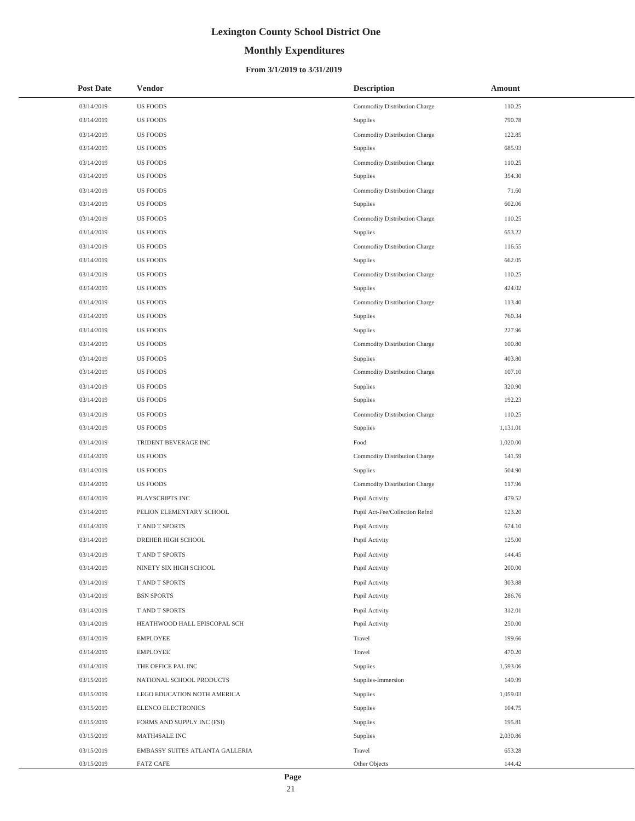# **Monthly Expenditures**

### **From 3/1/2019 to 3/31/2019**

| <b>Post Date</b> | Vendor                          | <b>Description</b>             | Amount   |
|------------------|---------------------------------|--------------------------------|----------|
| 03/14/2019       | <b>US FOODS</b>                 | Commodity Distribution Charge  | 110.25   |
| 03/14/2019       | <b>US FOODS</b>                 | Supplies                       | 790.78   |
| 03/14/2019       | <b>US FOODS</b>                 | Commodity Distribution Charge  | 122.85   |
| 03/14/2019       | <b>US FOODS</b>                 | Supplies                       | 685.93   |
| 03/14/2019       | <b>US FOODS</b>                 | Commodity Distribution Charge  | 110.25   |
| 03/14/2019       | <b>US FOODS</b>                 | Supplies                       | 354.30   |
| 03/14/2019       | <b>US FOODS</b>                 | Commodity Distribution Charge  | 71.60    |
| 03/14/2019       | <b>US FOODS</b>                 | Supplies                       | 602.06   |
| 03/14/2019       | <b>US FOODS</b>                 | Commodity Distribution Charge  | 110.25   |
| 03/14/2019       | <b>US FOODS</b>                 | Supplies                       | 653.22   |
| 03/14/2019       | <b>US FOODS</b>                 | Commodity Distribution Charge  | 116.55   |
| 03/14/2019       | <b>US FOODS</b>                 | Supplies                       | 662.05   |
| 03/14/2019       | <b>US FOODS</b>                 | Commodity Distribution Charge  | 110.25   |
| 03/14/2019       | <b>US FOODS</b>                 | Supplies                       | 424.02   |
| 03/14/2019       | <b>US FOODS</b>                 | Commodity Distribution Charge  | 113.40   |
| 03/14/2019       | <b>US FOODS</b>                 | Supplies                       | 760.34   |
| 03/14/2019       | <b>US FOODS</b>                 | Supplies                       | 227.96   |
| 03/14/2019       | <b>US FOODS</b>                 | Commodity Distribution Charge  | 100.80   |
| 03/14/2019       | <b>US FOODS</b>                 | Supplies                       | 403.80   |
| 03/14/2019       | <b>US FOODS</b>                 | Commodity Distribution Charge  | 107.10   |
| 03/14/2019       | <b>US FOODS</b>                 | Supplies                       | 320.90   |
| 03/14/2019       | <b>US FOODS</b>                 | Supplies                       | 192.23   |
| 03/14/2019       | <b>US FOODS</b>                 | Commodity Distribution Charge  | 110.25   |
| 03/14/2019       | <b>US FOODS</b>                 | Supplies                       | 1,131.01 |
| 03/14/2019       | TRIDENT BEVERAGE INC            | Food                           | 1,020.00 |
| 03/14/2019       | <b>US FOODS</b>                 | Commodity Distribution Charge  | 141.59   |
| 03/14/2019       | <b>US FOODS</b>                 | Supplies                       | 504.90   |
| 03/14/2019       | <b>US FOODS</b>                 | Commodity Distribution Charge  | 117.96   |
| 03/14/2019       | PLAYSCRIPTS INC                 | Pupil Activity                 | 479.52   |
| 03/14/2019       | PELION ELEMENTARY SCHOOL        | Pupil Act-Fee/Collection Refnd | 123.20   |
| 03/14/2019       | T AND T SPORTS                  | Pupil Activity                 | 674.10   |
| 03/14/2019       | DREHER HIGH SCHOOL              | Pupil Activity                 | 125.00   |
| 03/14/2019       | T AND T SPORTS                  | Pupil Activity                 | 144.45   |
| 03/14/2019       | NINETY SIX HIGH SCHOOL          | Pupil Activity                 | 200.00   |
| 03/14/2019       | T AND T SPORTS                  | Pupil Activity                 | 303.88   |
| 03/14/2019       | <b>BSN SPORTS</b>               | Pupil Activity                 | 286.76   |
| 03/14/2019       | T AND T SPORTS                  | Pupil Activity                 | 312.01   |
| 03/14/2019       | HEATHWOOD HALL EPISCOPAL SCH    | Pupil Activity                 | 250.00   |
| 03/14/2019       | <b>EMPLOYEE</b>                 | Travel                         | 199.66   |
| 03/14/2019       | <b>EMPLOYEE</b>                 | Travel                         | 470.20   |
| 03/14/2019       | THE OFFICE PAL INC              | Supplies                       | 1,593.06 |
| 03/15/2019       | NATIONAL SCHOOL PRODUCTS        | Supplies-Immersion             | 149.99   |
| 03/15/2019       | LEGO EDUCATION NOTH AMERICA     | Supplies                       | 1,059.03 |
| 03/15/2019       | ELENCO ELECTRONICS              | Supplies                       | 104.75   |
| 03/15/2019       | FORMS AND SUPPLY INC (FSI)      | Supplies                       | 195.81   |
| 03/15/2019       | MATH4SALE INC                   | Supplies                       | 2,030.86 |
| 03/15/2019       | EMBASSY SUITES ATLANTA GALLERIA | Travel                         | 653.28   |
| 03/15/2019       | <b>FATZ CAFE</b>                | Other Objects                  | 144.42   |

 $\overline{a}$  $\overline{\phantom{a}}$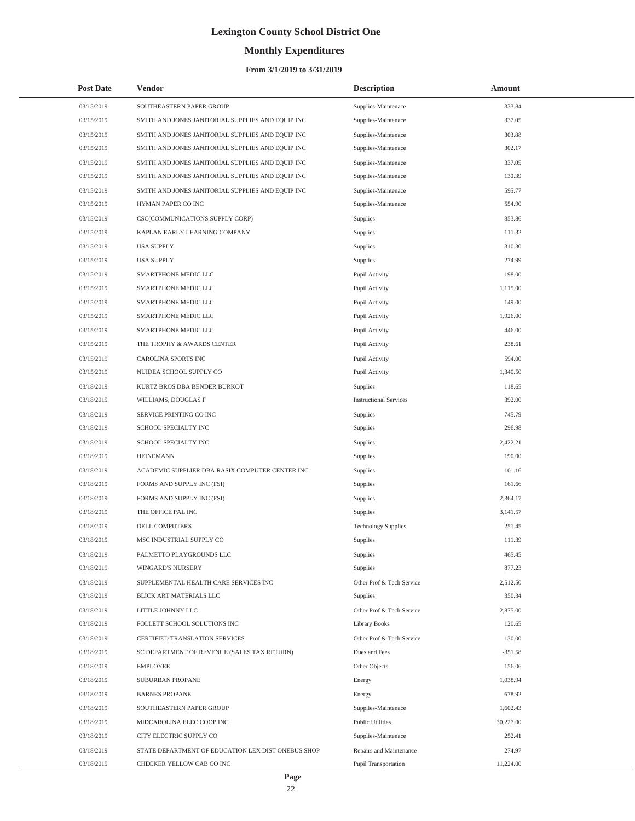# **Monthly Expenditures**

### **From 3/1/2019 to 3/31/2019**

| <b>Post Date</b> | Vendor                                             | <b>Description</b>            | Amount    |
|------------------|----------------------------------------------------|-------------------------------|-----------|
| 03/15/2019       | SOUTHEASTERN PAPER GROUP                           | Supplies-Maintenace           | 333.84    |
| 03/15/2019       | SMITH AND JONES JANITORIAL SUPPLIES AND EQUIP INC  | Supplies-Maintenace           | 337.05    |
| 03/15/2019       | SMITH AND JONES JANITORIAL SUPPLIES AND EQUIP INC  | Supplies-Maintenace           | 303.88    |
| 03/15/2019       | SMITH AND JONES JANITORIAL SUPPLIES AND EQUIP INC  | Supplies-Maintenace           | 302.17    |
| 03/15/2019       | SMITH AND JONES JANITORIAL SUPPLIES AND EQUIP INC  | Supplies-Maintenace           | 337.05    |
| 03/15/2019       | SMITH AND JONES JANITORIAL SUPPLIES AND EQUIP INC  | Supplies-Maintenace           | 130.39    |
| 03/15/2019       | SMITH AND JONES JANITORIAL SUPPLIES AND EQUIP INC  | Supplies-Maintenace           | 595.77    |
| 03/15/2019       | HYMAN PAPER CO INC                                 | Supplies-Maintenace           | 554.90    |
| 03/15/2019       | CSC(COMMUNICATIONS SUPPLY CORP)                    | Supplies                      | 853.86    |
| 03/15/2019       | KAPLAN EARLY LEARNING COMPANY                      | Supplies                      | 111.32    |
| 03/15/2019       | <b>USA SUPPLY</b>                                  | Supplies                      | 310.30    |
| 03/15/2019       | <b>USA SUPPLY</b>                                  | Supplies                      | 274.99    |
| 03/15/2019       | SMARTPHONE MEDIC LLC                               | Pupil Activity                | 198.00    |
| 03/15/2019       | SMARTPHONE MEDIC LLC                               | Pupil Activity                | 1,115.00  |
| 03/15/2019       | SMARTPHONE MEDIC LLC                               | Pupil Activity                | 149.00    |
| 03/15/2019       | SMARTPHONE MEDIC LLC                               | Pupil Activity                | 1,926.00  |
| 03/15/2019       | SMARTPHONE MEDIC LLC                               | Pupil Activity                | 446.00    |
| 03/15/2019       | THE TROPHY & AWARDS CENTER                         | Pupil Activity                | 238.61    |
| 03/15/2019       | CAROLINA SPORTS INC                                | Pupil Activity                | 594.00    |
| 03/15/2019       | NUIDEA SCHOOL SUPPLY CO                            | Pupil Activity                | 1,340.50  |
| 03/18/2019       | KURTZ BROS DBA BENDER BURKOT                       | Supplies                      | 118.65    |
| 03/18/2019       | WILLIAMS, DOUGLAS F                                | <b>Instructional Services</b> | 392.00    |
| 03/18/2019       | SERVICE PRINTING CO INC                            | Supplies                      | 745.79    |
| 03/18/2019       | SCHOOL SPECIALTY INC                               | Supplies                      | 296.98    |
| 03/18/2019       | SCHOOL SPECIALTY INC                               | Supplies                      | 2,422.21  |
| 03/18/2019       | <b>HEINEMANN</b>                                   | Supplies                      | 190.00    |
| 03/18/2019       | ACADEMIC SUPPLIER DBA RASIX COMPUTER CENTER INC    | Supplies                      | 101.16    |
| 03/18/2019       | FORMS AND SUPPLY INC (FSI)                         | Supplies                      | 161.66    |
| 03/18/2019       | FORMS AND SUPPLY INC (FSI)                         | Supplies                      | 2,364.17  |
| 03/18/2019       | THE OFFICE PAL INC                                 | Supplies                      | 3,141.57  |
| 03/18/2019       | DELL COMPUTERS                                     | <b>Technology Supplies</b>    | 251.45    |
| 03/18/2019       | MSC INDUSTRIAL SUPPLY CO                           | Supplies                      | 111.39    |
| 03/18/2019       | PALMETTO PLAYGROUNDS LLC                           | Supplies                      | 465.45    |
| 03/18/2019       | <b>WINGARD'S NURSERY</b>                           | Supplies                      | 877.23    |
| 03/18/2019       | SUPPLEMENTAL HEALTH CARE SERVICES INC              | Other Prof & Tech Service     | 2,512.50  |
| 03/18/2019       | BLICK ART MATERIALS LLC                            | <b>Supplies</b>               | 350.34    |
| 03/18/2019       | LITTLE JOHNNY LLC                                  | Other Prof & Tech Service     | 2,875.00  |
| 03/18/2019       | FOLLETT SCHOOL SOLUTIONS INC                       | Library Books                 | 120.65    |
| 03/18/2019       | CERTIFIED TRANSLATION SERVICES                     | Other Prof & Tech Service     | 130.00    |
| 03/18/2019       | SC DEPARTMENT OF REVENUE (SALES TAX RETURN)        | Dues and Fees                 | $-351.58$ |
| 03/18/2019       | <b>EMPLOYEE</b>                                    | Other Objects                 | 156.06    |
| 03/18/2019       | SUBURBAN PROPANE                                   | Energy                        | 1,038.94  |
| 03/18/2019       | <b>BARNES PROPANE</b>                              | Energy                        | 678.92    |
| 03/18/2019       | SOUTHEASTERN PAPER GROUP                           | Supplies-Maintenace           | 1,602.43  |
| 03/18/2019       | MIDCAROLINA ELEC COOP INC                          | <b>Public Utilities</b>       | 30,227.00 |
| 03/18/2019       | CITY ELECTRIC SUPPLY CO                            | Supplies-Maintenace           | 252.41    |
| 03/18/2019       | STATE DEPARTMENT OF EDUCATION LEX DIST ONEBUS SHOP | Repairs and Maintenance       | 274.97    |
| 03/18/2019       | CHECKER YELLOW CAB CO INC                          | Pupil Transportation          | 11,224.00 |

L,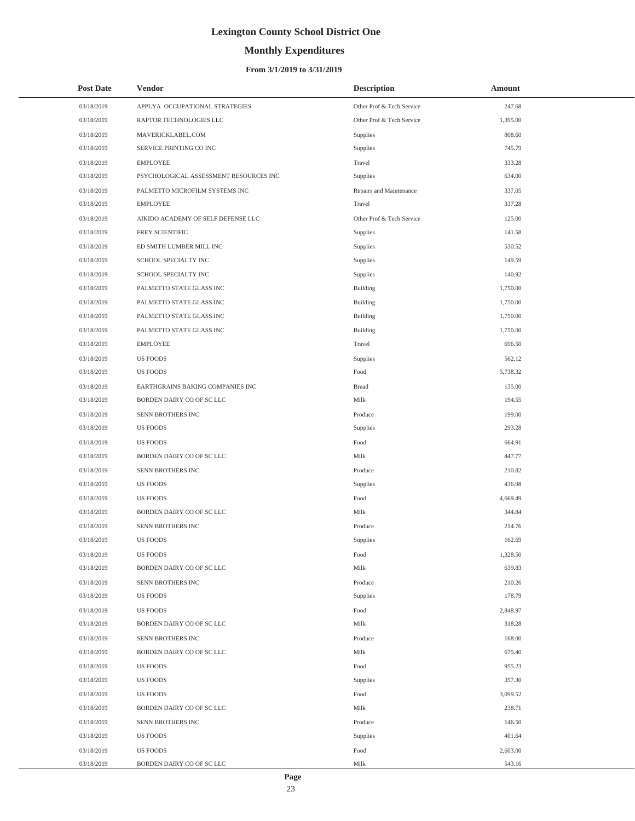# **Monthly Expenditures**

### **From 3/1/2019 to 3/31/2019**

| <b>Post Date</b> | Vendor                                 | <b>Description</b>        | Amount   |
|------------------|----------------------------------------|---------------------------|----------|
| 03/18/2019       | APPLYA OCCUPATIONAL STRATEGIES         | Other Prof & Tech Service | 247.68   |
| 03/18/2019       | RAPTOR TECHNOLOGIES LLC                | Other Prof & Tech Service | 1,395.00 |
| 03/18/2019       | MAVERICKLABEL.COM                      | Supplies                  | 808.60   |
| 03/18/2019       | SERVICE PRINTING CO INC                | Supplies                  | 745.79   |
| 03/18/2019       | <b>EMPLOYEE</b>                        | Travel                    | 333.28   |
| 03/18/2019       | PSYCHOLOGICAL ASSESSMENT RESOURCES INC | Supplies                  | 634.00   |
| 03/18/2019       | PALMETTO MICROFILM SYSTEMS INC         | Repairs and Maintenance   | 337.05   |
| 03/18/2019       | <b>EMPLOYEE</b>                        | Travel                    | 337.28   |
| 03/18/2019       | AIKIDO ACADEMY OF SELF DEFENSE LLC     | Other Prof & Tech Service | 125.00   |
| 03/18/2019       | FREY SCIENTIFIC                        | Supplies                  | 141.58   |
| 03/18/2019       | ED SMITH LUMBER MILL INC               | Supplies                  | 530.52   |
| 03/18/2019       | SCHOOL SPECIALTY INC                   | Supplies                  | 149.59   |
| 03/18/2019       | SCHOOL SPECIALTY INC                   | Supplies                  | 140.92   |
| 03/18/2019       | PALMETTO STATE GLASS INC               | <b>Building</b>           | 1,750.00 |
| 03/18/2019       | PALMETTO STATE GLASS INC               | <b>Building</b>           | 1,750.00 |
| 03/18/2019       | PALMETTO STATE GLASS INC               | Building                  | 1,750.00 |
| 03/18/2019       | PALMETTO STATE GLASS INC               | <b>Building</b>           | 1,750.00 |
| 03/18/2019       | <b>EMPLOYEE</b>                        | Travel                    | 696.50   |
| 03/18/2019       | <b>US FOODS</b>                        | Supplies                  | 562.12   |
| 03/18/2019       | <b>US FOODS</b>                        | Food                      | 5,738.32 |
| 03/18/2019       | EARTHGRAINS BAKING COMPANIES INC       | <b>Bread</b>              | 135.00   |
| 03/18/2019       | BORDEN DAIRY CO OF SC LLC              | Milk                      | 194.55   |
| 03/18/2019       | SENN BROTHERS INC                      | Produce                   | 199.00   |
| 03/18/2019       | <b>US FOODS</b>                        | Supplies                  | 293.28   |
| 03/18/2019       | US FOODS                               | Food                      | 664.91   |
| 03/18/2019       | BORDEN DAIRY CO OF SC LLC              | Milk                      | 447.77   |
| 03/18/2019       | SENN BROTHERS INC                      | Produce                   | 210.82   |
| 03/18/2019       | <b>US FOODS</b>                        | Supplies                  | 436.98   |
| 03/18/2019       | <b>US FOODS</b>                        | Food                      | 4,669.49 |
| 03/18/2019       | BORDEN DAIRY CO OF SC LLC              | Milk                      | 344.84   |
| 03/18/2019       | SENN BROTHERS INC                      | Produce                   | 214.76   |
| 03/18/2019       | <b>US FOODS</b>                        | Supplies                  | 162.69   |
| 03/18/2019       | <b>US FOODS</b>                        | Food                      | 1,328.50 |
| 03/18/2019       | BORDEN DAIRY CO OF SC LLC              | Milk                      | 639.83   |
| 03/18/2019       | SENN BROTHERS INC                      | Produce                   | 210.26   |
| 03/18/2019       | <b>US FOODS</b>                        | Supplies                  | 178.79   |
| 03/18/2019       | <b>US FOODS</b>                        | Food                      | 2,848.97 |
| 03/18/2019       | BORDEN DAIRY CO OF SC LLC              | Milk                      | 318.28   |
| 03/18/2019       | SENN BROTHERS INC                      | Produce                   | 168.00   |
| 03/18/2019       | BORDEN DAIRY CO OF SC LLC              | Milk                      | 675.40   |
| 03/18/2019       | <b>US FOODS</b>                        | Food                      | 955.23   |
| 03/18/2019       | <b>US FOODS</b>                        | Supplies                  | 357.30   |
| 03/18/2019       | <b>US FOODS</b>                        | Food                      | 3,099.52 |
| 03/18/2019       | BORDEN DAIRY CO OF SC LLC              | Milk                      | 238.71   |
| 03/18/2019       | SENN BROTHERS INC                      | Produce                   | 146.50   |
| 03/18/2019       | <b>US FOODS</b>                        | Supplies                  | 401.64   |
| 03/18/2019       | <b>US FOODS</b>                        | Food                      | 2,603.00 |
| 03/18/2019       | BORDEN DAIRY CO OF SC LLC              | Milk                      | 543.16   |

 $\overline{a}$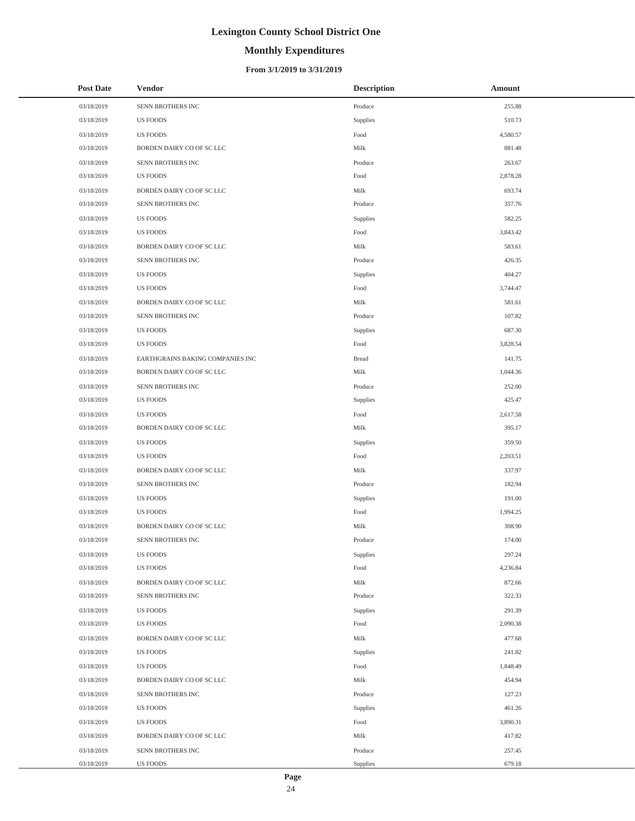# **Monthly Expenditures**

### **From 3/1/2019 to 3/31/2019**

| <b>Post Date</b> | <b>Vendor</b>                    | <b>Description</b> | Amount   |
|------------------|----------------------------------|--------------------|----------|
| 03/18/2019       | SENN BROTHERS INC                | Produce            | 255.88   |
| 03/18/2019       | US FOODS                         | Supplies           | 510.73   |
| 03/18/2019       | <b>US FOODS</b>                  | Food               | 4,580.57 |
| 03/18/2019       | BORDEN DAIRY CO OF SC LLC        | Milk               | 881.48   |
| 03/18/2019       | SENN BROTHERS INC                | Produce            | 263.67   |
| 03/18/2019       | <b>US FOODS</b>                  | Food               | 2,878.28 |
| 03/18/2019       | BORDEN DAIRY CO OF SC LLC        | Milk               | 693.74   |
| 03/18/2019       | SENN BROTHERS INC                | Produce            | 357.76   |
| 03/18/2019       | <b>US FOODS</b>                  | Supplies           | 582.25   |
| 03/18/2019       | <b>US FOODS</b>                  | Food               | 3,843.42 |
| 03/18/2019       | BORDEN DAIRY CO OF SC LLC        | Milk               | 583.61   |
| 03/18/2019       | SENN BROTHERS INC                | Produce            | 426.35   |
| 03/18/2019       | <b>US FOODS</b>                  | Supplies           | 404.27   |
| 03/18/2019       | <b>US FOODS</b>                  | Food               | 3,744.47 |
| 03/18/2019       | BORDEN DAIRY CO OF SC LLC        | Milk               | 581.61   |
| 03/18/2019       | SENN BROTHERS INC                | Produce            | 107.82   |
| 03/18/2019       | <b>US FOODS</b>                  | Supplies           | 687.30   |
| 03/18/2019       | <b>US FOODS</b>                  | Food               | 3,828.54 |
| 03/18/2019       | EARTHGRAINS BAKING COMPANIES INC | <b>Bread</b>       | 141.75   |
| 03/18/2019       | BORDEN DAIRY CO OF SC LLC        | Milk               | 1,044.36 |
| 03/18/2019       | SENN BROTHERS INC                | Produce            | 252.00   |
| 03/18/2019       | <b>US FOODS</b>                  | Supplies           | 425.47   |
| 03/18/2019       | <b>US FOODS</b>                  | Food               | 2,617.58 |
| 03/18/2019       | BORDEN DAIRY CO OF SC LLC        | Milk               | 395.17   |
| 03/18/2019       | <b>US FOODS</b>                  | Supplies           | 359.50   |
| 03/18/2019       | <b>US FOODS</b>                  | Food               | 2,203.51 |
| 03/18/2019       | BORDEN DAIRY CO OF SC LLC        | Milk               | 337.97   |
| 03/18/2019       | SENN BROTHERS INC                | Produce            | 182.94   |
| 03/18/2019       | <b>US FOODS</b>                  | Supplies           | 191.00   |
| 03/18/2019       | <b>US FOODS</b>                  | Food               | 1,994.25 |
| 03/18/2019       | BORDEN DAIRY CO OF SC LLC        | Milk               | 308.90   |
| 03/18/2019       | SENN BROTHERS INC                | Produce            | 174.00   |
| 03/18/2019       | <b>US FOODS</b>                  | Supplies           | 297.24   |
| 03/18/2019       | <b>US FOODS</b>                  | Food               | 4,236.84 |
| 03/18/2019       | BORDEN DAIRY CO OF SC LLC        | Milk               | 872.66   |
| 03/18/2019       | SENN BROTHERS INC                | Produce            | 322.33   |
| 03/18/2019       | <b>US FOODS</b>                  | Supplies           | 291.39   |
| 03/18/2019       | <b>US FOODS</b>                  | Food               | 2,090.38 |
| 03/18/2019       | BORDEN DAIRY CO OF SC LLC        | Milk               | 477.68   |
| 03/18/2019       | <b>US FOODS</b>                  | Supplies           | 241.82   |
| 03/18/2019       | <b>US FOODS</b>                  | Food               | 1,848.49 |
| 03/18/2019       | BORDEN DAIRY CO OF SC LLC        | Milk               | 454.94   |
| 03/18/2019       | SENN BROTHERS INC                | Produce            | 127.23   |
| 03/18/2019       | <b>US FOODS</b>                  | Supplies           | 461.26   |
| 03/18/2019       | <b>US FOODS</b>                  | Food               | 3,890.31 |
| 03/18/2019       | BORDEN DAIRY CO OF SC LLC        | Milk               | 417.82   |
| 03/18/2019       | SENN BROTHERS INC                | Produce            | 257.45   |
| 03/18/2019       | US FOODS                         | Supplies           | 679.18   |

 $\overline{a}$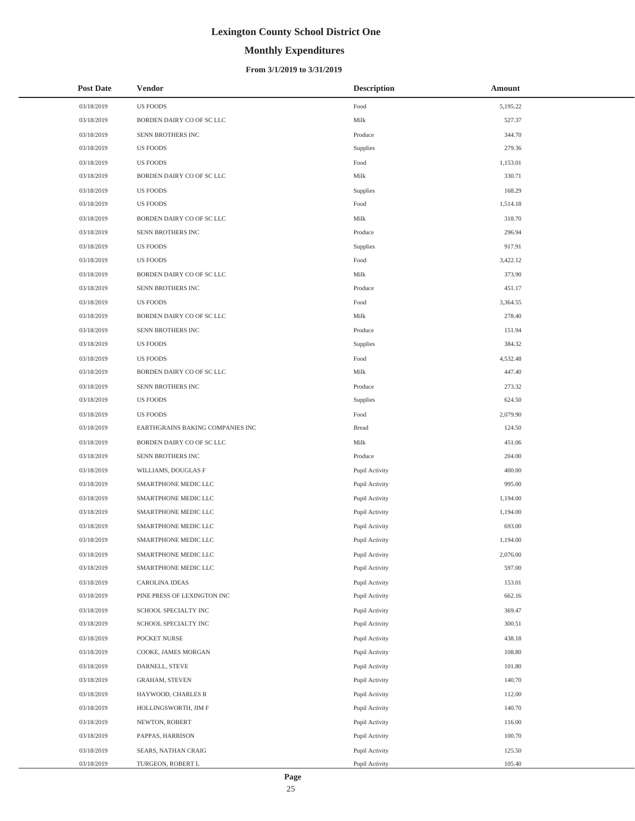# **Monthly Expenditures**

| <b>Post Date</b> | <b>Vendor</b>                    | <b>Description</b> | Amount   |
|------------------|----------------------------------|--------------------|----------|
| 03/18/2019       | <b>US FOODS</b>                  | Food               | 5,195.22 |
| 03/18/2019       | BORDEN DAIRY CO OF SC LLC        | Milk               | 527.37   |
| 03/18/2019       | SENN BROTHERS INC                | Produce            | 344.70   |
| 03/18/2019       | <b>US FOODS</b>                  | Supplies           | 279.36   |
| 03/18/2019       | <b>US FOODS</b>                  | Food               | 1,153.01 |
| 03/18/2019       | BORDEN DAIRY CO OF SC LLC        | Milk               | 330.71   |
| 03/18/2019       | <b>US FOODS</b>                  | Supplies           | 168.29   |
| 03/18/2019       | <b>US FOODS</b>                  | Food               | 1,514.18 |
| 03/18/2019       | BORDEN DAIRY CO OF SC LLC        | Milk               | 318.70   |
| 03/18/2019       | SENN BROTHERS INC                | Produce            | 296.94   |
| 03/18/2019       | <b>US FOODS</b>                  | Supplies           | 917.91   |
| 03/18/2019       | <b>US FOODS</b>                  | Food               | 3,422.12 |
| 03/18/2019       | BORDEN DAIRY CO OF SC LLC        | Milk               | 373.90   |
| 03/18/2019       | SENN BROTHERS INC                | Produce            | 451.17   |
| 03/18/2019       | <b>US FOODS</b>                  | Food               | 3,364.55 |
| 03/18/2019       | BORDEN DAIRY CO OF SC LLC        | Milk               | 278.40   |
| 03/18/2019       | SENN BROTHERS INC                | Produce            | 151.94   |
| 03/18/2019       | <b>US FOODS</b>                  | Supplies           | 384.32   |
| 03/18/2019       | <b>US FOODS</b>                  | Food               | 4,532.48 |
| 03/18/2019       | BORDEN DAIRY CO OF SC LLC        | Milk               | 447.40   |
| 03/18/2019       | SENN BROTHERS INC                | Produce            | 273.32   |
| 03/18/2019       | <b>US FOODS</b>                  | Supplies           | 624.50   |
| 03/18/2019       | <b>US FOODS</b>                  | Food               | 2,079.90 |
| 03/18/2019       | EARTHGRAINS BAKING COMPANIES INC | <b>Bread</b>       | 124.50   |
| 03/18/2019       | BORDEN DAIRY CO OF SC LLC        | Milk               | 451.06   |
| 03/18/2019       | SENN BROTHERS INC                | Produce            | 204.00   |
| 03/18/2019       | WILLIAMS, DOUGLAS F              | Pupil Activity     | 400.00   |
| 03/18/2019       | SMARTPHONE MEDIC LLC             | Pupil Activity     | 995.00   |
| 03/18/2019       | SMARTPHONE MEDIC LLC             | Pupil Activity     | 1,194.00 |
| 03/18/2019       | SMARTPHONE MEDIC LLC             | Pupil Activity     | 1,194.00 |
| 03/18/2019       | SMARTPHONE MEDIC LLC             | Pupil Activity     | 693.00   |
| 03/18/2019       | SMARTPHONE MEDIC LLC             | Pupil Activity     | 1,194.00 |
| 03/18/2019       | SMARTPHONE MEDIC LLC             | Pupil Activity     | 2,076.00 |
| 03/18/2019       | SMARTPHONE MEDIC LLC             | Pupil Activity     | 597.00   |
| 03/18/2019       | CAROLINA IDEAS                   | Pupil Activity     | 153.01   |
| 03/18/2019       | PINE PRESS OF LEXINGTON INC      | Pupil Activity     | 662.16   |
| 03/18/2019       | SCHOOL SPECIALTY INC             | Pupil Activity     | 369.47   |
| 03/18/2019       | SCHOOL SPECIALTY INC             | Pupil Activity     | 300.51   |
| 03/18/2019       | POCKET NURSE                     | Pupil Activity     | 438.18   |
| 03/18/2019       | COOKE, JAMES MORGAN              | Pupil Activity     | 108.80   |
| 03/18/2019       | DARNELL, STEVE                   | Pupil Activity     | 101.80   |
| 03/18/2019       | <b>GRAHAM, STEVEN</b>            | Pupil Activity     | 140.70   |
| 03/18/2019       | HAYWOOD, CHARLES R               | Pupil Activity     | 112.00   |
| 03/18/2019       | HOLLINGSWORTH, JIM F             | Pupil Activity     | 140.70   |
| 03/18/2019       | NEWTON, ROBERT                   | Pupil Activity     | 116.00   |
| 03/18/2019       | PAPPAS, HARRISON                 | Pupil Activity     | 100.70   |
| 03/18/2019       | SEARS, NATHAN CRAIG              | Pupil Activity     | 125.50   |
| 03/18/2019       | TURGEON, ROBERT L                | Pupil Activity     | 105.40   |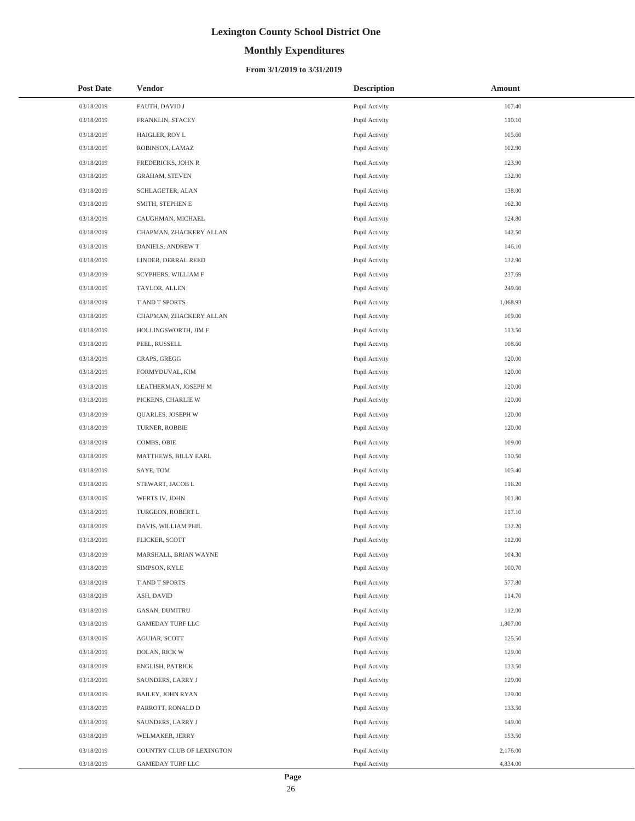# **Monthly Expenditures**

| Post Date  | <b>Vendor</b>             | <b>Description</b> | Amount   |
|------------|---------------------------|--------------------|----------|
| 03/18/2019 | FAUTH, DAVID J            | Pupil Activity     | 107.40   |
| 03/18/2019 | FRANKLIN, STACEY          | Pupil Activity     | 110.10   |
| 03/18/2019 | HAIGLER, ROY L            | Pupil Activity     | 105.60   |
| 03/18/2019 | ROBINSON, LAMAZ           | Pupil Activity     | 102.90   |
| 03/18/2019 | FREDERICKS, JOHN R        | Pupil Activity     | 123.90   |
| 03/18/2019 | <b>GRAHAM, STEVEN</b>     | Pupil Activity     | 132.90   |
| 03/18/2019 | SCHLAGETER, ALAN          | Pupil Activity     | 138.00   |
| 03/18/2019 | SMITH, STEPHEN E          | Pupil Activity     | 162.30   |
| 03/18/2019 | CAUGHMAN, MICHAEL         | Pupil Activity     | 124.80   |
| 03/18/2019 | CHAPMAN, ZHACKERY ALLAN   | Pupil Activity     | 142.50   |
| 03/18/2019 | DANIELS, ANDREW T         | Pupil Activity     | 146.10   |
| 03/18/2019 | LINDER, DERRAL REED       | Pupil Activity     | 132.90   |
| 03/18/2019 | SCYPHERS, WILLIAM F       | Pupil Activity     | 237.69   |
| 03/18/2019 | TAYLOR, ALLEN             | Pupil Activity     | 249.60   |
| 03/18/2019 | T AND T SPORTS            | Pupil Activity     | 1,068.93 |
| 03/18/2019 | CHAPMAN, ZHACKERY ALLAN   | Pupil Activity     | 109.00   |
| 03/18/2019 | HOLLINGSWORTH, JIM F      | Pupil Activity     | 113.50   |
| 03/18/2019 | PEEL, RUSSELL             | Pupil Activity     | 108.60   |
| 03/18/2019 | CRAPS, GREGG              | Pupil Activity     | 120.00   |
| 03/18/2019 | FORMYDUVAL, KIM           | Pupil Activity     | 120.00   |
| 03/18/2019 | LEATHERMAN, JOSEPH M      | Pupil Activity     | 120.00   |
| 03/18/2019 | PICKENS, CHARLIE W        | Pupil Activity     | 120.00   |
| 03/18/2019 | QUARLES, JOSEPH W         | Pupil Activity     | 120.00   |
| 03/18/2019 | TURNER, ROBBIE            | Pupil Activity     | 120.00   |
| 03/18/2019 | COMBS, OBIE               | Pupil Activity     | 109.00   |
| 03/18/2019 | MATTHEWS, BILLY EARL      | Pupil Activity     | 110.50   |
| 03/18/2019 | SAYE, TOM                 | Pupil Activity     | 105.40   |
| 03/18/2019 | STEWART, JACOB L          | Pupil Activity     | 116.20   |
| 03/18/2019 | WERTS IV, JOHN            | Pupil Activity     | 101.80   |
| 03/18/2019 | TURGEON, ROBERT L         | Pupil Activity     | 117.10   |
| 03/18/2019 | DAVIS, WILLIAM PHIL       | Pupil Activity     | 132.20   |
| 03/18/2019 | FLICKER, SCOTT            | Pupil Activity     | 112.00   |
| 03/18/2019 | MARSHALL, BRIAN WAYNE     | Pupil Activity     | 104.30   |
| 03/18/2019 | SIMPSON, KYLE             | Pupil Activity     | 100.70   |
| 03/18/2019 | T AND T SPORTS            | Pupil Activity     | 577.80   |
| 03/18/2019 | ASH, DAVID                | Pupil Activity     | 114.70   |
| 03/18/2019 | GASAN, DUMITRU            | Pupil Activity     | 112.00   |
| 03/18/2019 | GAMEDAY TURF LLC          | Pupil Activity     | 1,807.00 |
| 03/18/2019 | AGUIAR, SCOTT             | Pupil Activity     | 125.50   |
| 03/18/2019 | DOLAN, RICK W             | Pupil Activity     | 129.00   |
| 03/18/2019 | <b>ENGLISH, PATRICK</b>   | Pupil Activity     | 133.50   |
| 03/18/2019 | SAUNDERS, LARRY J         | Pupil Activity     | 129.00   |
| 03/18/2019 | BAILEY, JOHN RYAN         | Pupil Activity     | 129.00   |
| 03/18/2019 | PARROTT, RONALD D         | Pupil Activity     | 133.50   |
| 03/18/2019 | SAUNDERS, LARRY J         | Pupil Activity     | 149.00   |
| 03/18/2019 | WELMAKER, JERRY           | Pupil Activity     | 153.50   |
| 03/18/2019 | COUNTRY CLUB OF LEXINGTON | Pupil Activity     | 2,176.00 |
| 03/18/2019 | GAMEDAY TURF LLC          | Pupil Activity     | 4,834.00 |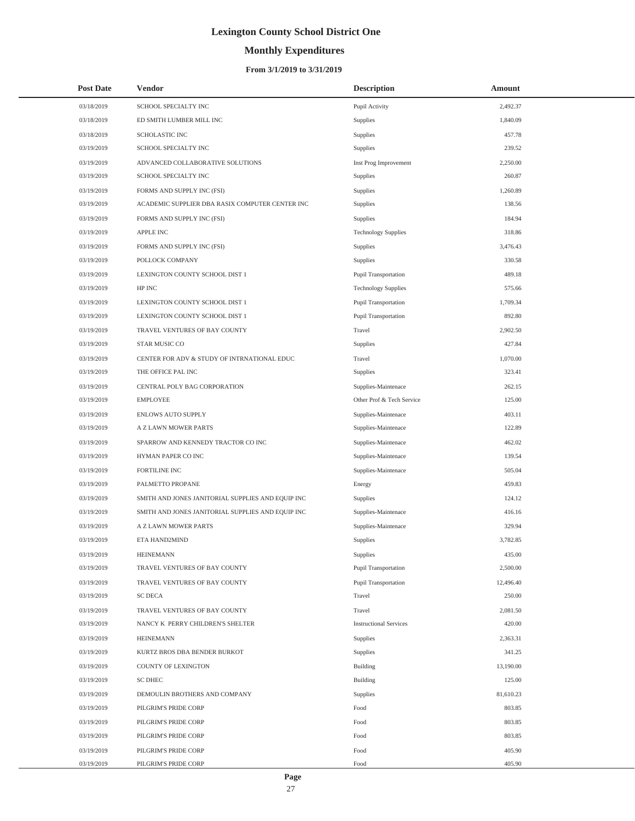# **Monthly Expenditures**

| <b>Post Date</b> | <b>Vendor</b>                                     | <b>Description</b>            | Amount    |
|------------------|---------------------------------------------------|-------------------------------|-----------|
| 03/18/2019       | SCHOOL SPECIALTY INC                              | Pupil Activity                | 2,492.37  |
| 03/18/2019       | ED SMITH LUMBER MILL INC                          | Supplies                      | 1,840.09  |
| 03/18/2019       | <b>SCHOLASTIC INC</b>                             | Supplies                      | 457.78    |
| 03/19/2019       | SCHOOL SPECIALTY INC                              | Supplies                      | 239.52    |
| 03/19/2019       | ADVANCED COLLABORATIVE SOLUTIONS                  | Inst Prog Improvement         | 2,250.00  |
| 03/19/2019       | SCHOOL SPECIALTY INC                              | Supplies                      | 260.87    |
| 03/19/2019       | FORMS AND SUPPLY INC (FSI)                        | Supplies                      | 1,260.89  |
| 03/19/2019       | ACADEMIC SUPPLIER DBA RASIX COMPUTER CENTER INC   | Supplies                      | 138.56    |
| 03/19/2019       | FORMS AND SUPPLY INC (FSI)                        | Supplies                      | 184.94    |
| 03/19/2019       | <b>APPLE INC</b>                                  | <b>Technology Supplies</b>    | 318.86    |
| 03/19/2019       | FORMS AND SUPPLY INC (FSI)                        | Supplies                      | 3,476.43  |
| 03/19/2019       | POLLOCK COMPANY                                   | Supplies                      | 330.58    |
| 03/19/2019       | LEXINGTON COUNTY SCHOOL DIST 1                    | Pupil Transportation          | 489.18    |
| 03/19/2019       | HP INC                                            | <b>Technology Supplies</b>    | 575.66    |
| 03/19/2019       | LEXINGTON COUNTY SCHOOL DIST 1                    | Pupil Transportation          | 1,709.34  |
| 03/19/2019       | LEXINGTON COUNTY SCHOOL DIST 1                    | Pupil Transportation          | 892.80    |
| 03/19/2019       | TRAVEL VENTURES OF BAY COUNTY                     | Travel                        | 2,902.50  |
| 03/19/2019       | STAR MUSIC CO                                     | Supplies                      | 427.84    |
| 03/19/2019       | CENTER FOR ADV & STUDY OF INTRNATIONAL EDUC       | Travel                        | 1,070.00  |
| 03/19/2019       | THE OFFICE PAL INC                                | Supplies                      | 323.41    |
| 03/19/2019       | CENTRAL POLY BAG CORPORATION                      | Supplies-Maintenace           | 262.15    |
| 03/19/2019       | <b>EMPLOYEE</b>                                   | Other Prof & Tech Service     | 125.00    |
| 03/19/2019       | ENLOWS AUTO SUPPLY                                | Supplies-Maintenace           | 403.11    |
| 03/19/2019       | A Z LAWN MOWER PARTS                              | Supplies-Maintenace           | 122.89    |
| 03/19/2019       | SPARROW AND KENNEDY TRACTOR CO INC                | Supplies-Maintenace           | 462.02    |
| 03/19/2019       | HYMAN PAPER CO INC                                | Supplies-Maintenace           | 139.54    |
| 03/19/2019       | FORTILINE INC                                     | Supplies-Maintenace           | 505.04    |
| 03/19/2019       | PALMETTO PROPANE                                  | Energy                        | 459.83    |
| 03/19/2019       | SMITH AND JONES JANITORIAL SUPPLIES AND EQUIP INC | Supplies                      | 124.12    |
| 03/19/2019       | SMITH AND JONES JANITORIAL SUPPLIES AND EQUIP INC | Supplies-Maintenace           | 416.16    |
| 03/19/2019       | A Z LAWN MOWER PARTS                              | Supplies-Maintenace           | 329.94    |
| 03/19/2019       | ETA HAND2MIND                                     | Supplies                      | 3,782.85  |
| 03/19/2019       | <b>HEINEMANN</b>                                  | Supplies                      | 435.00    |
| 03/19/2019       | TRAVEL VENTURES OF BAY COUNTY                     | Pupil Transportation          | 2,500.00  |
| 03/19/2019       | TRAVEL VENTURES OF BAY COUNTY                     | Pupil Transportation          | 12,496.40 |
| 03/19/2019       | <b>SC DECA</b>                                    | Travel                        | 250.00    |
| 03/19/2019       | TRAVEL VENTURES OF BAY COUNTY                     | Travel                        | 2,081.50  |
| 03/19/2019       | NANCY K PERRY CHILDREN'S SHELTER                  | <b>Instructional Services</b> | 420.00    |
| 03/19/2019       | <b>HEINEMANN</b>                                  | Supplies                      | 2,363.31  |
| 03/19/2019       | KURTZ BROS DBA BENDER BURKOT                      | Supplies                      | 341.25    |
| 03/19/2019       | <b>COUNTY OF LEXINGTON</b>                        | Building                      | 13,190.00 |
| 03/19/2019       | <b>SC DHEC</b>                                    | Building                      | 125.00    |
| 03/19/2019       | DEMOULIN BROTHERS AND COMPANY                     | Supplies                      | 81,610.23 |
| 03/19/2019       | PILGRIM'S PRIDE CORP                              | Food                          | 803.85    |
| 03/19/2019       | PILGRIM'S PRIDE CORP                              | Food                          | 803.85    |
| 03/19/2019       | PILGRIM'S PRIDE CORP                              | Food                          | 803.85    |
| 03/19/2019       | PILGRIM'S PRIDE CORP                              | Food                          | 405.90    |
| 03/19/2019       | PILGRIM'S PRIDE CORP                              | Food                          | 405.90    |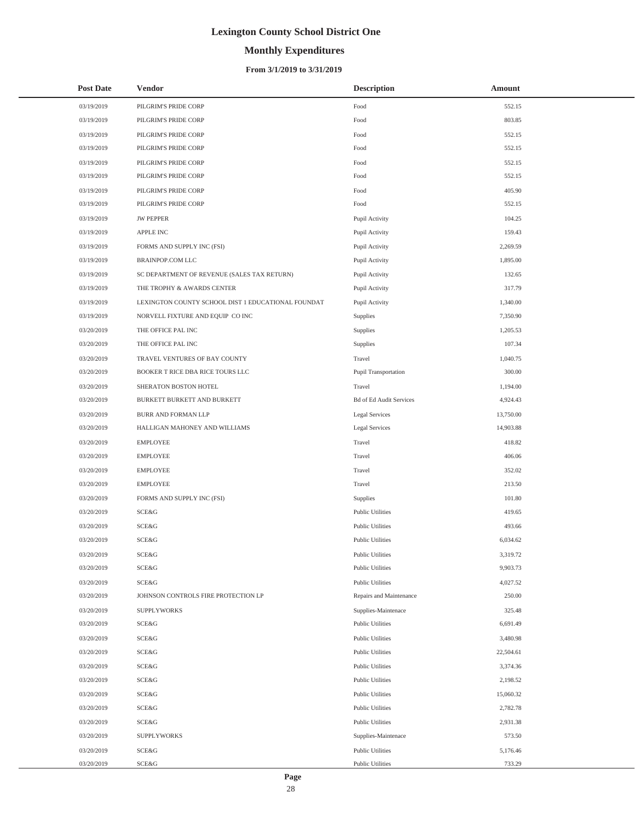# **Monthly Expenditures**

| <b>Post Date</b> | <b>Vendor</b>                                      | <b>Description</b>             | Amount    |
|------------------|----------------------------------------------------|--------------------------------|-----------|
| 03/19/2019       | PILGRIM'S PRIDE CORP                               | Food                           | 552.15    |
| 03/19/2019       | PILGRIM'S PRIDE CORP                               | $\operatorname*{Food}$         | 803.85    |
| 03/19/2019       | PILGRIM'S PRIDE CORP                               | Food                           | 552.15    |
| 03/19/2019       | PILGRIM'S PRIDE CORP                               | Food                           | 552.15    |
| 03/19/2019       | PILGRIM'S PRIDE CORP                               | Food                           | 552.15    |
| 03/19/2019       | PILGRIM'S PRIDE CORP                               | Food                           | 552.15    |
| 03/19/2019       | PILGRIM'S PRIDE CORP                               | Food                           | 405.90    |
| 03/19/2019       | PILGRIM'S PRIDE CORP                               | Food                           | 552.15    |
| 03/19/2019       | <b>JW PEPPER</b>                                   | Pupil Activity                 | 104.25    |
| 03/19/2019       | <b>APPLE INC</b>                                   | Pupil Activity                 | 159.43    |
| 03/19/2019       | FORMS AND SUPPLY INC (FSI)                         | Pupil Activity                 | 2,269.59  |
| 03/19/2019       | <b>BRAINPOP.COM LLC</b>                            | Pupil Activity                 | 1,895.00  |
| 03/19/2019       | SC DEPARTMENT OF REVENUE (SALES TAX RETURN)        | Pupil Activity                 | 132.65    |
| 03/19/2019       | THE TROPHY & AWARDS CENTER                         | Pupil Activity                 | 317.79    |
| 03/19/2019       | LEXINGTON COUNTY SCHOOL DIST 1 EDUCATIONAL FOUNDAT | Pupil Activity                 | 1,340.00  |
| 03/19/2019       | NORVELL FIXTURE AND EQUIP CO INC                   | Supplies                       | 7,350.90  |
| 03/20/2019       | THE OFFICE PAL INC                                 | Supplies                       | 1,205.53  |
| 03/20/2019       | THE OFFICE PAL INC                                 | Supplies                       | 107.34    |
| 03/20/2019       | TRAVEL VENTURES OF BAY COUNTY                      | Travel                         | 1,040.75  |
| 03/20/2019       | BOOKER T RICE DBA RICE TOURS LLC                   | Pupil Transportation           | 300.00    |
| 03/20/2019       | SHERATON BOSTON HOTEL                              | Travel                         | 1,194.00  |
| 03/20/2019       | BURKETT BURKETT AND BURKETT                        | <b>Bd of Ed Audit Services</b> | 4,924.43  |
| 03/20/2019       | BURR AND FORMAN LLP                                | <b>Legal Services</b>          | 13,750.00 |
| 03/20/2019       | HALLIGAN MAHONEY AND WILLIAMS                      | <b>Legal Services</b>          | 14,903.88 |
| 03/20/2019       | <b>EMPLOYEE</b>                                    | Travel                         | 418.82    |
| 03/20/2019       | <b>EMPLOYEE</b>                                    | Travel                         | 406.06    |
| 03/20/2019       | <b>EMPLOYEE</b>                                    | Travel                         | 352.02    |
| 03/20/2019       | <b>EMPLOYEE</b>                                    | Travel                         | 213.50    |
| 03/20/2019       | FORMS AND SUPPLY INC (FSI)                         | Supplies                       | 101.80    |
| 03/20/2019       | SCE&G                                              | <b>Public Utilities</b>        | 419.65    |
| 03/20/2019       | SCE&G                                              | <b>Public Utilities</b>        | 493.66    |
| 03/20/2019       | <b>SCE&amp;G</b>                                   | <b>Public Utilities</b>        | 6,034.62  |
| 03/20/2019       | SCE&G                                              | Public Utilities               | 3,319.72  |
| 03/20/2019       | SCE&G                                              | Public Utilities               | 9,903.73  |
| 03/20/2019       | SCE&G                                              | Public Utilities               | 4,027.52  |
| 03/20/2019       | JOHNSON CONTROLS FIRE PROTECTION LP                | Repairs and Maintenance        | 250.00    |
| 03/20/2019       | <b>SUPPLYWORKS</b>                                 | Supplies-Maintenace            | 325.48    |
| 03/20/2019       | SCE&G                                              | <b>Public Utilities</b>        | 6,691.49  |
| 03/20/2019       | SCE&G                                              | <b>Public Utilities</b>        | 3,480.98  |
| 03/20/2019       | SCE&G                                              | <b>Public Utilities</b>        | 22,504.61 |
| 03/20/2019       | SCE&G                                              | <b>Public Utilities</b>        | 3,374.36  |
| 03/20/2019       | SCE&G                                              | <b>Public Utilities</b>        | 2,198.52  |
| 03/20/2019       | SCE&G                                              | <b>Public Utilities</b>        | 15,060.32 |
| 03/20/2019       | SCE&G                                              | <b>Public Utilities</b>        | 2,782.78  |
| 03/20/2019       | SCE&G                                              | <b>Public Utilities</b>        | 2,931.38  |
| 03/20/2019       | <b>SUPPLYWORKS</b>                                 | Supplies-Maintenace            | 573.50    |
| 03/20/2019       | SCE&G                                              | Public Utilities               | 5,176.46  |
| 03/20/2019       | SCE&G                                              | Public Utilities               | 733.29    |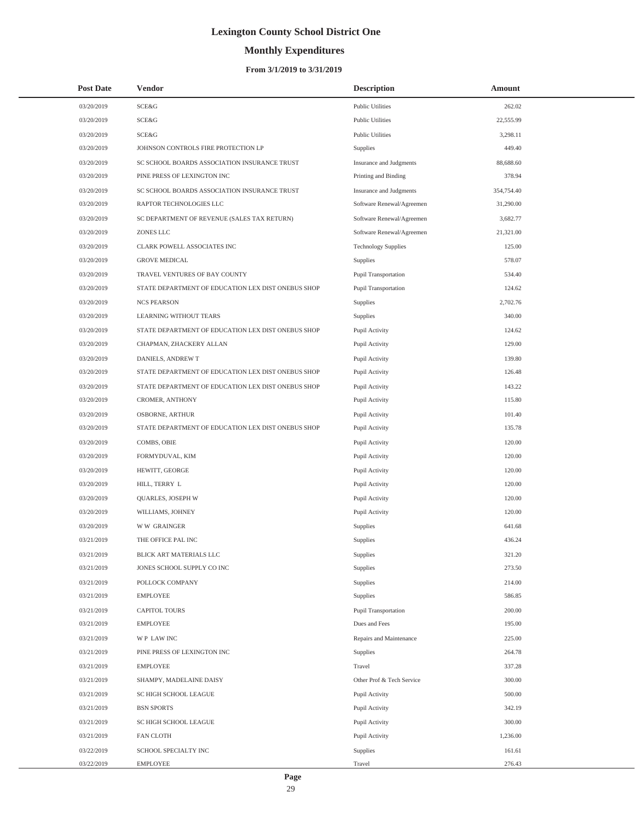# **Monthly Expenditures**

| <b>Post Date</b> | <b>Vendor</b>                                      | <b>Description</b>         | Amount     |
|------------------|----------------------------------------------------|----------------------------|------------|
| 03/20/2019       | SCE&G                                              | <b>Public Utilities</b>    | 262.02     |
| 03/20/2019       | SCE&G                                              | Public Utilities           | 22,555.99  |
| 03/20/2019       | SCE&G                                              | Public Utilities           | 3,298.11   |
| 03/20/2019       | JOHNSON CONTROLS FIRE PROTECTION LP                | Supplies                   | 449.40     |
| 03/20/2019       | SC SCHOOL BOARDS ASSOCIATION INSURANCE TRUST       | Insurance and Judgments    | 88,688.60  |
| 03/20/2019       | PINE PRESS OF LEXINGTON INC                        | Printing and Binding       | 378.94     |
| 03/20/2019       | SC SCHOOL BOARDS ASSOCIATION INSURANCE TRUST       | Insurance and Judgments    | 354,754.40 |
| 03/20/2019       | RAPTOR TECHNOLOGIES LLC                            | Software Renewal/Agreemen  | 31,290.00  |
| 03/20/2019       | SC DEPARTMENT OF REVENUE (SALES TAX RETURN)        | Software Renewal/Agreemen  | 3,682.77   |
| 03/20/2019       | ZONES LLC                                          | Software Renewal/Agreemen  | 21,321.00  |
| 03/20/2019       | CLARK POWELL ASSOCIATES INC                        | <b>Technology Supplies</b> | 125.00     |
| 03/20/2019       | <b>GROVE MEDICAL</b>                               | Supplies                   | 578.07     |
| 03/20/2019       | TRAVEL VENTURES OF BAY COUNTY                      | Pupil Transportation       | 534.40     |
| 03/20/2019       | STATE DEPARTMENT OF EDUCATION LEX DIST ONEBUS SHOP | Pupil Transportation       | 124.62     |
| 03/20/2019       | <b>NCS PEARSON</b>                                 | Supplies                   | 2,702.76   |
| 03/20/2019       | LEARNING WITHOUT TEARS                             | Supplies                   | 340.00     |
| 03/20/2019       | STATE DEPARTMENT OF EDUCATION LEX DIST ONEBUS SHOP | Pupil Activity             | 124.62     |
| 03/20/2019       | CHAPMAN, ZHACKERY ALLAN                            | Pupil Activity             | 129.00     |
| 03/20/2019       | DANIELS, ANDREW T                                  | Pupil Activity             | 139.80     |
| 03/20/2019       | STATE DEPARTMENT OF EDUCATION LEX DIST ONEBUS SHOP | Pupil Activity             | 126.48     |
| 03/20/2019       | STATE DEPARTMENT OF EDUCATION LEX DIST ONEBUS SHOP | Pupil Activity             | 143.22     |
| 03/20/2019       | CROMER, ANTHONY                                    | Pupil Activity             | 115.80     |
| 03/20/2019       | <b>OSBORNE, ARTHUR</b>                             | Pupil Activity             | 101.40     |
| 03/20/2019       | STATE DEPARTMENT OF EDUCATION LEX DIST ONEBUS SHOP | Pupil Activity             | 135.78     |
| 03/20/2019       | COMBS, OBIE                                        | Pupil Activity             | 120.00     |
| 03/20/2019       | FORMYDUVAL, KIM                                    | Pupil Activity             | 120.00     |
| 03/20/2019       | HEWITT, GEORGE                                     | Pupil Activity             | 120.00     |
| 03/20/2019       | HILL, TERRY L                                      | Pupil Activity             | 120.00     |
| 03/20/2019       | QUARLES, JOSEPH W                                  | Pupil Activity             | 120.00     |
| 03/20/2019       | WILLIAMS, JOHNEY                                   | Pupil Activity             | 120.00     |
| 03/20/2019       | <b>WW GRAINGER</b>                                 | Supplies                   | 641.68     |
| 03/21/2019       | THE OFFICE PAL INC                                 | Supplies                   | 436.24     |
| 03/21/2019       | BLICK ART MATERIALS LLC                            | Supplies                   | 321.20     |
| 03/21/2019       | JONES SCHOOL SUPPLY CO INC                         | Supplies                   | 273.50     |
| 03/21/2019       | POLLOCK COMPANY                                    | Supplies                   | 214.00     |
| 03/21/2019       | EMPLOYEE                                           | Supplies                   | 586.85     |
| 03/21/2019       | <b>CAPITOL TOURS</b>                               | Pupil Transportation       | 200.00     |
| 03/21/2019       | EMPLOYEE                                           | Dues and Fees              | 195.00     |
| 03/21/2019       | WP LAW INC                                         | Repairs and Maintenance    | 225.00     |
| 03/21/2019       | PINE PRESS OF LEXINGTON INC                        | Supplies                   | 264.78     |
| 03/21/2019       | <b>EMPLOYEE</b>                                    | Travel                     | 337.28     |
| 03/21/2019       | SHAMPY, MADELAINE DAISY                            | Other Prof & Tech Service  | 300.00     |
| 03/21/2019       | SC HIGH SCHOOL LEAGUE                              | Pupil Activity             | 500.00     |
| 03/21/2019       | <b>BSN SPORTS</b>                                  | Pupil Activity             | 342.19     |
| 03/21/2019       | SC HIGH SCHOOL LEAGUE                              | Pupil Activity             | 300.00     |
| 03/21/2019       | FAN CLOTH                                          | Pupil Activity             | 1,236.00   |
| 03/22/2019       | SCHOOL SPECIALTY INC                               | Supplies                   | 161.61     |
| 03/22/2019       | <b>EMPLOYEE</b>                                    | Travel                     | 276.43     |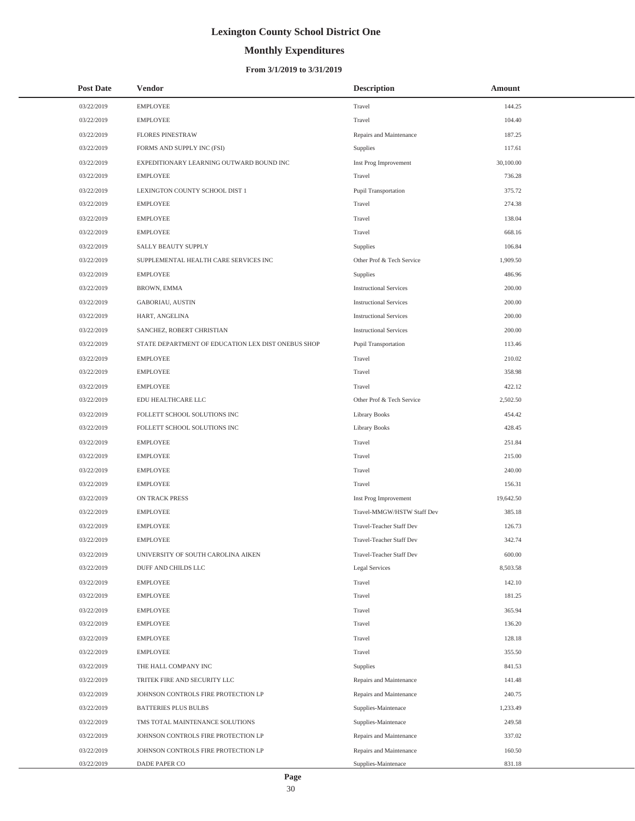# **Monthly Expenditures**

### **From 3/1/2019 to 3/31/2019**

| <b>Post Date</b> | Vendor                                             | <b>Description</b>            | Amount    |
|------------------|----------------------------------------------------|-------------------------------|-----------|
| 03/22/2019       | <b>EMPLOYEE</b>                                    | Travel                        | 144.25    |
| 03/22/2019       | <b>EMPLOYEE</b>                                    | Travel                        | 104.40    |
| 03/22/2019       | <b>FLORES PINESTRAW</b>                            | Repairs and Maintenance       | 187.25    |
| 03/22/2019       | FORMS AND SUPPLY INC (FSI)                         | Supplies                      | 117.61    |
| 03/22/2019       | EXPEDITIONARY LEARNING OUTWARD BOUND INC           | Inst Prog Improvement         | 30,100.00 |
| 03/22/2019       | <b>EMPLOYEE</b>                                    | Travel                        | 736.28    |
| 03/22/2019       | LEXINGTON COUNTY SCHOOL DIST 1                     | Pupil Transportation          | 375.72    |
| 03/22/2019       | <b>EMPLOYEE</b>                                    | Travel                        | 274.38    |
| 03/22/2019       | <b>EMPLOYEE</b>                                    | Travel                        | 138.04    |
| 03/22/2019       | <b>EMPLOYEE</b>                                    | Travel                        | 668.16    |
| 03/22/2019       | SALLY BEAUTY SUPPLY                                | Supplies                      | 106.84    |
| 03/22/2019       | SUPPLEMENTAL HEALTH CARE SERVICES INC              | Other Prof & Tech Service     | 1,909.50  |
| 03/22/2019       | <b>EMPLOYEE</b>                                    | Supplies                      | 486.96    |
| 03/22/2019       | BROWN, EMMA                                        | <b>Instructional Services</b> | 200.00    |
| 03/22/2019       | GABORIAU, AUSTIN                                   | <b>Instructional Services</b> | 200.00    |
| 03/22/2019       | HART, ANGELINA                                     | <b>Instructional Services</b> | 200.00    |
| 03/22/2019       | SANCHEZ, ROBERT CHRISTIAN                          | <b>Instructional Services</b> | 200.00    |
| 03/22/2019       | STATE DEPARTMENT OF EDUCATION LEX DIST ONEBUS SHOP | Pupil Transportation          | 113.46    |
| 03/22/2019       | <b>EMPLOYEE</b>                                    | Travel                        | 210.02    |
| 03/22/2019       | <b>EMPLOYEE</b>                                    | Travel                        | 358.98    |
| 03/22/2019       | <b>EMPLOYEE</b>                                    | Travel                        | 422.12    |
| 03/22/2019       | EDU HEALTHCARE LLC                                 | Other Prof & Tech Service     | 2,502.50  |
| 03/22/2019       | FOLLETT SCHOOL SOLUTIONS INC                       | Library Books                 | 454.42    |
| 03/22/2019       | FOLLETT SCHOOL SOLUTIONS INC                       | Library Books                 | 428.45    |
| 03/22/2019       | <b>EMPLOYEE</b>                                    | Travel                        | 251.84    |
| 03/22/2019       | <b>EMPLOYEE</b>                                    | Travel                        | 215.00    |
| 03/22/2019       | <b>EMPLOYEE</b>                                    | Travel                        | 240.00    |
| 03/22/2019       | <b>EMPLOYEE</b>                                    | Travel                        | 156.31    |
| 03/22/2019       | ON TRACK PRESS                                     | Inst Prog Improvement         | 19,642.50 |
| 03/22/2019       | <b>EMPLOYEE</b>                                    | Travel-MMGW/HSTW Staff Dev    | 385.18    |
| 03/22/2019       | <b>EMPLOYEE</b>                                    | Travel-Teacher Staff Dev      | 126.73    |
| 03/22/2019       | <b>EMPLOYEE</b>                                    | Travel-Teacher Staff Dev      | 342.74    |
| 03/22/2019       | UNIVERSITY OF SOUTH CAROLINA AIKEN                 | Travel-Teacher Staff Dev      | 600.00    |
| 03/22/2019       | DUFF AND CHILDS LLC                                | Legal Services                | 8,503.58  |
| 03/22/2019       | <b>EMPLOYEE</b>                                    | Travel                        | 142.10    |
| 03/22/2019       | <b>EMPLOYEE</b>                                    | Travel                        | 181.25    |
| 03/22/2019       | <b>EMPLOYEE</b>                                    | Travel                        | 365.94    |
| 03/22/2019       | <b>EMPLOYEE</b>                                    | Travel                        | 136.20    |
| 03/22/2019       | <b>EMPLOYEE</b>                                    | Travel                        | 128.18    |
| 03/22/2019       | <b>EMPLOYEE</b>                                    | Travel                        | 355.50    |
| 03/22/2019       | THE HALL COMPANY INC                               | Supplies                      | 841.53    |
| 03/22/2019       | TRITEK FIRE AND SECURITY LLC                       | Repairs and Maintenance       | 141.48    |
| 03/22/2019       | JOHNSON CONTROLS FIRE PROTECTION LP                | Repairs and Maintenance       | 240.75    |
| 03/22/2019       | <b>BATTERIES PLUS BULBS</b>                        | Supplies-Maintenace           | 1,233.49  |
| 03/22/2019       | TMS TOTAL MAINTENANCE SOLUTIONS                    | Supplies-Maintenace           | 249.58    |
| 03/22/2019       | JOHNSON CONTROLS FIRE PROTECTION LP                | Repairs and Maintenance       | 337.02    |
| 03/22/2019       | JOHNSON CONTROLS FIRE PROTECTION LP                | Repairs and Maintenance       | 160.50    |
| 03/22/2019       | DADE PAPER CO                                      | Supplies-Maintenace           | 831.18    |

 $\overline{\phantom{0}}$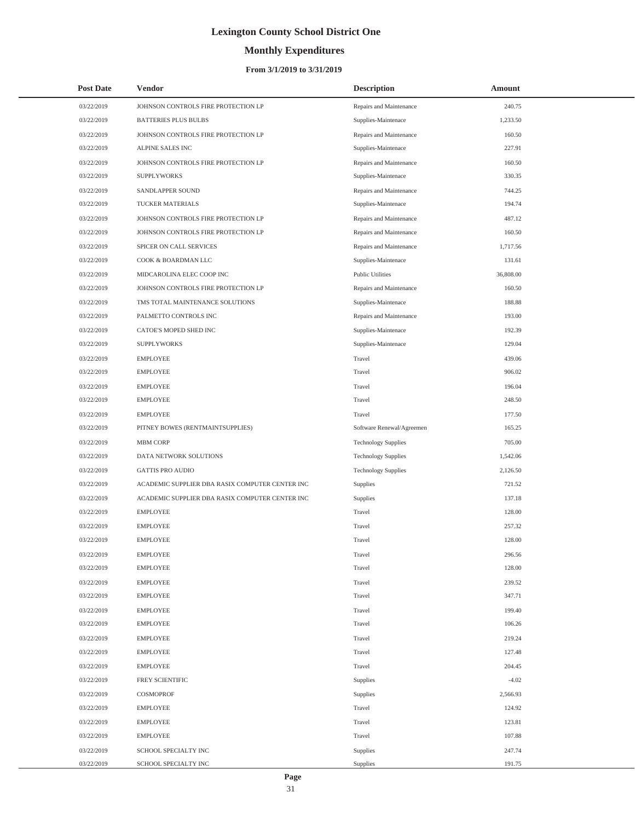# **Monthly Expenditures**

### **From 3/1/2019 to 3/31/2019**

| <b>Post Date</b> | <b>Vendor</b>                                   | <b>Description</b>         | Amount    |  |
|------------------|-------------------------------------------------|----------------------------|-----------|--|
| 03/22/2019       | JOHNSON CONTROLS FIRE PROTECTION LP             | Repairs and Maintenance    | 240.75    |  |
| 03/22/2019       | <b>BATTERIES PLUS BULBS</b>                     | Supplies-Maintenace        | 1,233.50  |  |
| 03/22/2019       | JOHNSON CONTROLS FIRE PROTECTION LP             | Repairs and Maintenance    | 160.50    |  |
| 03/22/2019       | ALPINE SALES INC                                | Supplies-Maintenace        | 227.91    |  |
| 03/22/2019       | JOHNSON CONTROLS FIRE PROTECTION LP             | Repairs and Maintenance    | 160.50    |  |
| 03/22/2019       | <b>SUPPLYWORKS</b>                              | Supplies-Maintenace        | 330.35    |  |
| 03/22/2019       | SANDLAPPER SOUND                                | Repairs and Maintenance    | 744.25    |  |
| 03/22/2019       | TUCKER MATERIALS                                | Supplies-Maintenace        | 194.74    |  |
| 03/22/2019       | JOHNSON CONTROLS FIRE PROTECTION LP             | Repairs and Maintenance    | 487.12    |  |
| 03/22/2019       | JOHNSON CONTROLS FIRE PROTECTION LP             | Repairs and Maintenance    | 160.50    |  |
| 03/22/2019       | SPICER ON CALL SERVICES                         | Repairs and Maintenance    | 1,717.56  |  |
| 03/22/2019       | COOK & BOARDMAN LLC                             | Supplies-Maintenace        | 131.61    |  |
| 03/22/2019       | MIDCAROLINA ELEC COOP INC                       | <b>Public Utilities</b>    | 36,808.00 |  |
| 03/22/2019       | JOHNSON CONTROLS FIRE PROTECTION LP             | Repairs and Maintenance    | 160.50    |  |
| 03/22/2019       | TMS TOTAL MAINTENANCE SOLUTIONS                 | Supplies-Maintenace        | 188.88    |  |
| 03/22/2019       | PALMETTO CONTROLS INC                           | Repairs and Maintenance    | 193.00    |  |
| 03/22/2019       | CATOE'S MOPED SHED INC                          | Supplies-Maintenace        | 192.39    |  |
| 03/22/2019       | <b>SUPPLYWORKS</b>                              | Supplies-Maintenace        | 129.04    |  |
| 03/22/2019       | <b>EMPLOYEE</b>                                 | Travel                     | 439.06    |  |
| 03/22/2019       | <b>EMPLOYEE</b>                                 | Travel                     | 906.02    |  |
| 03/22/2019       | <b>EMPLOYEE</b>                                 | Travel                     | 196.04    |  |
| 03/22/2019       | <b>EMPLOYEE</b>                                 | Travel                     | 248.50    |  |
| 03/22/2019       | <b>EMPLOYEE</b>                                 | Travel                     | 177.50    |  |
| 03/22/2019       | PITNEY BOWES (RENTMAINTSUPPLIES)                | Software Renewal/Agreemen  | 165.25    |  |
| 03/22/2019       | <b>MBM CORP</b>                                 | <b>Technology Supplies</b> | 705.00    |  |
| 03/22/2019       | DATA NETWORK SOLUTIONS                          | <b>Technology Supplies</b> | 1,542.06  |  |
| 03/22/2019       | <b>GATTIS PRO AUDIO</b>                         | <b>Technology Supplies</b> | 2,126.50  |  |
| 03/22/2019       | ACADEMIC SUPPLIER DBA RASIX COMPUTER CENTER INC | Supplies                   | 721.52    |  |
| 03/22/2019       | ACADEMIC SUPPLIER DBA RASIX COMPUTER CENTER INC | Supplies                   | 137.18    |  |
| 03/22/2019       | <b>EMPLOYEE</b>                                 | Travel                     | 128.00    |  |
| 03/22/2019       | <b>EMPLOYEE</b>                                 | Travel                     | 257.32    |  |
| 03/22/2019       | <b>EMPLOYEE</b>                                 | Travel                     | 128.00    |  |
| 03/22/2019       | <b>EMPLOYEE</b>                                 | Travel                     | 296.56    |  |
| 03/22/2019       | <b>EMPLOYEE</b>                                 | Travel                     | 128.00    |  |
| 03/22/2019       | <b>EMPLOYEE</b>                                 | Travel                     | 239.52    |  |
| 03/22/2019       | <b>EMPLOYEE</b>                                 | Travel                     | 347.71    |  |
| 03/22/2019       | <b>EMPLOYEE</b>                                 | Travel                     | 199.40    |  |
| 03/22/2019       | <b>EMPLOYEE</b>                                 | Travel                     | 106.26    |  |
| 03/22/2019       | <b>EMPLOYEE</b>                                 | Travel                     | 219.24    |  |
| 03/22/2019       | <b>EMPLOYEE</b>                                 | Travel                     | 127.48    |  |
| 03/22/2019       | <b>EMPLOYEE</b>                                 | Travel                     | 204.45    |  |
| 03/22/2019       | FREY SCIENTIFIC                                 | Supplies                   | $-4.02$   |  |
| 03/22/2019       | COSMOPROF                                       | Supplies                   | 2,566.93  |  |
| 03/22/2019       | <b>EMPLOYEE</b>                                 | Travel                     | 124.92    |  |
| 03/22/2019       | <b>EMPLOYEE</b>                                 | Travel                     | 123.81    |  |
| 03/22/2019       | <b>EMPLOYEE</b>                                 | Travel                     | 107.88    |  |
| 03/22/2019       | SCHOOL SPECIALTY INC                            | Supplies                   | 247.74    |  |
| 03/22/2019       | SCHOOL SPECIALTY INC                            | Supplies                   | 191.75    |  |

L,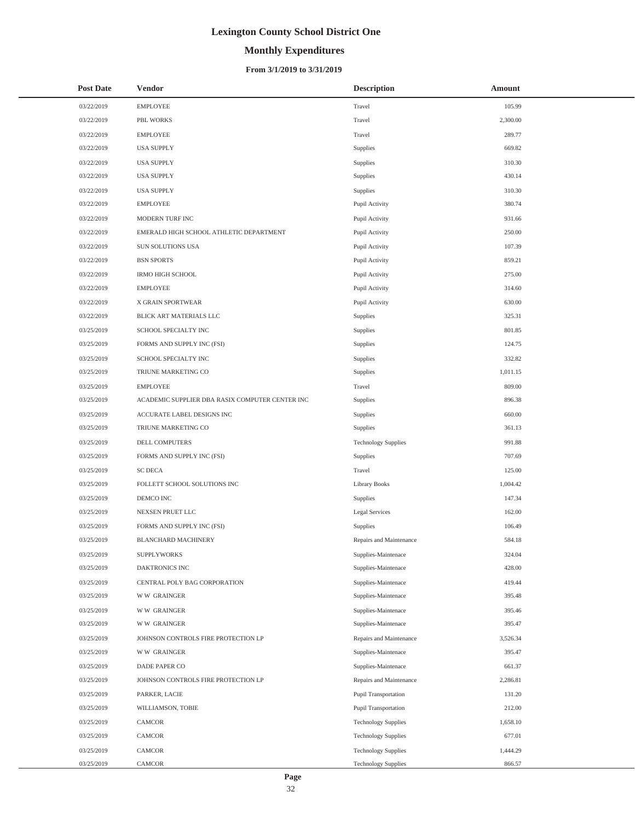# **Monthly Expenditures**

### **From 3/1/2019 to 3/31/2019**

| <b>Post Date</b> | Vendor                                          | <b>Description</b>         | Amount   |
|------------------|-------------------------------------------------|----------------------------|----------|
| 03/22/2019       | <b>EMPLOYEE</b>                                 | Travel                     | 105.99   |
| 03/22/2019       | PBL WORKS                                       | Travel                     | 2,300.00 |
| 03/22/2019       | <b>EMPLOYEE</b>                                 | Travel                     | 289.77   |
| 03/22/2019       | <b>USA SUPPLY</b>                               | Supplies                   | 669.82   |
| 03/22/2019       | <b>USA SUPPLY</b>                               | Supplies                   | 310.30   |
| 03/22/2019       | <b>USA SUPPLY</b>                               | Supplies                   | 430.14   |
| 03/22/2019       | <b>USA SUPPLY</b>                               | Supplies                   | 310.30   |
| 03/22/2019       | <b>EMPLOYEE</b>                                 | Pupil Activity             | 380.74   |
| 03/22/2019       | MODERN TURF INC                                 | Pupil Activity             | 931.66   |
| 03/22/2019       | EMERALD HIGH SCHOOL ATHLETIC DEPARTMENT         | Pupil Activity             | 250.00   |
| 03/22/2019       | SUN SOLUTIONS USA                               | Pupil Activity             | 107.39   |
| 03/22/2019       | <b>BSN SPORTS</b>                               | Pupil Activity             | 859.21   |
| 03/22/2019       | <b>IRMO HIGH SCHOOL</b>                         | Pupil Activity             | 275.00   |
| 03/22/2019       | <b>EMPLOYEE</b>                                 | Pupil Activity             | 314.60   |
| 03/22/2019       | X GRAIN SPORTWEAR                               | Pupil Activity             | 630.00   |
| 03/22/2019       | BLICK ART MATERIALS LLC                         | Supplies                   | 325.31   |
| 03/25/2019       | SCHOOL SPECIALTY INC                            | Supplies                   | 801.85   |
| 03/25/2019       | FORMS AND SUPPLY INC (FSI)                      | Supplies                   | 124.75   |
| 03/25/2019       | SCHOOL SPECIALTY INC                            | Supplies                   | 332.82   |
| 03/25/2019       | TRIUNE MARKETING CO                             | Supplies                   | 1,011.15 |
| 03/25/2019       | <b>EMPLOYEE</b>                                 | Travel                     | 809.00   |
| 03/25/2019       | ACADEMIC SUPPLIER DBA RASIX COMPUTER CENTER INC | Supplies                   | 896.38   |
| 03/25/2019       | ACCURATE LABEL DESIGNS INC                      | Supplies                   | 660.00   |
| 03/25/2019       | TRIUNE MARKETING CO                             | Supplies                   | 361.13   |
| 03/25/2019       | DELL COMPUTERS                                  | <b>Technology Supplies</b> | 991.88   |
| 03/25/2019       | FORMS AND SUPPLY INC (FSI)                      | Supplies                   | 707.69   |
| 03/25/2019       | <b>SC DECA</b>                                  | Travel                     | 125.00   |
| 03/25/2019       | FOLLETT SCHOOL SOLUTIONS INC                    | <b>Library Books</b>       | 1,004.42 |
| 03/25/2019       | DEMCO INC                                       | Supplies                   | 147.34   |
| 03/25/2019       | NEXSEN PRUET LLC                                | Legal Services             | 162.00   |
| 03/25/2019       | FORMS AND SUPPLY INC (FSI)                      | Supplies                   | 106.49   |
| 03/25/2019       | <b>BLANCHARD MACHINERY</b>                      | Repairs and Maintenance    | 584.18   |
| 03/25/2019       | <b>SUPPLYWORKS</b>                              | Supplies-Maintenace        | 324.04   |
| 03/25/2019       | DAKTRONICS INC                                  | Supplies-Maintenace        | 428.00   |
| 03/25/2019       | CENTRAL POLY BAG CORPORATION                    | Supplies-Maintenace        | 419.44   |
| 03/25/2019       | <b>WW GRAINGER</b>                              | Supplies-Maintenace        | 395.48   |
| 03/25/2019       | <b>WW GRAINGER</b>                              | Supplies-Maintenace        | 395.46   |
| 03/25/2019       | <b>WW GRAINGER</b>                              | Supplies-Maintenace        | 395.47   |
| 03/25/2019       | JOHNSON CONTROLS FIRE PROTECTION LP             | Repairs and Maintenance    | 3,526.34 |
| 03/25/2019       | <b>WW GRAINGER</b>                              | Supplies-Maintenace        | 395.47   |
| 03/25/2019       | DADE PAPER CO                                   | Supplies-Maintenace        | 661.37   |
| 03/25/2019       | JOHNSON CONTROLS FIRE PROTECTION LP             | Repairs and Maintenance    | 2,286.81 |
| 03/25/2019       | PARKER, LACIE                                   | Pupil Transportation       | 131.20   |
| 03/25/2019       | WILLIAMSON, TOBIE                               | Pupil Transportation       | 212.00   |
| 03/25/2019       | CAMCOR                                          | <b>Technology Supplies</b> | 1,658.10 |
| 03/25/2019       | CAMCOR                                          | <b>Technology Supplies</b> | 677.01   |
| 03/25/2019       | CAMCOR                                          | <b>Technology Supplies</b> | 1,444.29 |
| 03/25/2019       | CAMCOR                                          | <b>Technology Supplies</b> | 866.57   |

 $\overline{a}$ 

L,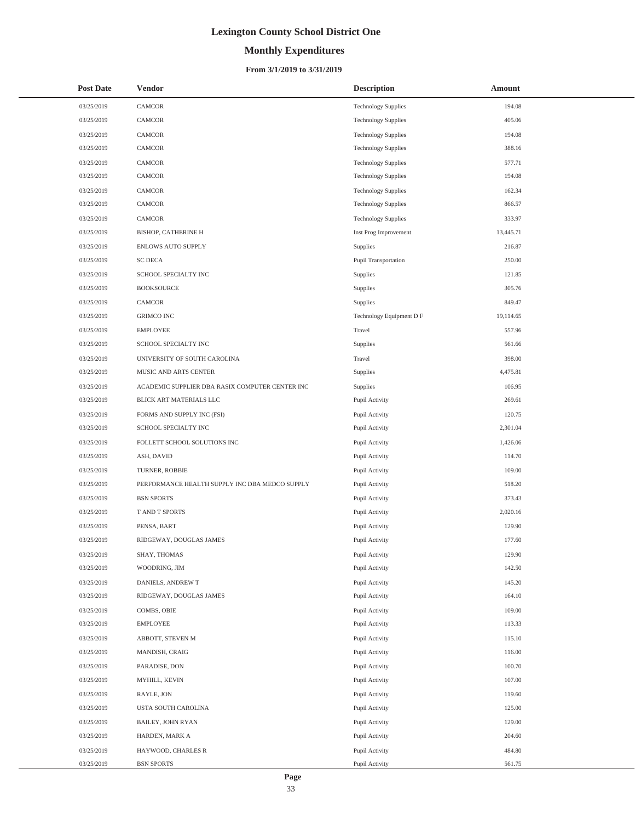# **Monthly Expenditures**

### **From 3/1/2019 to 3/31/2019**

| <b>Post Date</b> | <b>Vendor</b>                                   | <b>Description</b>         | Amount    |
|------------------|-------------------------------------------------|----------------------------|-----------|
| 03/25/2019       | <b>CAMCOR</b>                                   | <b>Technology Supplies</b> | 194.08    |
| 03/25/2019       | CAMCOR                                          | <b>Technology Supplies</b> | 405.06    |
| 03/25/2019       | <b>CAMCOR</b>                                   | <b>Technology Supplies</b> | 194.08    |
| 03/25/2019       | CAMCOR                                          | <b>Technology Supplies</b> | 388.16    |
| 03/25/2019       | CAMCOR                                          | <b>Technology Supplies</b> | 577.71    |
| 03/25/2019       | CAMCOR                                          | <b>Technology Supplies</b> | 194.08    |
| 03/25/2019       | CAMCOR                                          | <b>Technology Supplies</b> | 162.34    |
| 03/25/2019       | CAMCOR                                          | <b>Technology Supplies</b> | 866.57    |
| 03/25/2019       | CAMCOR                                          | <b>Technology Supplies</b> | 333.97    |
| 03/25/2019       | BISHOP, CATHERINE H                             | Inst Prog Improvement      | 13,445.71 |
| 03/25/2019       | ENLOWS AUTO SUPPLY                              | Supplies                   | 216.87    |
| 03/25/2019       | <b>SC DECA</b>                                  | Pupil Transportation       | 250.00    |
| 03/25/2019       | SCHOOL SPECIALTY INC                            | Supplies                   | 121.85    |
| 03/25/2019       | <b>BOOKSOURCE</b>                               | Supplies                   | 305.76    |
| 03/25/2019       | CAMCOR                                          | Supplies                   | 849.47    |
| 03/25/2019       | <b>GRIMCO INC</b>                               | Technology Equipment D F   | 19,114.65 |
| 03/25/2019       | <b>EMPLOYEE</b>                                 | Travel                     | 557.96    |
| 03/25/2019       | SCHOOL SPECIALTY INC                            | Supplies                   | 561.66    |
| 03/25/2019       | UNIVERSITY OF SOUTH CAROLINA                    | Travel                     | 398.00    |
| 03/25/2019       | MUSIC AND ARTS CENTER                           | Supplies                   | 4,475.81  |
| 03/25/2019       | ACADEMIC SUPPLIER DBA RASIX COMPUTER CENTER INC | Supplies                   | 106.95    |
| 03/25/2019       | BLICK ART MATERIALS LLC                         | Pupil Activity             | 269.61    |
| 03/25/2019       | FORMS AND SUPPLY INC (FSI)                      | Pupil Activity             | 120.75    |
| 03/25/2019       | SCHOOL SPECIALTY INC                            | Pupil Activity             | 2,301.04  |
| 03/25/2019       | FOLLETT SCHOOL SOLUTIONS INC                    | Pupil Activity             | 1,426.06  |
| 03/25/2019       | ASH, DAVID                                      | Pupil Activity             | 114.70    |
| 03/25/2019       | TURNER, ROBBIE                                  | Pupil Activity             | 109.00    |
| 03/25/2019       | PERFORMANCE HEALTH SUPPLY INC DBA MEDCO SUPPLY  | Pupil Activity             | 518.20    |
| 03/25/2019       | <b>BSN SPORTS</b>                               | Pupil Activity             | 373.43    |
| 03/25/2019       | T AND T SPORTS                                  | Pupil Activity             | 2,020.16  |
| 03/25/2019       | PENSA, BART                                     | Pupil Activity             | 129.90    |
| 03/25/2019       | RIDGEWAY, DOUGLAS JAMES                         | Pupil Activity             | 177.60    |
| 03/25/2019       | SHAY, THOMAS                                    | Pupil Activity             | 129.90    |
| 03/25/2019       | WOODRING, JIM                                   | Pupil Activity             | 142.50    |
| 03/25/2019       | DANIELS, ANDREW T                               | Pupil Activity             | 145.20    |
| 03/25/2019       | RIDGEWAY, DOUGLAS JAMES                         | Pupil Activity             | 164.10    |
| 03/25/2019       | COMBS, OBIE                                     | Pupil Activity             | 109.00    |
| 03/25/2019       | EMPLOYEE                                        | Pupil Activity             | 113.33    |
| 03/25/2019       | ABBOTT, STEVEN M                                | Pupil Activity             | 115.10    |
| 03/25/2019       | MANDISH, CRAIG                                  | Pupil Activity             | 116.00    |
| 03/25/2019       | PARADISE, DON                                   | Pupil Activity             | 100.70    |
| 03/25/2019       | MYHILL, KEVIN                                   | Pupil Activity             | 107.00    |
| 03/25/2019       | RAYLE, JON                                      | Pupil Activity             | 119.60    |
| 03/25/2019       | USTA SOUTH CAROLINA                             | Pupil Activity             | 125.00    |
| 03/25/2019       | BAILEY, JOHN RYAN                               | Pupil Activity             | 129.00    |
| 03/25/2019       | HARDEN, MARK A                                  | Pupil Activity             | 204.60    |
| 03/25/2019       | HAYWOOD, CHARLES R                              | Pupil Activity             | 484.80    |
| 03/25/2019       | <b>BSN SPORTS</b>                               | Pupil Activity             | 561.75    |

 $\overline{a}$  $\overline{a}$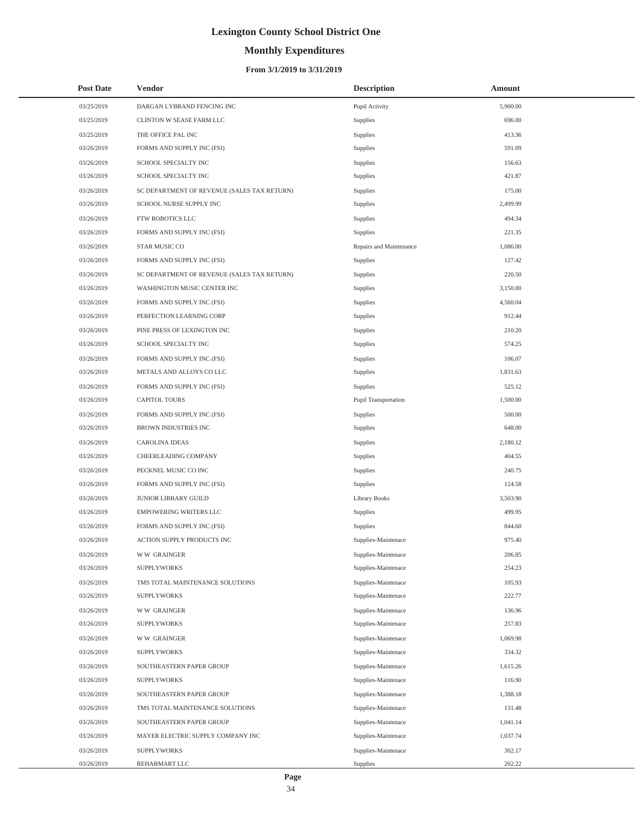# **Monthly Expenditures**

### **From 3/1/2019 to 3/31/2019**

| <b>Post Date</b> | <b>Vendor</b>                               | <b>Description</b>      | Amount   |
|------------------|---------------------------------------------|-------------------------|----------|
| 03/25/2019       | DARGAN LYBRAND FENCING INC                  | Pupil Activity          | 5,900.00 |
| 03/25/2019       | CLINTON W SEASE FARM LLC                    | Supplies                | 696.00   |
| 03/25/2019       | THE OFFICE PAL INC                          | Supplies                | 413.36   |
| 03/26/2019       | FORMS AND SUPPLY INC (FSI)                  | Supplies                | 591.09   |
| 03/26/2019       | SCHOOL SPECIALTY INC                        | Supplies                | 156.63   |
| 03/26/2019       | SCHOOL SPECIALTY INC                        | Supplies                | 421.87   |
| 03/26/2019       | SC DEPARTMENT OF REVENUE (SALES TAX RETURN) | Supplies                | 175.00   |
| 03/26/2019       | SCHOOL NURSE SUPPLY INC                     | Supplies                | 2,499.99 |
| 03/26/2019       | FTW ROBOTICS LLC                            | Supplies                | 494.34   |
| 03/26/2019       | FORMS AND SUPPLY INC (FSI)                  | Supplies                | 221.35   |
| 03/26/2019       | STAR MUSIC CO                               | Repairs and Maintenance | 1,086.00 |
| 03/26/2019       | FORMS AND SUPPLY INC (FSI)                  | Supplies                | 127.42   |
| 03/26/2019       | SC DEPARTMENT OF REVENUE (SALES TAX RETURN) | Supplies                | 220.50   |
| 03/26/2019       | WASHINGTON MUSIC CENTER INC                 | Supplies                | 3,150.00 |
| 03/26/2019       | FORMS AND SUPPLY INC (FSI)                  | Supplies                | 4,560.04 |
| 03/26/2019       | PERFECTION LEARNING CORP                    | Supplies                | 912.44   |
| 03/26/2019       | PINE PRESS OF LEXINGTON INC                 | Supplies                | 210.20   |
| 03/26/2019       | SCHOOL SPECIALTY INC                        | Supplies                | 574.25   |
| 03/26/2019       | FORMS AND SUPPLY INC (FSI)                  | Supplies                | 106.07   |
| 03/26/2019       | METALS AND ALLOYS CO LLC                    | Supplies                | 1,831.63 |
| 03/26/2019       | FORMS AND SUPPLY INC (FSI)                  | Supplies                | 525.12   |
| 03/26/2019       | <b>CAPITOL TOURS</b>                        | Pupil Transportation    | 1,500.00 |
| 03/26/2019       | FORMS AND SUPPLY INC (FSI)                  | Supplies                | 500.00   |
| 03/26/2019       | <b>BROWN INDUSTRIES INC</b>                 | Supplies                | 648.00   |
| 03/26/2019       | <b>CAROLINA IDEAS</b>                       | Supplies                | 2,180.12 |
| 03/26/2019       | CHEERLEADING COMPANY                        | Supplies                | 404.55   |
| 03/26/2019       | PECKNEL MUSIC CO INC                        | Supplies                | 240.75   |
| 03/26/2019       | FORMS AND SUPPLY INC (FSI)                  | Supplies                | 124.58   |
| 03/26/2019       | JUNIOR LIBRARY GUILD                        | <b>Library Books</b>    | 3,503.90 |
| 03/26/2019       | <b>EMPOWERING WRITERS LLC</b>               | Supplies                | 499.95   |
| 03/26/2019       | FORMS AND SUPPLY INC (FSI)                  | Supplies                | 844.60   |
| 03/26/2019       | ACTION SUPPLY PRODUCTS INC                  | Supplies-Maintenace     | 975.40   |
| 03/26/2019       | <b>WW GRAINGER</b>                          | Supplies-Maintenace     | 206.85   |
| 03/26/2019       | <b>SUPPLYWORKS</b>                          | Supplies-Maintenace     | 254.23   |
| 03/26/2019       | TMS TOTAL MAINTENANCE SOLUTIONS             | Supplies-Maintenace     | 105.93   |
| 03/26/2019       | <b>SUPPLYWORKS</b>                          | Supplies-Maintenace     | 222.77   |
| 03/26/2019       | <b>WW GRAINGER</b>                          | Supplies-Maintenace     | 136.96   |
| 03/26/2019       | <b>SUPPLYWORKS</b>                          | Supplies-Maintenace     | 257.83   |
| 03/26/2019       | <b>WW GRAINGER</b>                          | Supplies-Maintenace     | 1,069.98 |
| 03/26/2019       | <b>SUPPLYWORKS</b>                          | Supplies-Maintenace     | 334.32   |
| 03/26/2019       | SOUTHEASTERN PAPER GROUP                    | Supplies-Maintenace     | 1,615.26 |
| 03/26/2019       | <b>SUPPLYWORKS</b>                          | Supplies-Maintenace     | 116.90   |
| 03/26/2019       | SOUTHEASTERN PAPER GROUP                    | Supplies-Maintenace     | 1,388.18 |
| 03/26/2019       | TMS TOTAL MAINTENANCE SOLUTIONS             | Supplies-Maintenace     | 131.48   |
| 03/26/2019       | SOUTHEASTERN PAPER GROUP                    | Supplies-Maintenace     | 1,041.14 |
| 03/26/2019       | MAYER ELECTRIC SUPPLY COMPANY INC           | Supplies-Maintenace     | 1,037.74 |
| 03/26/2019       | <b>SUPPLYWORKS</b>                          | Supplies-Maintenace     | 302.17   |
| 03/26/2019       | REHABMART LLC                               | Supplies                | 202.22   |

 $\overline{\phantom{0}}$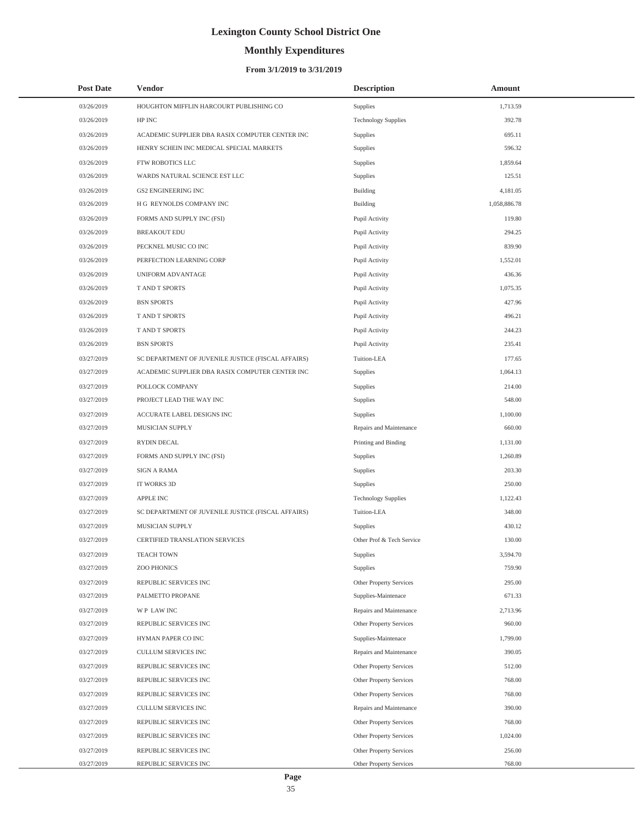# **Monthly Expenditures**

### **From 3/1/2019 to 3/31/2019**

| <b>Post Date</b> | Vendor                                             | <b>Description</b>         | Amount       |  |
|------------------|----------------------------------------------------|----------------------------|--------------|--|
| 03/26/2019       | HOUGHTON MIFFLIN HARCOURT PUBLISHING CO            | Supplies                   | 1,713.59     |  |
| 03/26/2019       | HP INC                                             | <b>Technology Supplies</b> | 392.78       |  |
| 03/26/2019       | ACADEMIC SUPPLIER DBA RASIX COMPUTER CENTER INC    | Supplies                   | 695.11       |  |
| 03/26/2019       | HENRY SCHEIN INC MEDICAL SPECIAL MARKETS           | Supplies                   | 596.32       |  |
| 03/26/2019       | FTW ROBOTICS LLC                                   | Supplies                   | 1,859.64     |  |
| 03/26/2019       | WARDS NATURAL SCIENCE EST LLC                      | Supplies                   | 125.51       |  |
| 03/26/2019       | GS2 ENGINEERING INC                                | <b>Building</b>            | 4,181.05     |  |
| 03/26/2019       | H G REYNOLDS COMPANY INC                           | <b>Building</b>            | 1,058,886.78 |  |
| 03/26/2019       | FORMS AND SUPPLY INC (FSI)                         | Pupil Activity             | 119.80       |  |
| 03/26/2019       | <b>BREAKOUT EDU</b>                                | Pupil Activity             | 294.25       |  |
| 03/26/2019       | PECKNEL MUSIC CO INC                               | Pupil Activity             | 839.90       |  |
| 03/26/2019       | PERFECTION LEARNING CORP                           | Pupil Activity             | 1,552.01     |  |
| 03/26/2019       | UNIFORM ADVANTAGE                                  | Pupil Activity             | 436.36       |  |
| 03/26/2019       | T AND T SPORTS                                     | Pupil Activity             | 1,075.35     |  |
| 03/26/2019       | <b>BSN SPORTS</b>                                  | Pupil Activity             | 427.96       |  |
| 03/26/2019       | T AND T SPORTS                                     | Pupil Activity             | 496.21       |  |
| 03/26/2019       | T AND T SPORTS                                     | Pupil Activity             | 244.23       |  |
| 03/26/2019       | <b>BSN SPORTS</b>                                  | Pupil Activity             | 235.41       |  |
| 03/27/2019       | SC DEPARTMENT OF JUVENILE JUSTICE (FISCAL AFFAIRS) | Tuition-LEA                | 177.65       |  |
| 03/27/2019       | ACADEMIC SUPPLIER DBA RASIX COMPUTER CENTER INC    | Supplies                   | 1,064.13     |  |
| 03/27/2019       | POLLOCK COMPANY                                    | Supplies                   | 214.00       |  |
| 03/27/2019       | PROJECT LEAD THE WAY INC                           | Supplies                   | 548.00       |  |
| 03/27/2019       | ACCURATE LABEL DESIGNS INC                         | Supplies                   | 1,100.00     |  |
| 03/27/2019       | MUSICIAN SUPPLY                                    | Repairs and Maintenance    | 660.00       |  |
| 03/27/2019       | RYDIN DECAL                                        | Printing and Binding       | 1,131.00     |  |
| 03/27/2019       | FORMS AND SUPPLY INC (FSI)                         | Supplies                   | 1,260.89     |  |
| 03/27/2019       | <b>SIGN A RAMA</b>                                 | Supplies                   | 203.30       |  |
| 03/27/2019       | IT WORKS 3D                                        | Supplies                   | 250.00       |  |
| 03/27/2019       | <b>APPLE INC</b>                                   | <b>Technology Supplies</b> | 1,122.43     |  |
| 03/27/2019       | SC DEPARTMENT OF JUVENILE JUSTICE (FISCAL AFFAIRS) | Tuition-LEA                | 348.00       |  |
| 03/27/2019       | MUSICIAN SUPPLY                                    | Supplies                   | 430.12       |  |
| 03/27/2019       | <b>CERTIFIED TRANSLATION SERVICES</b>              | Other Prof & Tech Service  | 130.00       |  |
| 03/27/2019       | <b>TEACH TOWN</b>                                  | Supplies                   | 3,594.70     |  |
| 03/27/2019       | ZOO PHONICS                                        | Supplies                   | 759.90       |  |
| 03/27/2019       | REPUBLIC SERVICES INC                              | Other Property Services    | 295.00       |  |
| 03/27/2019       | PALMETTO PROPANE                                   | Supplies-Maintenace        | 671.33       |  |
| 03/27/2019       | WP LAW INC                                         | Repairs and Maintenance    | 2,713.96     |  |
| 03/27/2019       | REPUBLIC SERVICES INC                              | Other Property Services    | 960.00       |  |
| 03/27/2019       | HYMAN PAPER CO INC                                 | Supplies-Maintenace        | 1,799.00     |  |
| 03/27/2019       | CULLUM SERVICES INC                                | Repairs and Maintenance    | 390.05       |  |
| 03/27/2019       | REPUBLIC SERVICES INC                              | Other Property Services    | 512.00       |  |
| 03/27/2019       | REPUBLIC SERVICES INC                              | Other Property Services    | 768.00       |  |
| 03/27/2019       | REPUBLIC SERVICES INC                              | Other Property Services    | 768.00       |  |
| 03/27/2019       | CULLUM SERVICES INC                                | Repairs and Maintenance    | 390.00       |  |
| 03/27/2019       | REPUBLIC SERVICES INC                              | Other Property Services    | 768.00       |  |
| 03/27/2019       | REPUBLIC SERVICES INC                              | Other Property Services    | 1,024.00     |  |
| 03/27/2019       | REPUBLIC SERVICES INC                              | Other Property Services    | 256.00       |  |
| 03/27/2019       | REPUBLIC SERVICES INC                              | Other Property Services    | 768.00       |  |

 $\overline{\phantom{0}}$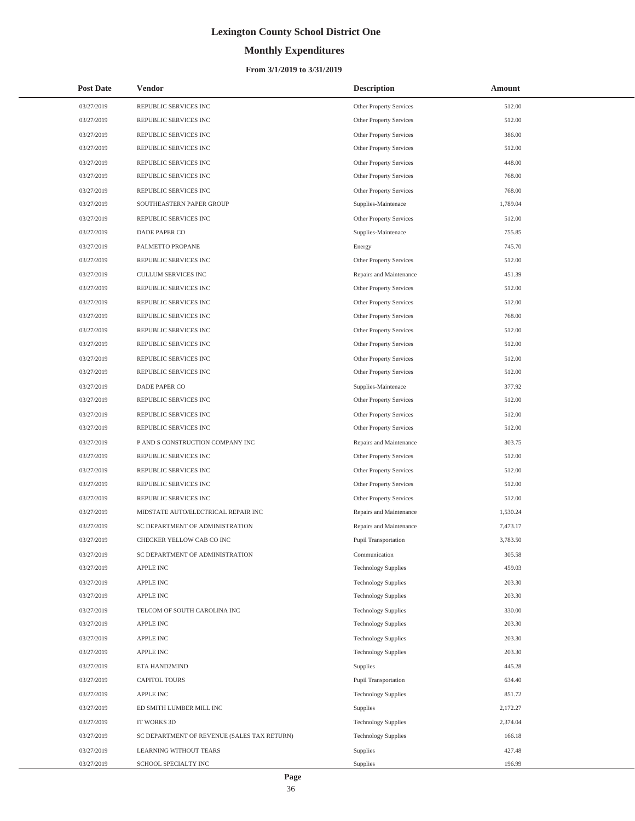# **Monthly Expenditures**

| <b>Post Date</b> | <b>Vendor</b>                               | <b>Description</b>         | Amount   |
|------------------|---------------------------------------------|----------------------------|----------|
| 03/27/2019       | REPUBLIC SERVICES INC                       | Other Property Services    | 512.00   |
| 03/27/2019       | REPUBLIC SERVICES INC                       | Other Property Services    | 512.00   |
| 03/27/2019       | REPUBLIC SERVICES INC                       | Other Property Services    | 386.00   |
| 03/27/2019       | REPUBLIC SERVICES INC                       | Other Property Services    | 512.00   |
| 03/27/2019       | REPUBLIC SERVICES INC                       | Other Property Services    | 448.00   |
| 03/27/2019       | REPUBLIC SERVICES INC                       | Other Property Services    | 768.00   |
| 03/27/2019       | REPUBLIC SERVICES INC                       | Other Property Services    | 768.00   |
| 03/27/2019       | SOUTHEASTERN PAPER GROUP                    | Supplies-Maintenace        | 1,789.04 |
| 03/27/2019       | REPUBLIC SERVICES INC                       | Other Property Services    | 512.00   |
| 03/27/2019       | DADE PAPER CO                               | Supplies-Maintenace        | 755.85   |
| 03/27/2019       | PALMETTO PROPANE                            | Energy                     | 745.70   |
| 03/27/2019       | REPUBLIC SERVICES INC                       | Other Property Services    | 512.00   |
| 03/27/2019       | CULLUM SERVICES INC                         | Repairs and Maintenance    | 451.39   |
| 03/27/2019       | REPUBLIC SERVICES INC                       | Other Property Services    | 512.00   |
| 03/27/2019       | REPUBLIC SERVICES INC                       | Other Property Services    | 512.00   |
| 03/27/2019       | REPUBLIC SERVICES INC                       | Other Property Services    | 768.00   |
| 03/27/2019       | REPUBLIC SERVICES INC                       | Other Property Services    | 512.00   |
| 03/27/2019       | REPUBLIC SERVICES INC                       | Other Property Services    | 512.00   |
| 03/27/2019       | REPUBLIC SERVICES INC                       | Other Property Services    | 512.00   |
| 03/27/2019       | REPUBLIC SERVICES INC                       | Other Property Services    | 512.00   |
| 03/27/2019       | DADE PAPER CO                               | Supplies-Maintenace        | 377.92   |
| 03/27/2019       | REPUBLIC SERVICES INC                       | Other Property Services    | 512.00   |
| 03/27/2019       | REPUBLIC SERVICES INC                       | Other Property Services    | 512.00   |
| 03/27/2019       | REPUBLIC SERVICES INC                       | Other Property Services    | 512.00   |
| 03/27/2019       | P AND S CONSTRUCTION COMPANY INC            | Repairs and Maintenance    | 303.75   |
| 03/27/2019       | REPUBLIC SERVICES INC                       | Other Property Services    | 512.00   |
| 03/27/2019       | REPUBLIC SERVICES INC                       | Other Property Services    | 512.00   |
| 03/27/2019       | REPUBLIC SERVICES INC                       | Other Property Services    | 512.00   |
| 03/27/2019       | REPUBLIC SERVICES INC                       | Other Property Services    | 512.00   |
| 03/27/2019       | MIDSTATE AUTO/ELECTRICAL REPAIR INC         | Repairs and Maintenance    | 1,530.24 |
| 03/27/2019       | SC DEPARTMENT OF ADMINISTRATION             | Repairs and Maintenance    | 7,473.17 |
| 03/27/2019       | CHECKER YELLOW CAB CO INC                   | Pupil Transportation       | 3,783.50 |
| 03/27/2019       | SC DEPARTMENT OF ADMINISTRATION             | Communication              | 305.58   |
| 03/27/2019       | APPLE INC                                   | <b>Technology Supplies</b> | 459.03   |
| 03/27/2019       | APPLE INC                                   | <b>Technology Supplies</b> | 203.30   |
| 03/27/2019       | APPLE INC                                   | <b>Technology Supplies</b> | 203.30   |
| 03/27/2019       | TELCOM OF SOUTH CAROLINA INC                | <b>Technology Supplies</b> | 330.00   |
| 03/27/2019       | APPLE INC                                   | <b>Technology Supplies</b> | 203.30   |
| 03/27/2019       | APPLE INC                                   | <b>Technology Supplies</b> | 203.30   |
| 03/27/2019       | APPLE INC                                   | <b>Technology Supplies</b> | 203.30   |
| 03/27/2019       | ETA HAND2MIND                               | Supplies                   | 445.28   |
| 03/27/2019       | <b>CAPITOL TOURS</b>                        | Pupil Transportation       | 634.40   |
| 03/27/2019       | APPLE INC                                   | <b>Technology Supplies</b> | 851.72   |
| 03/27/2019       | ED SMITH LUMBER MILL INC                    | Supplies                   | 2,172.27 |
| 03/27/2019       | IT WORKS 3D                                 | <b>Technology Supplies</b> | 2,374.04 |
| 03/27/2019       | SC DEPARTMENT OF REVENUE (SALES TAX RETURN) | <b>Technology Supplies</b> | 166.18   |
| 03/27/2019       | LEARNING WITHOUT TEARS                      | Supplies                   | 427.48   |
| 03/27/2019       | SCHOOL SPECIALTY INC                        | Supplies                   | 196.99   |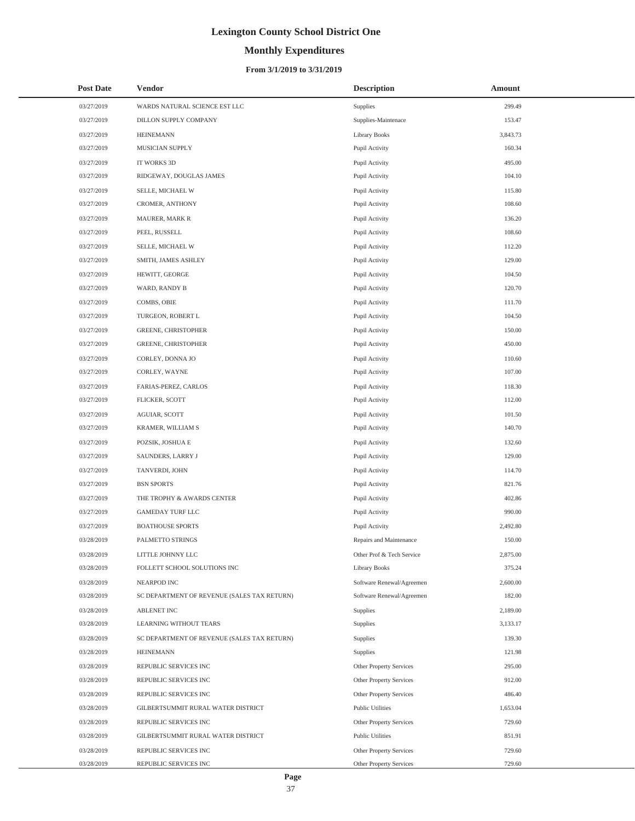# **Monthly Expenditures**

### **From 3/1/2019 to 3/31/2019**

| <b>Post Date</b> | <b>Vendor</b>                               | <b>Description</b>        | <b>Amount</b> |  |
|------------------|---------------------------------------------|---------------------------|---------------|--|
| 03/27/2019       | WARDS NATURAL SCIENCE EST LLC               | Supplies                  | 299.49        |  |
| 03/27/2019       | DILLON SUPPLY COMPANY                       | Supplies-Maintenace       | 153.47        |  |
| 03/27/2019       | <b>HEINEMANN</b>                            | Library Books             | 3,843.73      |  |
| 03/27/2019       | MUSICIAN SUPPLY                             | Pupil Activity            | 160.34        |  |
| 03/27/2019       | IT WORKS 3D                                 | Pupil Activity            | 495.00        |  |
| 03/27/2019       | RIDGEWAY, DOUGLAS JAMES                     | Pupil Activity            | 104.10        |  |
| 03/27/2019       | SELLE, MICHAEL W                            | Pupil Activity            | 115.80        |  |
| 03/27/2019       | CROMER, ANTHONY                             | Pupil Activity            | 108.60        |  |
| 03/27/2019       | MAURER, MARK R                              | Pupil Activity            | 136.20        |  |
| 03/27/2019       | PEEL, RUSSELL                               | Pupil Activity            | 108.60        |  |
| 03/27/2019       | SELLE, MICHAEL W                            | Pupil Activity            | 112.20        |  |
| 03/27/2019       | SMITH, JAMES ASHLEY                         | Pupil Activity            | 129.00        |  |
| 03/27/2019       | HEWITT, GEORGE                              | Pupil Activity            | 104.50        |  |
| 03/27/2019       | WARD, RANDY B                               | Pupil Activity            | 120.70        |  |
| 03/27/2019       | COMBS, OBIE                                 | Pupil Activity            | 111.70        |  |
| 03/27/2019       | TURGEON, ROBERT L                           | Pupil Activity            | 104.50        |  |
| 03/27/2019       | GREENE, CHRISTOPHER                         | Pupil Activity            | 150.00        |  |
| 03/27/2019       | GREENE, CHRISTOPHER                         | Pupil Activity            | 450.00        |  |
| 03/27/2019       | CORLEY, DONNA JO                            | Pupil Activity            | 110.60        |  |
| 03/27/2019       | CORLEY, WAYNE                               | Pupil Activity            | 107.00        |  |
| 03/27/2019       | FARIAS-PEREZ, CARLOS                        | Pupil Activity            | 118.30        |  |
| 03/27/2019       | FLICKER, SCOTT                              | Pupil Activity            | 112.00        |  |
| 03/27/2019       | AGUIAR, SCOTT                               | Pupil Activity            | 101.50        |  |
| 03/27/2019       | KRAMER, WILLIAM S                           | Pupil Activity            | 140.70        |  |
| 03/27/2019       | POZSIK, JOSHUA E                            | Pupil Activity            | 132.60        |  |
| 03/27/2019       | SAUNDERS, LARRY J                           | Pupil Activity            | 129.00        |  |
| 03/27/2019       | TANVERDI, JOHN                              | Pupil Activity            | 114.70        |  |
| 03/27/2019       | <b>BSN SPORTS</b>                           | Pupil Activity            | 821.76        |  |
| 03/27/2019       | THE TROPHY & AWARDS CENTER                  | Pupil Activity            | 402.86        |  |
| 03/27/2019       | GAMEDAY TURF LLC                            | Pupil Activity            | 990.00        |  |
| 03/27/2019       | <b>BOATHOUSE SPORTS</b>                     | Pupil Activity            | 2,492.80      |  |
| 03/28/2019       | PALMETTO STRINGS                            | Repairs and Maintenance   | 150.00        |  |
| 03/28/2019       | LITTLE JOHNNY LLC                           | Other Prof & Tech Service | 2,875.00      |  |
| 03/28/2019       | FOLLETT SCHOOL SOLUTIONS INC                | <b>Library Books</b>      | 375.24        |  |
| 03/28/2019       | NEARPOD INC                                 | Software Renewal/Agreemen | 2,600.00      |  |
| 03/28/2019       | SC DEPARTMENT OF REVENUE (SALES TAX RETURN) | Software Renewal/Agreemen | 182.00        |  |
| 03/28/2019       | <b>ABLENET INC</b>                          | <b>Supplies</b>           | 2,189.00      |  |
| 03/28/2019       | <b>LEARNING WITHOUT TEARS</b>               | Supplies                  | 3,133.17      |  |
| 03/28/2019       | SC DEPARTMENT OF REVENUE (SALES TAX RETURN) | Supplies                  | 139.30        |  |
| 03/28/2019       | <b>HEINEMANN</b>                            | Supplies                  | 121.98        |  |
| 03/28/2019       | REPUBLIC SERVICES INC                       | Other Property Services   | 295.00        |  |
| 03/28/2019       | REPUBLIC SERVICES INC                       | Other Property Services   | 912.00        |  |
| 03/28/2019       | REPUBLIC SERVICES INC                       | Other Property Services   | 486.40        |  |
| 03/28/2019       | GILBERTSUMMIT RURAL WATER DISTRICT          | Public Utilities          | 1,653.04      |  |
| 03/28/2019       | REPUBLIC SERVICES INC                       | Other Property Services   | 729.60        |  |
| 03/28/2019       | GILBERTSUMMIT RURAL WATER DISTRICT          | Public Utilities          | 851.91        |  |
| 03/28/2019       | REPUBLIC SERVICES INC                       | Other Property Services   | 729.60        |  |
| 03/28/2019       | REPUBLIC SERVICES INC                       | Other Property Services   | 729.60        |  |

÷,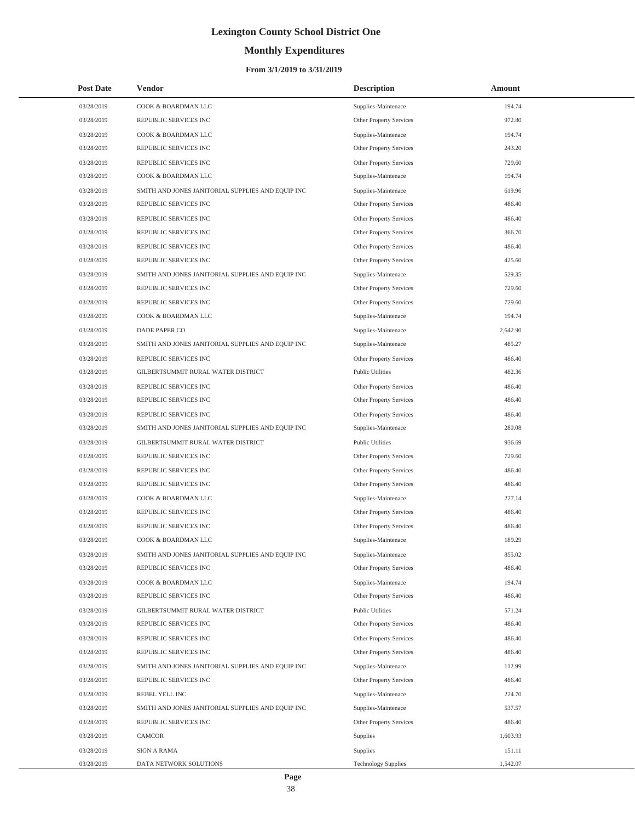# **Monthly Expenditures**

### **From 3/1/2019 to 3/31/2019**

| <b>Post Date</b> | <b>Vendor</b>                                     | <b>Description</b>         | Amount   |
|------------------|---------------------------------------------------|----------------------------|----------|
| 03/28/2019       | COOK & BOARDMAN LLC                               | Supplies-Maintenace        | 194.74   |
| 03/28/2019       | REPUBLIC SERVICES INC                             | Other Property Services    | 972.80   |
| 03/28/2019       | COOK & BOARDMAN LLC                               | Supplies-Maintenace        | 194.74   |
| 03/28/2019       | REPUBLIC SERVICES INC                             | Other Property Services    | 243.20   |
| 03/28/2019       | REPUBLIC SERVICES INC                             | Other Property Services    | 729.60   |
| 03/28/2019       | COOK & BOARDMAN LLC                               | Supplies-Maintenace        | 194.74   |
| 03/28/2019       | SMITH AND JONES JANITORIAL SUPPLIES AND EQUIP INC | Supplies-Maintenace        | 619.96   |
| 03/28/2019       | REPUBLIC SERVICES INC                             | Other Property Services    | 486.40   |
| 03/28/2019       | REPUBLIC SERVICES INC                             | Other Property Services    | 486.40   |
| 03/28/2019       | REPUBLIC SERVICES INC                             | Other Property Services    | 366.70   |
| 03/28/2019       | REPUBLIC SERVICES INC                             | Other Property Services    | 486.40   |
| 03/28/2019       | REPUBLIC SERVICES INC                             | Other Property Services    | 425.60   |
| 03/28/2019       | SMITH AND JONES JANITORIAL SUPPLIES AND EQUIP INC | Supplies-Maintenace        | 529.35   |
| 03/28/2019       | REPUBLIC SERVICES INC                             | Other Property Services    | 729.60   |
| 03/28/2019       | REPUBLIC SERVICES INC                             | Other Property Services    | 729.60   |
| 03/28/2019       | COOK & BOARDMAN LLC                               | Supplies-Maintenace        | 194.74   |
| 03/28/2019       | DADE PAPER CO                                     | Supplies-Maintenace        | 2,642.90 |
| 03/28/2019       | SMITH AND JONES JANITORIAL SUPPLIES AND EQUIP INC | Supplies-Maintenace        | 485.27   |
| 03/28/2019       | REPUBLIC SERVICES INC                             | Other Property Services    | 486.40   |
| 03/28/2019       | GILBERTSUMMIT RURAL WATER DISTRICT                | <b>Public Utilities</b>    | 482.36   |
| 03/28/2019       | REPUBLIC SERVICES INC                             | Other Property Services    | 486.40   |
| 03/28/2019       | REPUBLIC SERVICES INC                             | Other Property Services    | 486.40   |
| 03/28/2019       | REPUBLIC SERVICES INC                             | Other Property Services    | 486.40   |
| 03/28/2019       | SMITH AND JONES JANITORIAL SUPPLIES AND EQUIP INC | Supplies-Maintenace        | 280.08   |
| 03/28/2019       | GILBERTSUMMIT RURAL WATER DISTRICT                | <b>Public Utilities</b>    | 936.69   |
| 03/28/2019       | REPUBLIC SERVICES INC                             | Other Property Services    | 729.60   |
| 03/28/2019       | REPUBLIC SERVICES INC                             | Other Property Services    | 486.40   |
| 03/28/2019       | REPUBLIC SERVICES INC                             | Other Property Services    | 486.40   |
| 03/28/2019       | COOK & BOARDMAN LLC                               | Supplies-Maintenace        | 227.14   |
| 03/28/2019       | REPUBLIC SERVICES INC                             | Other Property Services    | 486.40   |
| 03/28/2019       | REPUBLIC SERVICES INC                             | Other Property Services    | 486.40   |
| 03/28/2019       | COOK & BOARDMAN LLC                               | Supplies-Maintenace        | 189.29   |
| 03/28/2019       | SMITH AND JONES JANITORIAL SUPPLIES AND EQUIP INC | Supplies-Maintenace        | 855.02   |
| 03/28/2019       | REPUBLIC SERVICES INC                             | Other Property Services    | 486.40   |
| 03/28/2019       | COOK & BOARDMAN LLC                               | Supplies-Maintenace        | 194.74   |
| 03/28/2019       | REPUBLIC SERVICES INC                             | Other Property Services    | 486.40   |
| 03/28/2019       | GILBERTSUMMIT RURAL WATER DISTRICT                | <b>Public Utilities</b>    | 571.24   |
| 03/28/2019       | REPUBLIC SERVICES INC                             | Other Property Services    | 486.40   |
| 03/28/2019       | REPUBLIC SERVICES INC                             | Other Property Services    | 486.40   |
| 03/28/2019       | REPUBLIC SERVICES INC                             | Other Property Services    | 486.40   |
| 03/28/2019       | SMITH AND JONES JANITORIAL SUPPLIES AND EQUIP INC | Supplies-Maintenace        | 112.99   |
| 03/28/2019       | REPUBLIC SERVICES INC                             | Other Property Services    | 486.40   |
| 03/28/2019       | REBEL YELL INC                                    | Supplies-Maintenace        | 224.70   |
| 03/28/2019       | SMITH AND JONES JANITORIAL SUPPLIES AND EQUIP INC | Supplies-Maintenace        | 537.57   |
| 03/28/2019       | REPUBLIC SERVICES INC                             | Other Property Services    | 486.40   |
| 03/28/2019       | CAMCOR                                            | Supplies                   | 1,603.93 |
| 03/28/2019       | <b>SIGN A RAMA</b>                                | Supplies                   | 151.11   |
| 03/28/2019       | DATA NETWORK SOLUTIONS                            | <b>Technology Supplies</b> | 1,542.07 |

÷,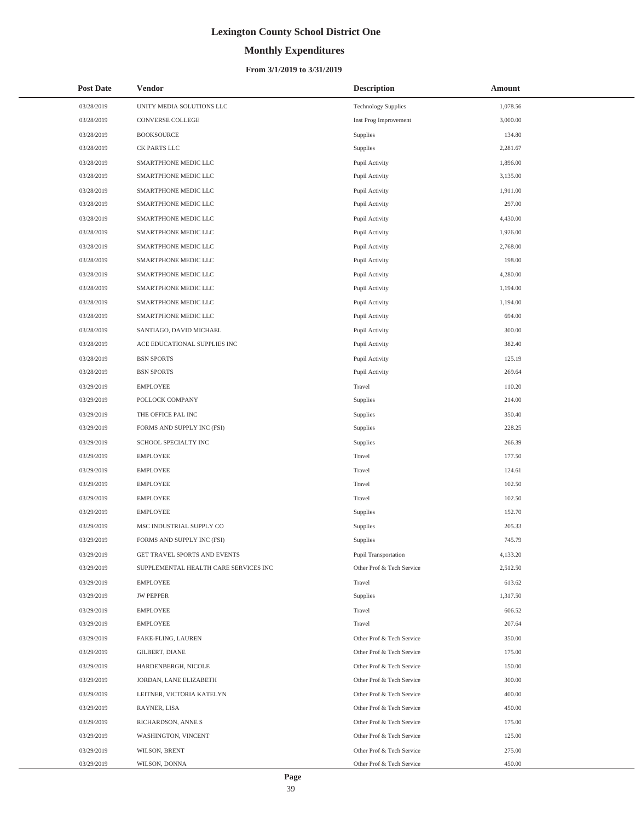# **Monthly Expenditures**

| <b>Post Date</b> | <b>Vendor</b>                         | <b>Description</b>         | Amount   |
|------------------|---------------------------------------|----------------------------|----------|
| 03/28/2019       | UNITY MEDIA SOLUTIONS LLC             | <b>Technology Supplies</b> | 1,078.56 |
| 03/28/2019       | CONVERSE COLLEGE                      | Inst Prog Improvement      | 3,000.00 |
| 03/28/2019       | <b>BOOKSOURCE</b>                     | Supplies                   | 134.80   |
| 03/28/2019       | CK PARTS LLC                          | Supplies                   | 2,281.67 |
| 03/28/2019       | SMARTPHONE MEDIC LLC                  | Pupil Activity             | 1,896.00 |
| 03/28/2019       | SMARTPHONE MEDIC LLC                  | Pupil Activity             | 3,135.00 |
| 03/28/2019       | SMARTPHONE MEDIC LLC                  | Pupil Activity             | 1,911.00 |
| 03/28/2019       | SMARTPHONE MEDIC LLC                  | Pupil Activity             | 297.00   |
| 03/28/2019       | SMARTPHONE MEDIC LLC                  | Pupil Activity             | 4,430.00 |
| 03/28/2019       | SMARTPHONE MEDIC LLC                  | Pupil Activity             | 1,926.00 |
| 03/28/2019       | SMARTPHONE MEDIC LLC                  | Pupil Activity             | 2,768.00 |
| 03/28/2019       | SMARTPHONE MEDIC LLC                  | Pupil Activity             | 198.00   |
| 03/28/2019       | SMARTPHONE MEDIC LLC                  | Pupil Activity             | 4,280.00 |
| 03/28/2019       | SMARTPHONE MEDIC LLC                  | Pupil Activity             | 1,194.00 |
| 03/28/2019       | SMARTPHONE MEDIC LLC                  | Pupil Activity             | 1,194.00 |
| 03/28/2019       | SMARTPHONE MEDIC LLC                  | Pupil Activity             | 694.00   |
| 03/28/2019       | SANTIAGO, DAVID MICHAEL               | Pupil Activity             | 300.00   |
| 03/28/2019       | ACE EDUCATIONAL SUPPLIES INC          | Pupil Activity             | 382.40   |
| 03/28/2019       | <b>BSN SPORTS</b>                     | Pupil Activity             | 125.19   |
| 03/28/2019       | <b>BSN SPORTS</b>                     | Pupil Activity             | 269.64   |
| 03/29/2019       | <b>EMPLOYEE</b>                       | Travel                     | 110.20   |
| 03/29/2019       | POLLOCK COMPANY                       | Supplies                   | 214.00   |
| 03/29/2019       | THE OFFICE PAL INC                    | Supplies                   | 350.40   |
| 03/29/2019       | FORMS AND SUPPLY INC (FSI)            | Supplies                   | 228.25   |
| 03/29/2019       | SCHOOL SPECIALTY INC                  | Supplies                   | 266.39   |
| 03/29/2019       | <b>EMPLOYEE</b>                       | Travel                     | 177.50   |
| 03/29/2019       | <b>EMPLOYEE</b>                       | Travel                     | 124.61   |
| 03/29/2019       | <b>EMPLOYEE</b>                       | Travel                     | 102.50   |
| 03/29/2019       | <b>EMPLOYEE</b>                       | Travel                     | 102.50   |
| 03/29/2019       | <b>EMPLOYEE</b>                       | Supplies                   | 152.70   |
| 03/29/2019       | MSC INDUSTRIAL SUPPLY CO              | Supplies                   | 205.33   |
| 03/29/2019       | FORMS AND SUPPLY INC (FSI)            | Supplies                   | 745.79   |
| 03/29/2019       | GET TRAVEL SPORTS AND EVENTS          | Pupil Transportation       | 4,133.20 |
| 03/29/2019       | SUPPLEMENTAL HEALTH CARE SERVICES INC | Other Prof & Tech Service  | 2,512.50 |
| 03/29/2019       | <b>EMPLOYEE</b>                       | Travel                     | 613.62   |
| 03/29/2019       | <b>JW PEPPER</b>                      | Supplies                   | 1,317.50 |
| 03/29/2019       | <b>EMPLOYEE</b>                       | Travel                     | 606.52   |
| 03/29/2019       | <b>EMPLOYEE</b>                       | Travel                     | 207.64   |
| 03/29/2019       | FAKE-FLING, LAUREN                    | Other Prof & Tech Service  | 350.00   |
| 03/29/2019       | GILBERT, DIANE                        | Other Prof & Tech Service  | 175.00   |
| 03/29/2019       | HARDENBERGH, NICOLE                   | Other Prof & Tech Service  | 150.00   |
| 03/29/2019       | JORDAN, LANE ELIZABETH                | Other Prof & Tech Service  | 300.00   |
| 03/29/2019       | LEITNER, VICTORIA KATELYN             | Other Prof & Tech Service  | 400.00   |
| 03/29/2019       | RAYNER, LISA                          | Other Prof & Tech Service  | 450.00   |
| 03/29/2019       | RICHARDSON, ANNE S                    | Other Prof & Tech Service  | 175.00   |
| 03/29/2019       | WASHINGTON, VINCENT                   | Other Prof & Tech Service  | 125.00   |
| 03/29/2019       | WILSON, BRENT                         | Other Prof & Tech Service  | 275.00   |
| 03/29/2019       | WILSON, DONNA                         | Other Prof & Tech Service  | 450.00   |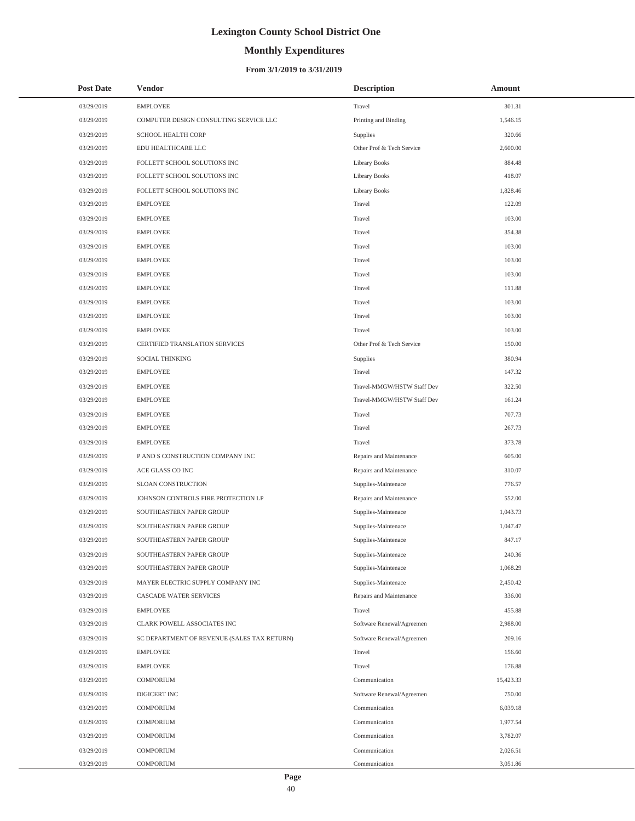# **Monthly Expenditures**

### **From 3/1/2019 to 3/31/2019**

| <b>Post Date</b> | Vendor                                      | <b>Description</b>         | Amount    |
|------------------|---------------------------------------------|----------------------------|-----------|
| 03/29/2019       | <b>EMPLOYEE</b>                             | Travel                     | 301.31    |
| 03/29/2019       | COMPUTER DESIGN CONSULTING SERVICE LLC      | Printing and Binding       | 1,546.15  |
| 03/29/2019       | <b>SCHOOL HEALTH CORP</b>                   | Supplies                   | 320.66    |
| 03/29/2019       | EDU HEALTHCARE LLC                          | Other Prof & Tech Service  | 2,600.00  |
| 03/29/2019       | FOLLETT SCHOOL SOLUTIONS INC                | Library Books              | 884.48    |
| 03/29/2019       | FOLLETT SCHOOL SOLUTIONS INC                | Library Books              | 418.07    |
| 03/29/2019       | FOLLETT SCHOOL SOLUTIONS INC                | <b>Library Books</b>       | 1,828.46  |
| 03/29/2019       | <b>EMPLOYEE</b>                             | Travel                     | 122.09    |
| 03/29/2019       | <b>EMPLOYEE</b>                             | Travel                     | 103.00    |
| 03/29/2019       | <b>EMPLOYEE</b>                             | Travel                     | 354.38    |
| 03/29/2019       | <b>EMPLOYEE</b>                             | Travel                     | 103.00    |
| 03/29/2019       | <b>EMPLOYEE</b>                             | Travel                     | 103.00    |
| 03/29/2019       | <b>EMPLOYEE</b>                             | Travel                     | 103.00    |
| 03/29/2019       | <b>EMPLOYEE</b>                             | Travel                     | 111.88    |
| 03/29/2019       | <b>EMPLOYEE</b>                             | Travel                     | 103.00    |
| 03/29/2019       | <b>EMPLOYEE</b>                             | Travel                     | 103.00    |
| 03/29/2019       | <b>EMPLOYEE</b>                             | Travel                     | 103.00    |
| 03/29/2019       | CERTIFIED TRANSLATION SERVICES              | Other Prof & Tech Service  | 150.00    |
| 03/29/2019       | SOCIAL THINKING                             | Supplies                   | 380.94    |
| 03/29/2019       | <b>EMPLOYEE</b>                             | Travel                     | 147.32    |
| 03/29/2019       | <b>EMPLOYEE</b>                             | Travel-MMGW/HSTW Staff Dev | 322.50    |
| 03/29/2019       | <b>EMPLOYEE</b>                             | Travel-MMGW/HSTW Staff Dev | 161.24    |
| 03/29/2019       | <b>EMPLOYEE</b>                             | Travel                     | 707.73    |
| 03/29/2019       | <b>EMPLOYEE</b>                             | Travel                     | 267.73    |
| 03/29/2019       | <b>EMPLOYEE</b>                             | Travel                     | 373.78    |
| 03/29/2019       | P AND S CONSTRUCTION COMPANY INC            | Repairs and Maintenance    | 605.00    |
| 03/29/2019       | ACE GLASS CO INC                            | Repairs and Maintenance    | 310.07    |
| 03/29/2019       | SLOAN CONSTRUCTION                          | Supplies-Maintenace        | 776.57    |
| 03/29/2019       | JOHNSON CONTROLS FIRE PROTECTION LP         | Repairs and Maintenance    | 552.00    |
| 03/29/2019       | SOUTHEASTERN PAPER GROUP                    | Supplies-Maintenace        | 1,043.73  |
| 03/29/2019       | SOUTHEASTERN PAPER GROUP                    | Supplies-Maintenace        | 1,047.47  |
| 03/29/2019       | SOUTHEASTERN PAPER GROUP                    | Supplies-Maintenace        | 847.17    |
| 03/29/2019       | SOUTHEASTERN PAPER GROUP                    | Supplies-Maintenace        | 240.36    |
| 03/29/2019       | SOUTHEASTERN PAPER GROUP                    | Supplies-Maintenace        | 1,068.29  |
| 03/29/2019       | MAYER ELECTRIC SUPPLY COMPANY INC           | Supplies-Maintenace        | 2,450.42  |
| 03/29/2019       | CASCADE WATER SERVICES                      | Repairs and Maintenance    | 336.00    |
| 03/29/2019       | <b>EMPLOYEE</b>                             | Travel                     | 455.88    |
| 03/29/2019       | CLARK POWELL ASSOCIATES INC                 | Software Renewal/Agreemen  | 2,988.00  |
| 03/29/2019       | SC DEPARTMENT OF REVENUE (SALES TAX RETURN) | Software Renewal/Agreemen  | 209.16    |
| 03/29/2019       | <b>EMPLOYEE</b>                             | Travel                     | 156.60    |
| 03/29/2019       | <b>EMPLOYEE</b>                             | Travel                     | 176.88    |
| 03/29/2019       | COMPORIUM                                   | Communication              | 15,423.33 |
| 03/29/2019       | DIGICERT INC                                | Software Renewal/Agreemen  | 750.00    |
| 03/29/2019       | COMPORIUM                                   | Communication              | 6,039.18  |
| 03/29/2019       | COMPORIUM                                   | Communication              | 1,977.54  |
| 03/29/2019       | COMPORIUM                                   | Communication              | 3,782.07  |
| 03/29/2019       | COMPORIUM                                   | Communication              | 2,026.51  |
| 03/29/2019       | <b>COMPORIUM</b>                            | Communication              | 3,051.86  |

 $\overline{\phantom{0}}$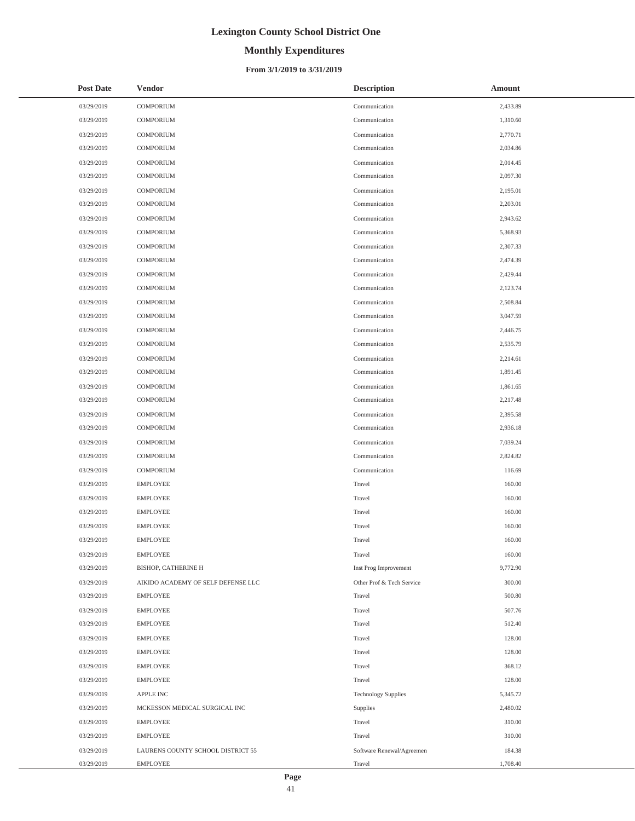# **Monthly Expenditures**

### **From 3/1/2019 to 3/31/2019**

| <b>Post Date</b> | <b>Vendor</b>                      | <b>Description</b>         | Amount   |
|------------------|------------------------------------|----------------------------|----------|
| 03/29/2019       | <b>COMPORIUM</b>                   | Communication              | 2,433.89 |
| 03/29/2019       | <b>COMPORIUM</b>                   | Communication              | 1,310.60 |
| 03/29/2019       | <b>COMPORIUM</b>                   | Communication              | 2,770.71 |
| 03/29/2019       | <b>COMPORIUM</b>                   | Communication              | 2,034.86 |
| 03/29/2019       | <b>COMPORIUM</b>                   | Communication              | 2,014.45 |
| 03/29/2019       | <b>COMPORIUM</b>                   | Communication              | 2,097.30 |
| 03/29/2019       | <b>COMPORIUM</b>                   | Communication              | 2,195.01 |
| 03/29/2019       | <b>COMPORIUM</b>                   | Communication              | 2,203.01 |
| 03/29/2019       | COMPORIUM                          | Communication              | 2,943.62 |
| 03/29/2019       | COMPORIUM                          | Communication              | 5,368.93 |
| 03/29/2019       | <b>COMPORIUM</b>                   | Communication              | 2,307.33 |
| 03/29/2019       | <b>COMPORIUM</b>                   | Communication              | 2,474.39 |
| 03/29/2019       | COMPORIUM                          | Communication              | 2,429.44 |
| 03/29/2019       | <b>COMPORIUM</b>                   | Communication              | 2,123.74 |
| 03/29/2019       | <b>COMPORIUM</b>                   | Communication              | 2,508.84 |
| 03/29/2019       | <b>COMPORIUM</b>                   | Communication              | 3,047.59 |
| 03/29/2019       | COMPORIUM                          | Communication              | 2,446.75 |
| 03/29/2019       | COMPORIUM                          | Communication              | 2,535.79 |
| 03/29/2019       | <b>COMPORIUM</b>                   | Communication              | 2,214.61 |
| 03/29/2019       | <b>COMPORIUM</b>                   | Communication              | 1,891.45 |
| 03/29/2019       | COMPORIUM                          | Communication              | 1,861.65 |
| 03/29/2019       | <b>COMPORIUM</b>                   | Communication              | 2,217.48 |
| 03/29/2019       | <b>COMPORIUM</b>                   | Communication              | 2,395.58 |
| 03/29/2019       | <b>COMPORIUM</b>                   | Communication              | 2,936.18 |
| 03/29/2019       | COMPORIUM                          | Communication              | 7,039.24 |
| 03/29/2019       | COMPORIUM                          | Communication              | 2,824.82 |
| 03/29/2019       | <b>COMPORIUM</b>                   | Communication              | 116.69   |
| 03/29/2019       | <b>EMPLOYEE</b>                    | Travel                     | 160.00   |
| 03/29/2019       | <b>EMPLOYEE</b>                    | Travel                     | 160.00   |
| 03/29/2019       | <b>EMPLOYEE</b>                    | Travel                     | 160.00   |
| 03/29/2019       | <b>EMPLOYEE</b>                    | Travel                     | 160.00   |
| 03/29/2019       | <b>EMPLOYEE</b>                    | Travel                     | 160.00   |
| 03/29/2019       | <b>EMPLOYEE</b>                    | Travel                     | 160.00   |
| 03/29/2019       | BISHOP, CATHERINE H                | Inst Prog Improvement      | 9,772.90 |
| 03/29/2019       | AIKIDO ACADEMY OF SELF DEFENSE LLC | Other Prof & Tech Service  | 300.00   |
| 03/29/2019       | <b>EMPLOYEE</b>                    | Travel                     | 500.80   |
| 03/29/2019       | <b>EMPLOYEE</b>                    | Travel                     | 507.76   |
| 03/29/2019       | <b>EMPLOYEE</b>                    | Travel                     | 512.40   |
| 03/29/2019       | <b>EMPLOYEE</b>                    | Travel                     | 128.00   |
| 03/29/2019       | <b>EMPLOYEE</b>                    | Travel                     | 128.00   |
| 03/29/2019       | <b>EMPLOYEE</b>                    | Travel                     | 368.12   |
| 03/29/2019       | <b>EMPLOYEE</b>                    | Travel                     | 128.00   |
| 03/29/2019       | APPLE INC                          | <b>Technology Supplies</b> | 5,345.72 |
| 03/29/2019       | MCKESSON MEDICAL SURGICAL INC      | Supplies                   | 2,480.02 |
| 03/29/2019       | <b>EMPLOYEE</b>                    | Travel                     | 310.00   |
| 03/29/2019       | <b>EMPLOYEE</b>                    | Travel                     | 310.00   |
| 03/29/2019       | LAURENS COUNTY SCHOOL DISTRICT 55  | Software Renewal/Agreemen  | 184.38   |
| 03/29/2019       | <b>EMPLOYEE</b>                    | Travel                     | 1,708.40 |

 $\overline{a}$ 

L,